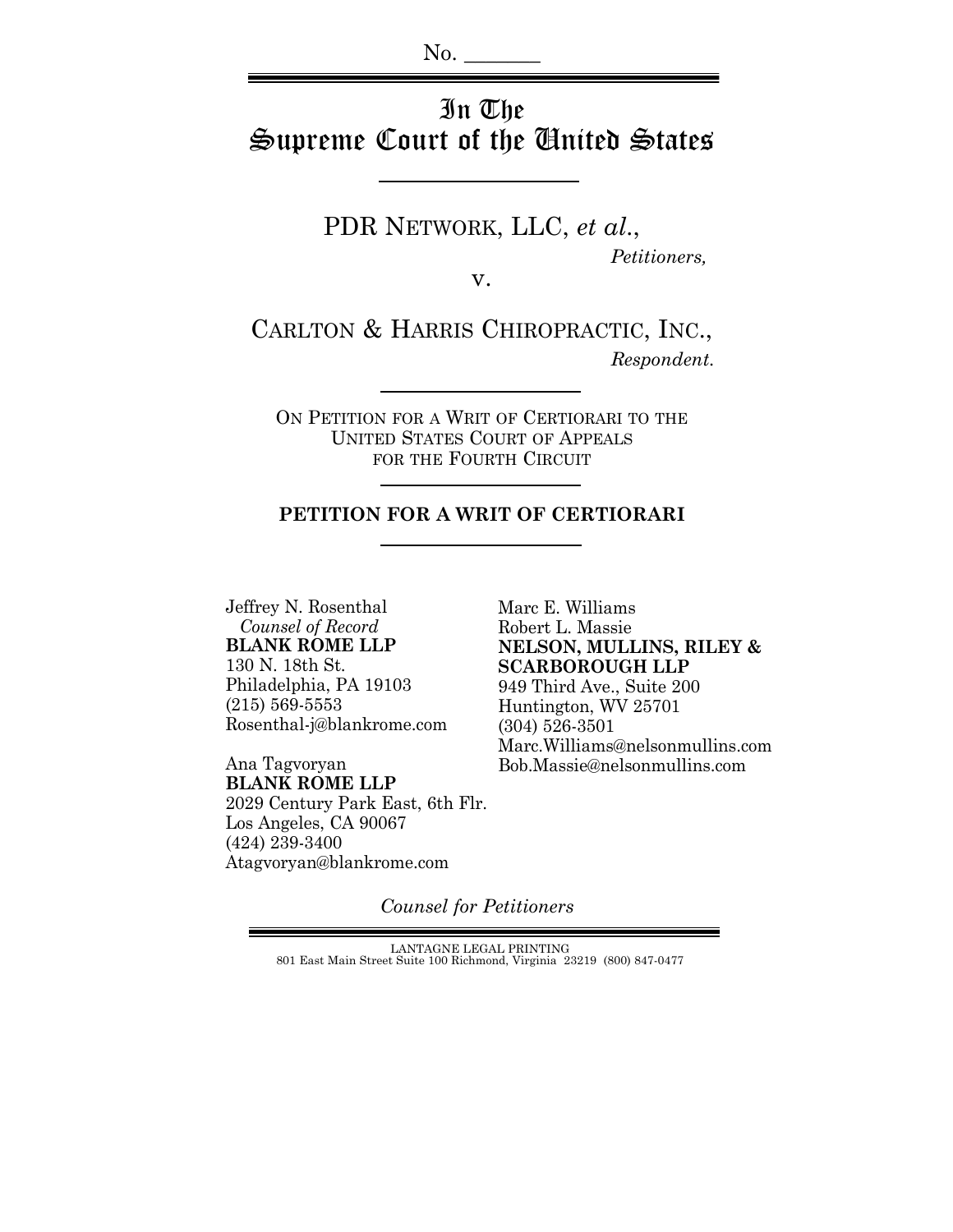# In The Supreme Court of the United States

PDR NETWORK, LLC, *et al*.,  *Petitioners,*

v.

CARLTON & HARRIS CHIROPRACTIC, INC.,  *Respondent.*

ON PETITION FOR A WRIT OF CERTIORARI TO THE UNITED STATES COURT OF APPEALS FOR THE FOURTH CIRCUIT

### **PETITION FOR A WRIT OF CERTIORARI**

Jeffrey N. Rosenthal  *Counsel of Record* **BLANK ROME LLP** 130 N. 18th St. Philadelphia, PA 19103 (215) 569-5553 Rosenthal-j@blankrome.com

Ana Tagvoryan **BLANK ROME LLP** 2029 Century Park East, 6th Flr. Los Angeles, CA 90067 (424) 239-3400 Atagvoryan@blankrome.com

Marc E. Williams Robert L. Massie **NELSON, MULLINS, RILEY & SCARBOROUGH LLP** 949 Third Ave., Suite 200 Huntington, WV 25701 (304) 526-3501 Marc.Williams@nelsonmullins.com Bob.Massie@nelsonmullins.com

*Counsel for Petitioners*

LANTAGNE LEGAL PRINTING 801 East Main Street Suite 100 Richmond, Virginia 23219 (800) 847-0477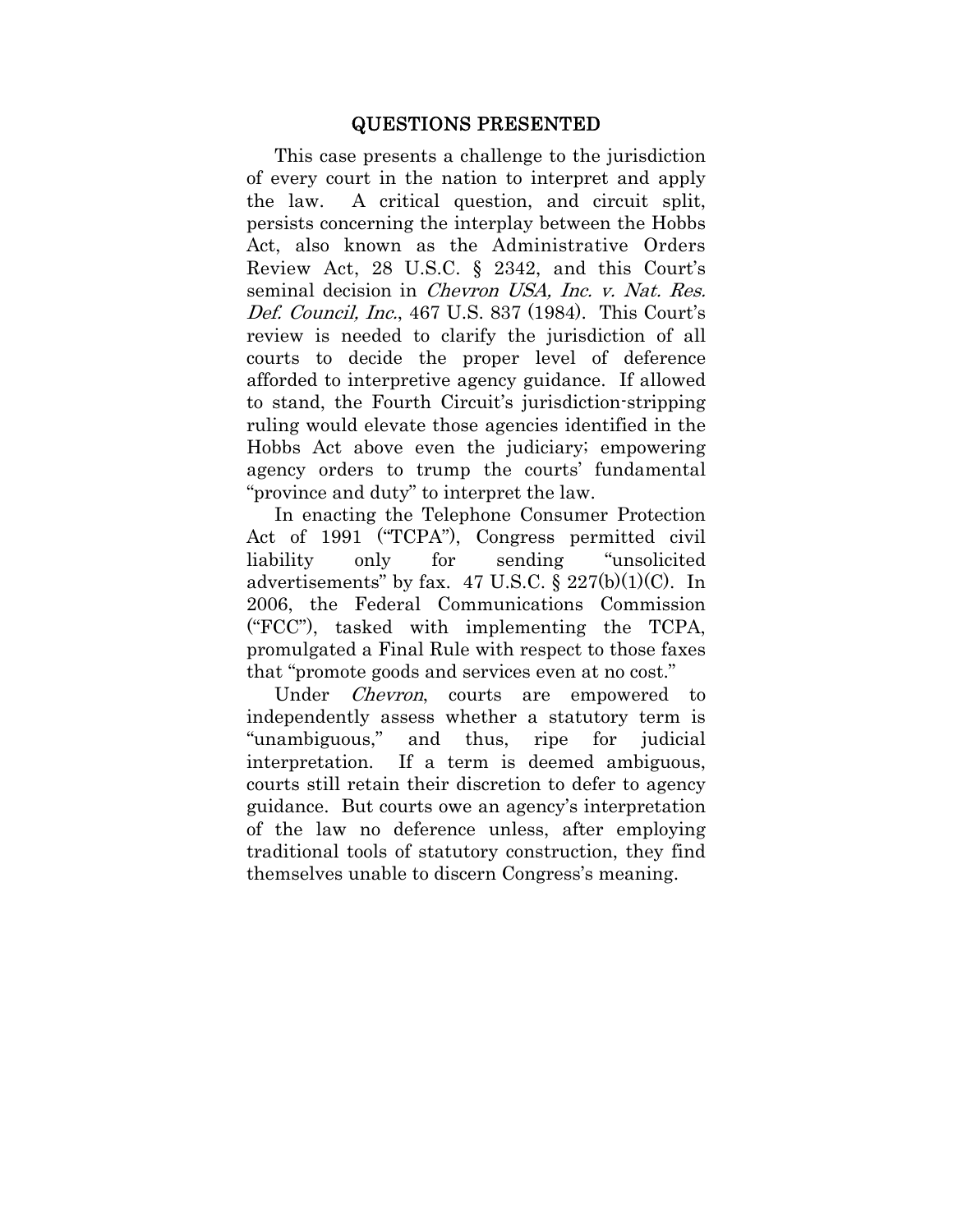### QUESTIONS PRESENTED

This case presents a challenge to the jurisdiction of every court in the nation to interpret and apply the law. A critical question, and circuit split, persists concerning the interplay between the Hobbs Act, also known as the Administrative Orders Review Act, 28 U.S.C. § 2342, and this Court's seminal decision in *Chevron USA*, Inc. v. Nat. Res. Def. Council, Inc., 467 U.S. 837 (1984). This Court's review is needed to clarify the jurisdiction of all courts to decide the proper level of deference afforded to interpretive agency guidance. If allowed to stand, the Fourth Circuit's jurisdiction-stripping ruling would elevate those agencies identified in the Hobbs Act above even the judiciary; empowering agency orders to trump the courts' fundamental "province and duty" to interpret the law.

In enacting the Telephone Consumer Protection Act of 1991 ("TCPA"), Congress permitted civil liability only for sending "unsolicited advertisements" by fax.  $47 \text{ U.S.C.}$   $\frac{$227(b)(1)(C)}{2}$ . In 2006, the Federal Communications Commission ("FCC"), tasked with implementing the TCPA, promulgated a Final Rule with respect to those faxes that "promote goods and services even at no cost."

Under *Chevron*, courts are empowered to independently assess whether a statutory term is "unambiguous," and thus, ripe for judicial interpretation. If a term is deemed ambiguous, courts still retain their discretion to defer to agency guidance. But courts owe an agency's interpretation of the law no deference unless, after employing traditional tools of statutory construction, they find themselves unable to discern Congress's meaning.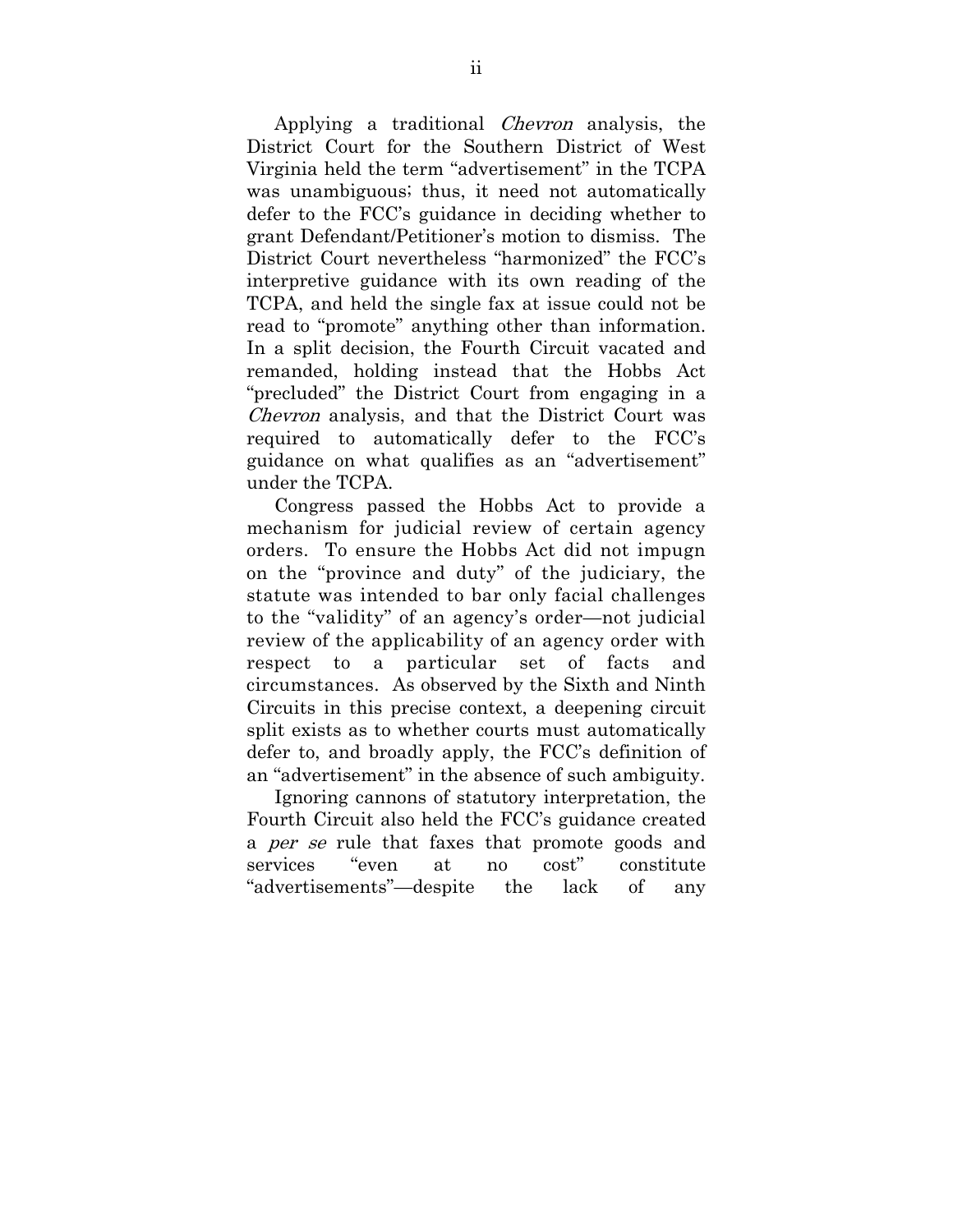Applying a traditional Chevron analysis, the District Court for the Southern District of West Virginia held the term "advertisement" in the TCPA was unambiguous; thus, it need not automatically defer to the FCC's guidance in deciding whether to grant Defendant/Petitioner's motion to dismiss. The District Court nevertheless "harmonized" the FCC's interpretive guidance with its own reading of the TCPA, and held the single fax at issue could not be read to "promote" anything other than information. In a split decision, the Fourth Circuit vacated and remanded, holding instead that the Hobbs Act "precluded" the District Court from engaging in a Chevron analysis, and that the District Court was required to automatically defer to the FCC's guidance on what qualifies as an "advertisement" under the TCPA.

Congress passed the Hobbs Act to provide a mechanism for judicial review of certain agency orders. To ensure the Hobbs Act did not impugn on the "province and duty" of the judiciary, the statute was intended to bar only facial challenges to the "validity" of an agency's order—not judicial review of the applicability of an agency order with respect to a particular set of facts and circumstances. As observed by the Sixth and Ninth Circuits in this precise context, a deepening circuit split exists as to whether courts must automatically defer to, and broadly apply, the FCC's definition of an "advertisement" in the absence of such ambiguity.

Ignoring cannons of statutory interpretation, the Fourth Circuit also held the FCC's guidance created a *per se* rule that faxes that promote goods and services "even at no cost" constitute "advertisements"—despite the lack of any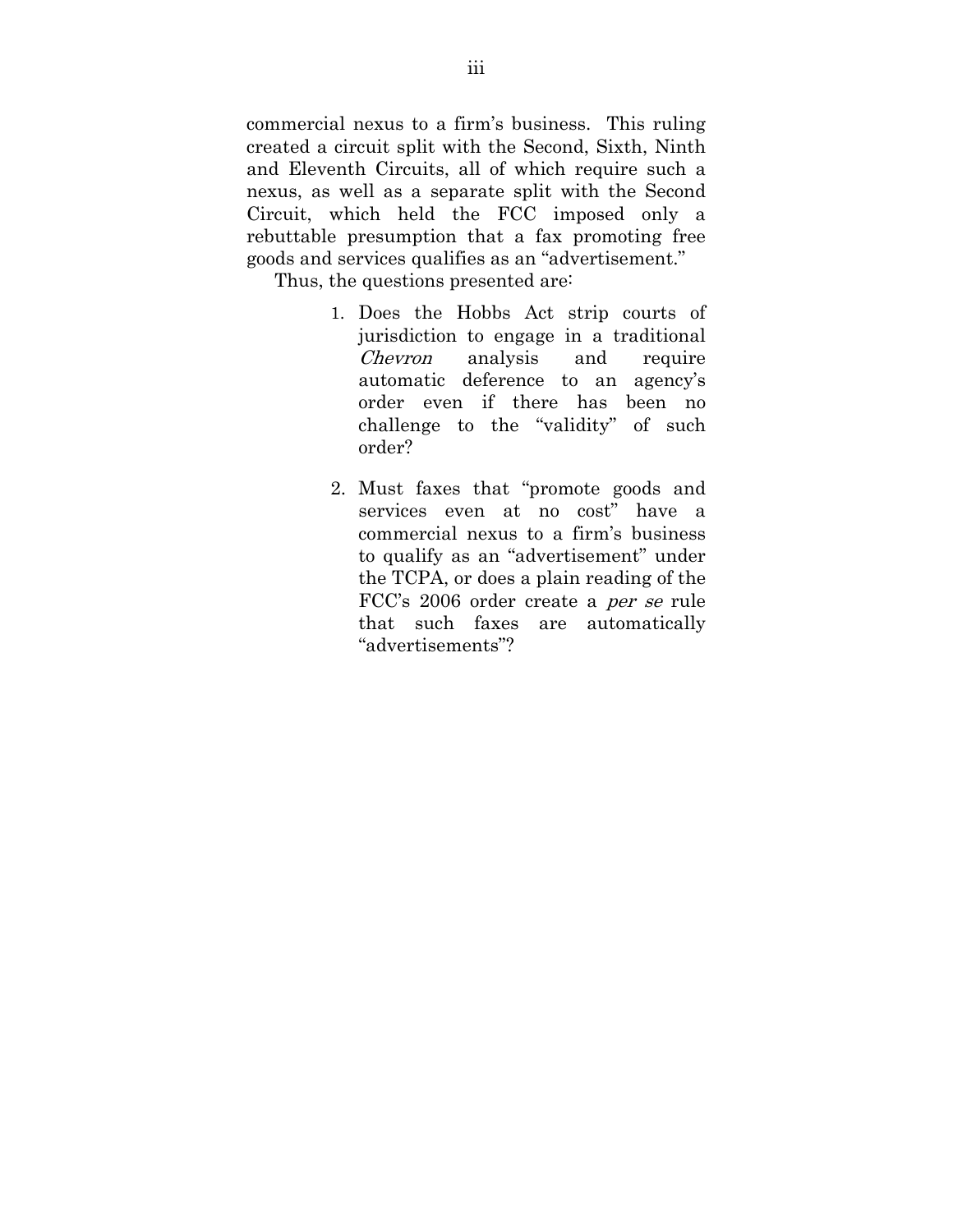commercial nexus to a firm's business. This ruling created a circuit split with the Second, Sixth, Ninth and Eleventh Circuits, all of which require such a nexus, as well as a separate split with the Second Circuit, which held the FCC imposed only a rebuttable presumption that a fax promoting free goods and services qualifies as an "advertisement."

Thus, the questions presented are:

- 1. Does the Hobbs Act strip courts of jurisdiction to engage in a traditional Chevron analysis and require automatic deference to an agency's order even if there has been no challenge to the "validity" of such order?
- 2. Must faxes that "promote goods and services even at no cost" have a commercial nexus to a firm's business to qualify as an "advertisement" under the TCPA, or does a plain reading of the FCC's 2006 order create a per se rule that such faxes are automatically "advertisements"?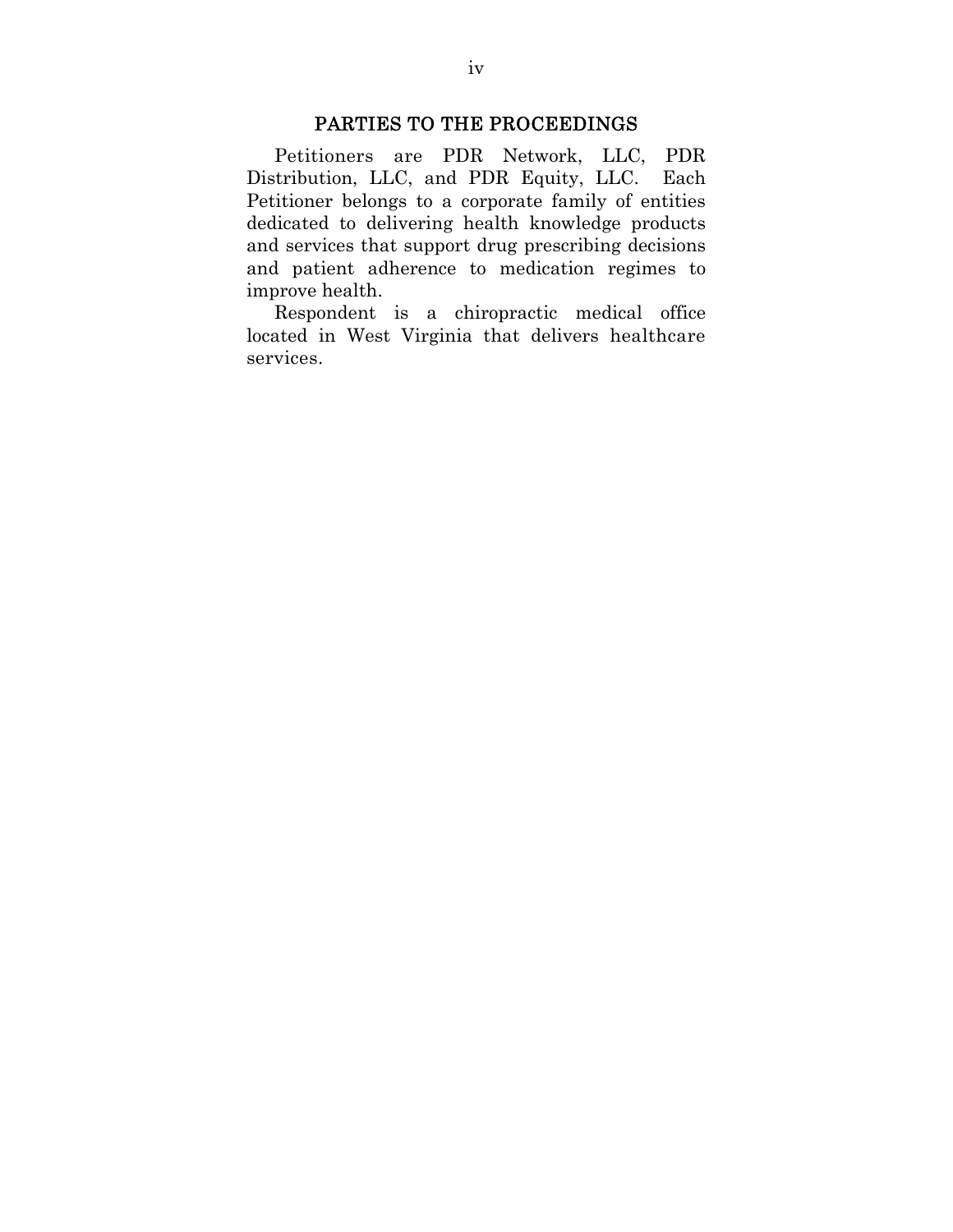# PARTIES TO THE PROCEEDINGS

Petitioners are PDR Network, LLC, PDR Distribution, LLC, and PDR Equity, LLC. Each Petitioner belongs to a corporate family of entities dedicated to delivering health knowledge products and services that support drug prescribing decisions and patient adherence to medication regimes to improve health.

Respondent is a chiropractic medical office located in West Virginia that delivers healthcare services.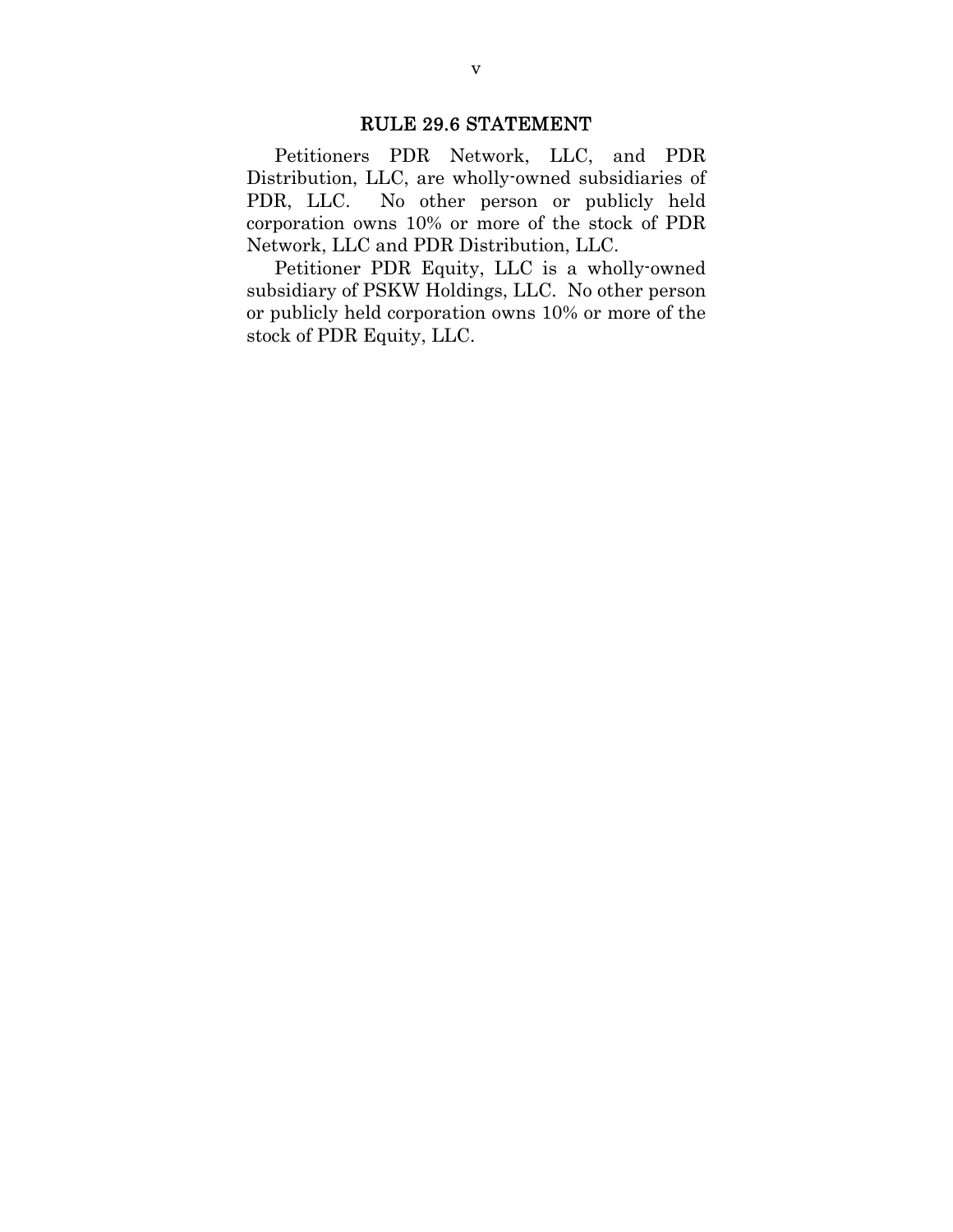# RULE 29.6 STATEMENT

Petitioners PDR Network, LLC, and PDR Distribution, LLC, are wholly-owned subsidiaries of PDR, LLC. No other person or publicly held corporation owns 10% or more of the stock of PDR Network, LLC and PDR Distribution, LLC.

Petitioner PDR Equity, LLC is a wholly-owned subsidiary of PSKW Holdings, LLC. No other person or publicly held corporation owns 10% or more of the stock of PDR Equity, LLC.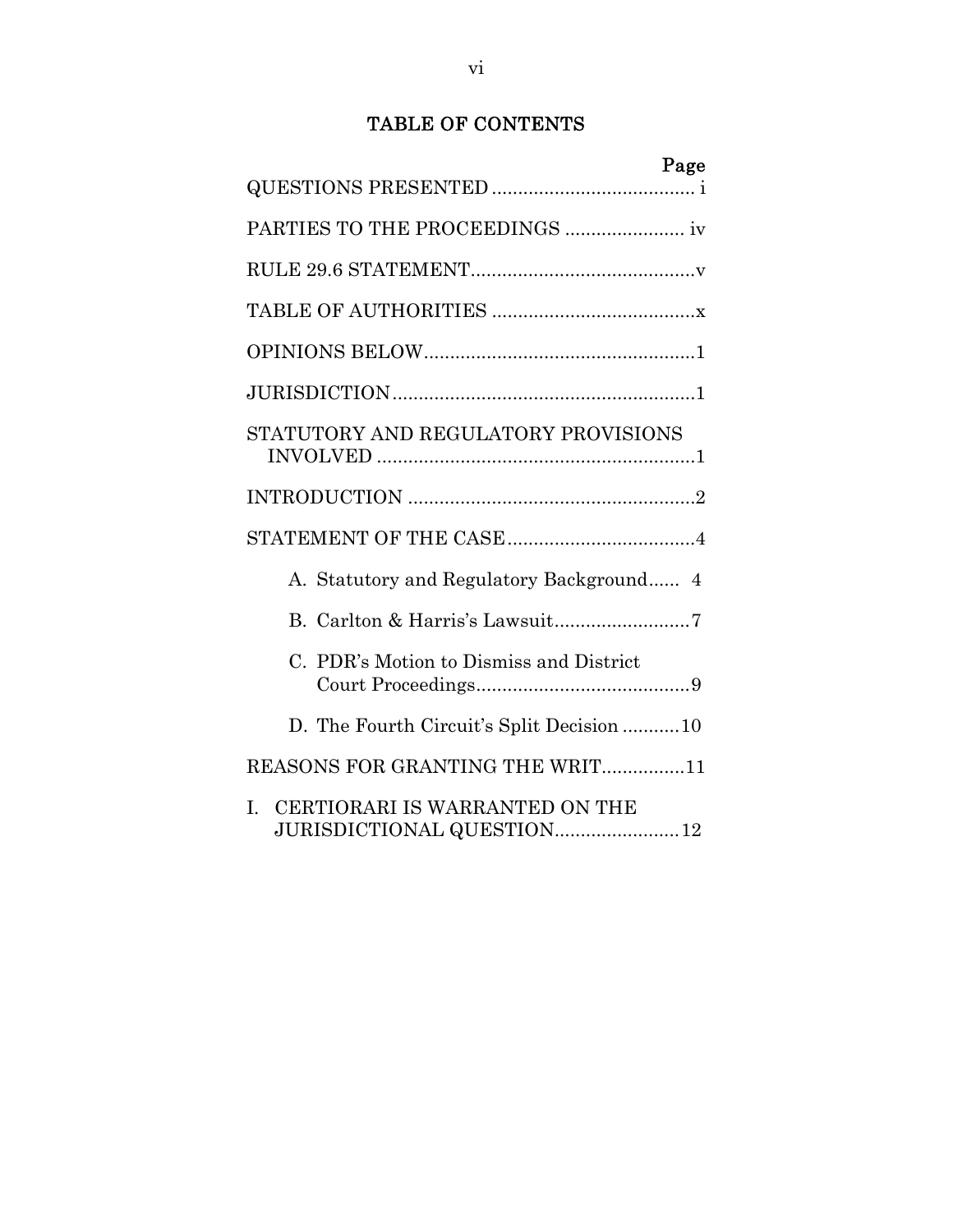# TABLE OF CONTENTS

| Page                                                                         |
|------------------------------------------------------------------------------|
|                                                                              |
|                                                                              |
|                                                                              |
|                                                                              |
|                                                                              |
|                                                                              |
| STATUTORY AND REGULATORY PROVISIONS                                          |
|                                                                              |
|                                                                              |
| A. Statutory and Regulatory Background 4                                     |
|                                                                              |
| C. PDR's Motion to Dismiss and District                                      |
| D. The Fourth Circuit's Split Decision 10                                    |
| REASONS FOR GRANTING THE WRIT11                                              |
| CERTIORARI IS WARRANTED ON THE<br>$\mathbf{I}$<br>JURISDICTIONAL QUESTION 12 |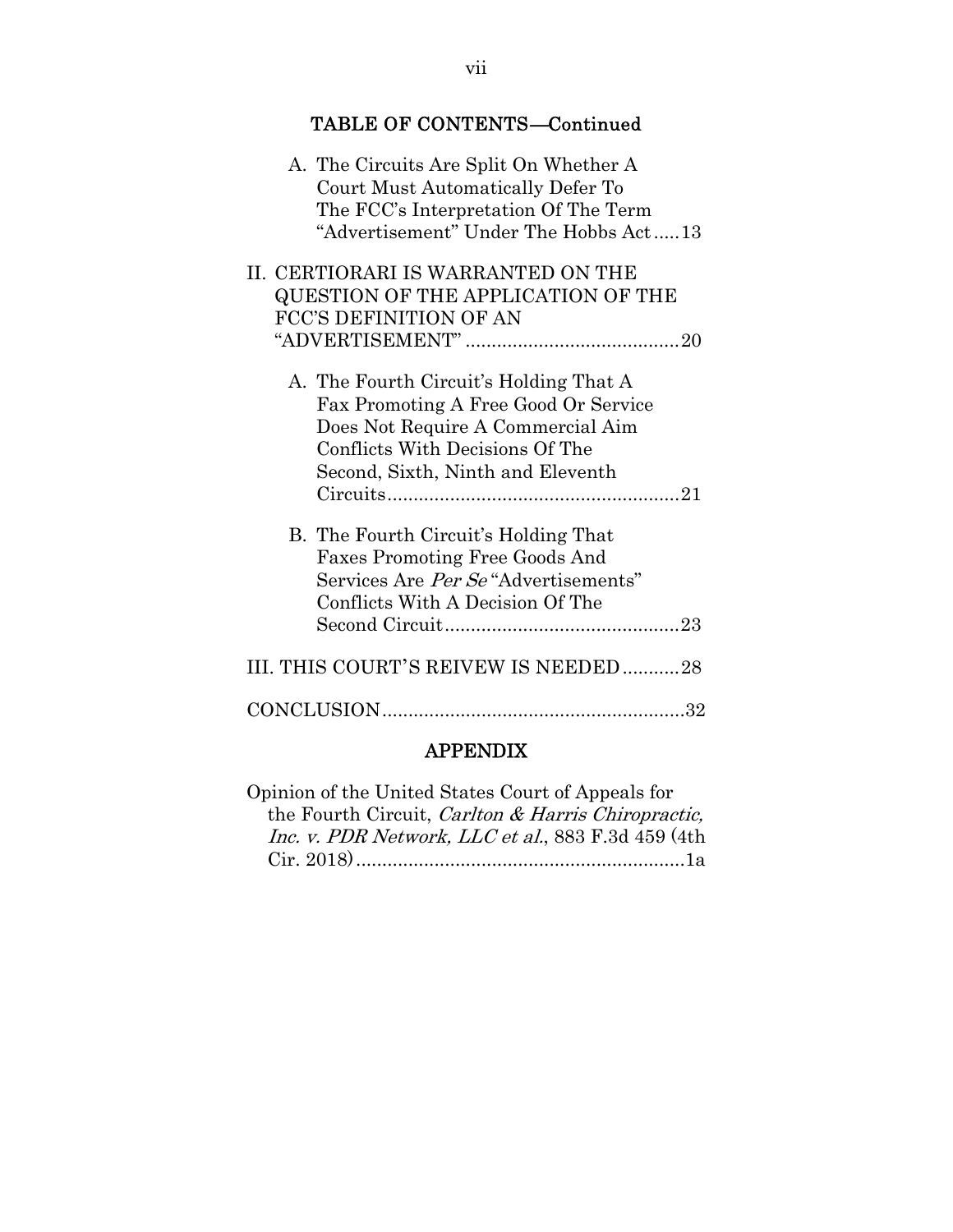| <b>TABLE OF CONTENTS-Continued</b>                                                                                                                                                          |  |
|---------------------------------------------------------------------------------------------------------------------------------------------------------------------------------------------|--|
| A. The Circuits Are Split On Whether A<br>Court Must Automatically Defer To<br>The FCC's Interpretation Of The Term<br>"Advertisement" Under The Hobbs Act13                                |  |
| II. CERTIORARI IS WARRANTED ON THE<br>QUESTION OF THE APPLICATION OF THE<br>FCC'S DEFINITION OF AN                                                                                          |  |
|                                                                                                                                                                                             |  |
| A. The Fourth Circuit's Holding That A<br>Fax Promoting A Free Good Or Service<br>Does Not Require A Commercial Aim<br>Conflicts With Decisions Of The<br>Second, Sixth, Ninth and Eleventh |  |
| B. The Fourth Circuit's Holding That<br><b>Faxes Promoting Free Goods And</b><br>Services Are Per Se "Advertisements"<br>Conflicts With A Decision Of The                                   |  |
| III. THIS COURT'S REIVEW IS NEEDED28                                                                                                                                                        |  |
|                                                                                                                                                                                             |  |

# APPENDIX

| Opinion of the United States Court of Appeals for  |  |
|----------------------------------------------------|--|
| the Fourth Circuit, Carlton & Harris Chiropractic, |  |
| Inc. v. PDR Network, LLC et al., 883 F.3d 459 (4th |  |
|                                                    |  |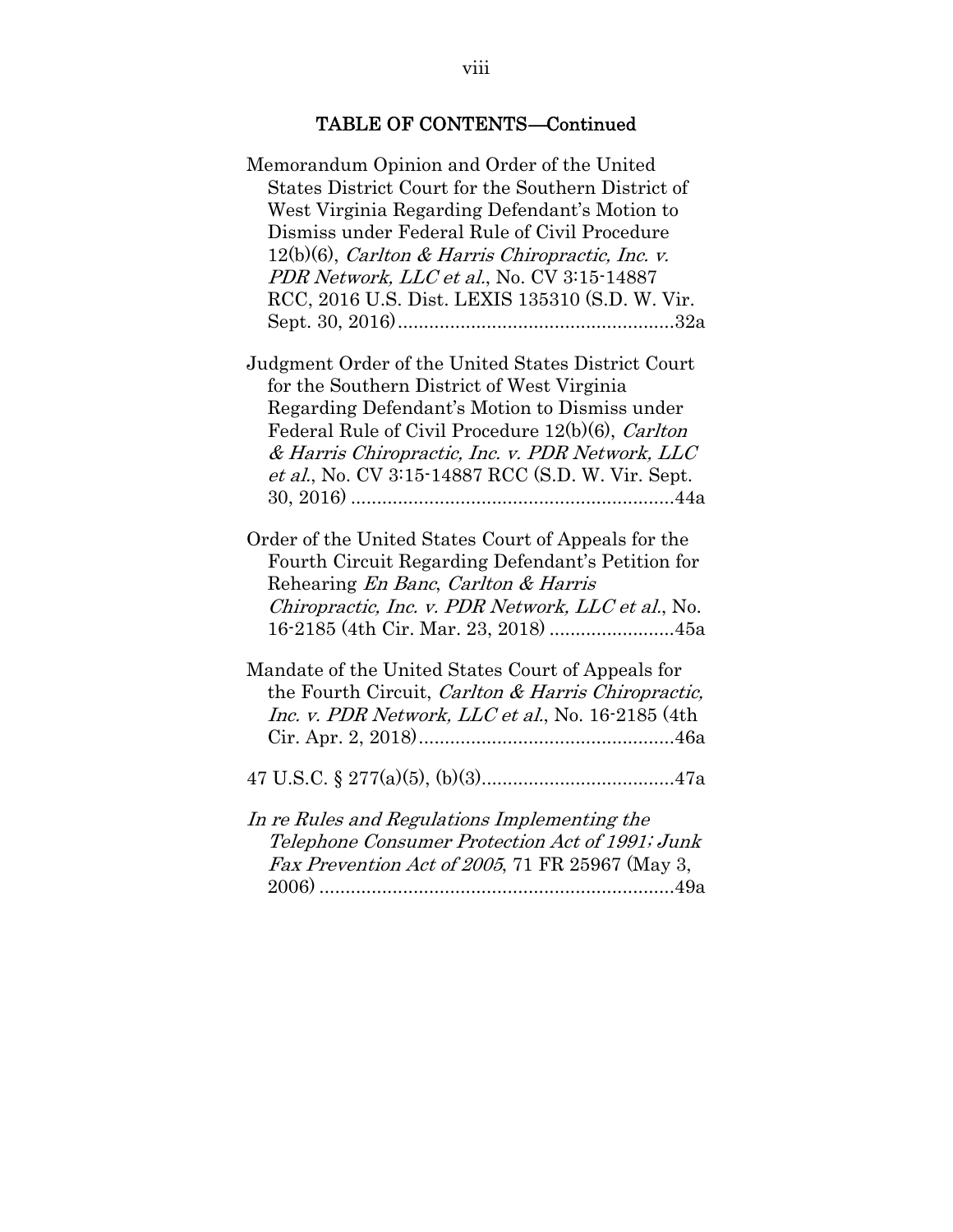# TABLE OF CONTENTS—Continued

| Memorandum Opinion and Order of the United<br>States District Court for the Southern District of<br>West Virginia Regarding Defendant's Motion to                                                                                                                 |
|-------------------------------------------------------------------------------------------------------------------------------------------------------------------------------------------------------------------------------------------------------------------|
| Dismiss under Federal Rule of Civil Procedure                                                                                                                                                                                                                     |
| $12(b)(6)$ , Carlton & Harris Chiropractic, Inc. v.                                                                                                                                                                                                               |
| PDR Network, LLC et al., No. CV 3:15-14887                                                                                                                                                                                                                        |
| RCC, 2016 U.S. Dist. LEXIS 135310 (S.D. W. Vir.                                                                                                                                                                                                                   |
|                                                                                                                                                                                                                                                                   |
|                                                                                                                                                                                                                                                                   |
| Judgment Order of the United States District Court<br>for the Southern District of West Virginia                                                                                                                                                                  |
| Regarding Defendant's Motion to Dismiss under                                                                                                                                                                                                                     |
| Federal Rule of Civil Procedure 12(b)(6), Carlton                                                                                                                                                                                                                 |
| & Harris Chiropractic, Inc. v. PDR Network, LLC                                                                                                                                                                                                                   |
| et al., No. CV 3:15-14887 RCC (S.D. W. Vir. Sept.                                                                                                                                                                                                                 |
|                                                                                                                                                                                                                                                                   |
|                                                                                                                                                                                                                                                                   |
| Order of the United States Court of Appeals for the<br>Fourth Circuit Regarding Defendant's Petition for<br>Rehearing <i>En Banc</i> , <i>Carlton &amp; Harris</i><br>Chiropractic, Inc. v. PDR Network, LLC et al., No.<br>16-2185 (4th Cir. Mar. 23, 2018)  45a |
|                                                                                                                                                                                                                                                                   |
| Mandate of the United States Court of Appeals for<br>the Fourth Circuit, Carlton & Harris Chiropractic,<br>Inc. v. PDR Network, LLC et al., No. 16-2185 (4th                                                                                                      |
|                                                                                                                                                                                                                                                                   |
| In re Rules and Regulations Implementing the<br>Telephone Consumer Protection Act of 1991; Junk<br><i>Fax Prevention Act of 2005, 71 FR 25967 (May 3,</i>                                                                                                         |
|                                                                                                                                                                                                                                                                   |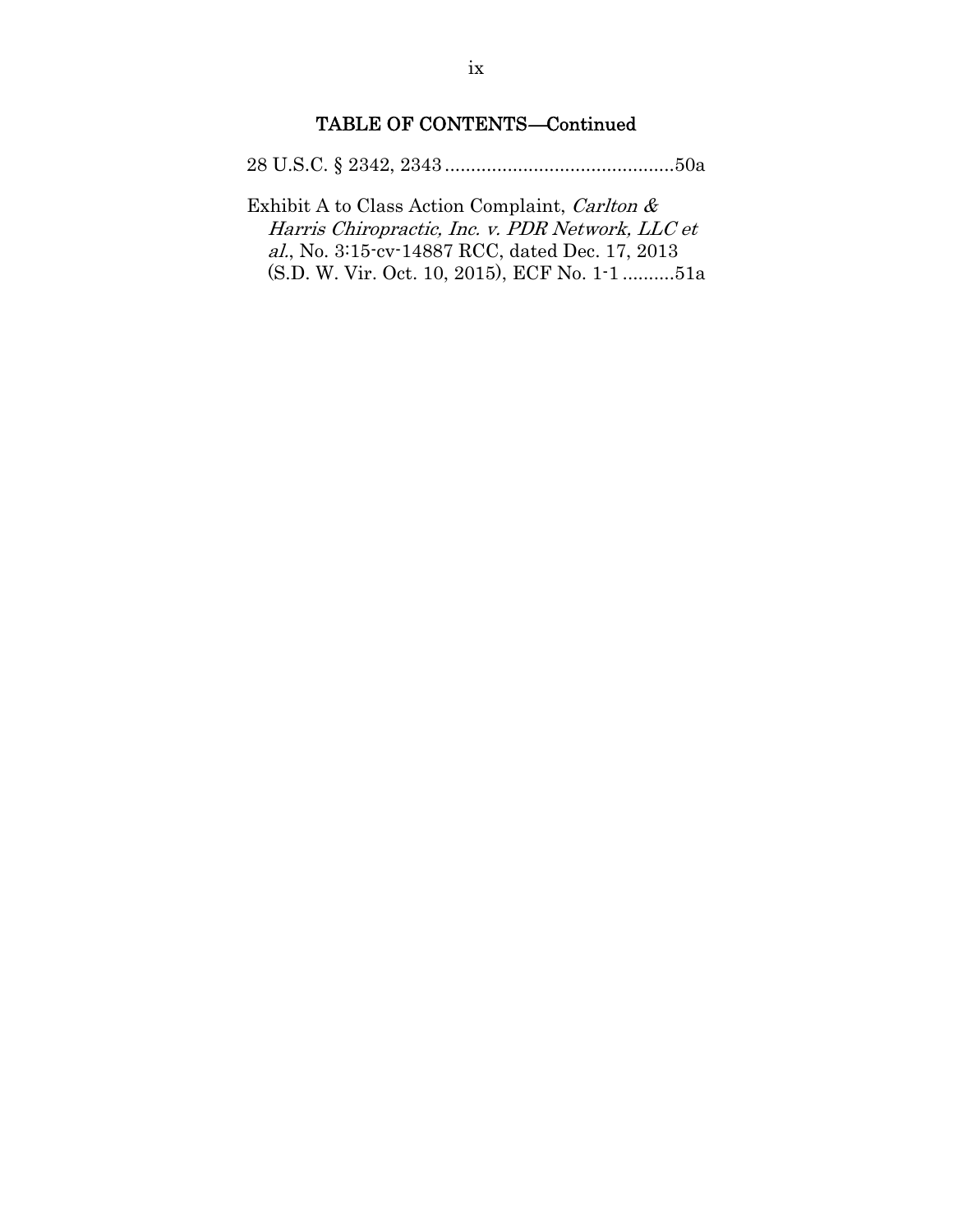# TABLE OF CONTENTS—Continued

28 U.S.C. § 2342, 2343 ............................................ 50a

Exhibit A to Class Action Complaint, Carlton & Harris Chiropractic, Inc. v. PDR Network, LLC et al., No. 3:15-cv-14887 RCC, dated Dec. 17, 2013 (S.D. W. Vir. Oct. 10, 2015), ECF No. 1-1 .......... 51a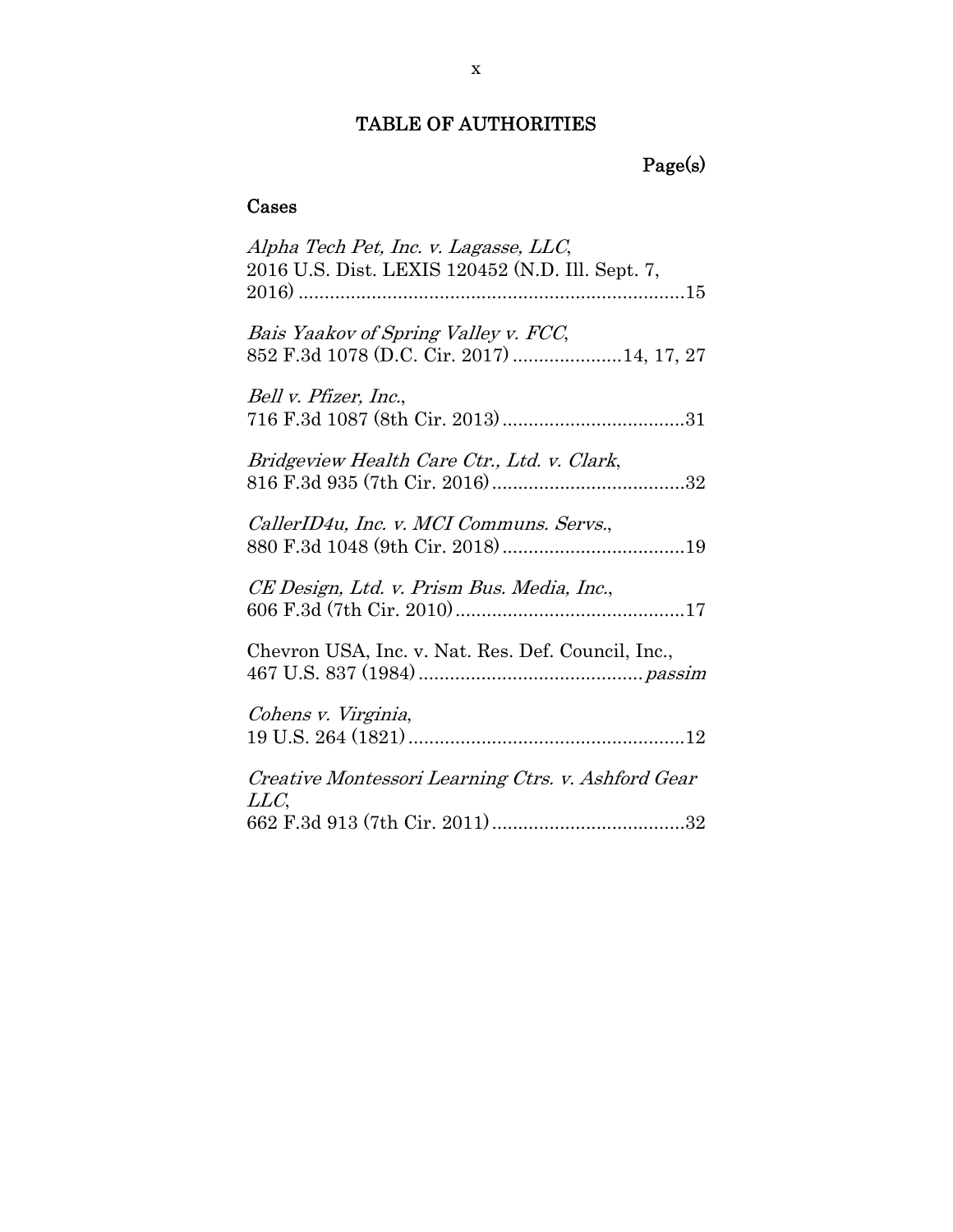# TABLE OF AUTHORITIES

# Page(s)

# Cases

| Alpha Tech Pet, Inc. v. Lagasse, LLC,<br>2016 U.S. Dist. LEXIS 120452 (N.D. Ill. Sept. 7, |
|-------------------------------------------------------------------------------------------|
| Bais Yaakov of Spring Valley v. FCC,<br>852 F.3d 1078 (D.C. Cir. 2017)  14, 17, 27        |
| Bell v. Pfizer, Inc.,                                                                     |
| Bridgeview Health Care Ctr., Ltd. v. Clark,                                               |
| CallerID4u, Inc. v. MCI Communs. Servs.,                                                  |
| CE Design, Ltd. v. Prism Bus. Media, Inc.,                                                |
| Chevron USA, Inc. v. Nat. Res. Def. Council, Inc.,                                        |
| Cohens v. Virginia,                                                                       |
| Creative Montessori Learning Ctrs. v. Ashford Gear<br>LLC                                 |
|                                                                                           |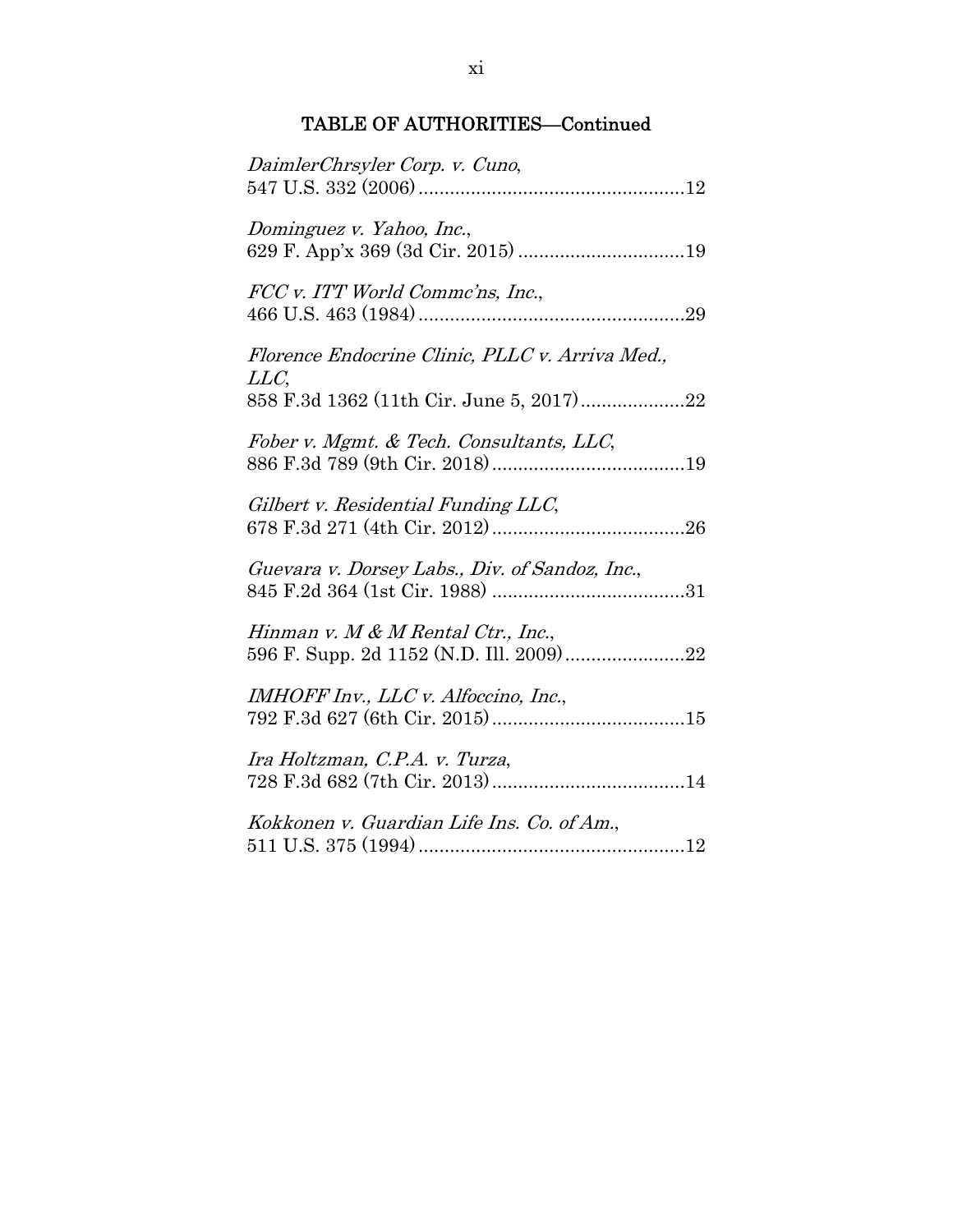| DaimlerChrsyler Corp. v. Cuno,                                                   |
|----------------------------------------------------------------------------------|
| Dominguez v. Yahoo, Inc.,<br>629 F. App'x 369 (3d Cir. 2015) 19                  |
| FCC v. ITT World Comme'ns, Inc.,                                                 |
| Florence Endocrine Clinic, PLLC v. Arriva Med.,<br>LLC,                          |
| 858 F.3d 1362 (11th Cir. June 5, 2017)22                                         |
| Fober v. Mgmt. & Tech. Consultants, LLC,                                         |
| Gilbert v. Residential Funding LLC,                                              |
| Guevara v. Dorsey Labs., Div. of Sandoz, Inc.,                                   |
| Hinman v. M $\&$ M Rental Ctr., Inc.,<br>596 F. Supp. 2d 1152 (N.D. Ill. 2009)22 |
| IMHOFF Inv., LLC v. Alfoccino, Inc.,                                             |
| Ira Holtzman, C.P.A. v. Turza,                                                   |
| Kokkonen v. Guardian Life Ins. Co. of Am.,                                       |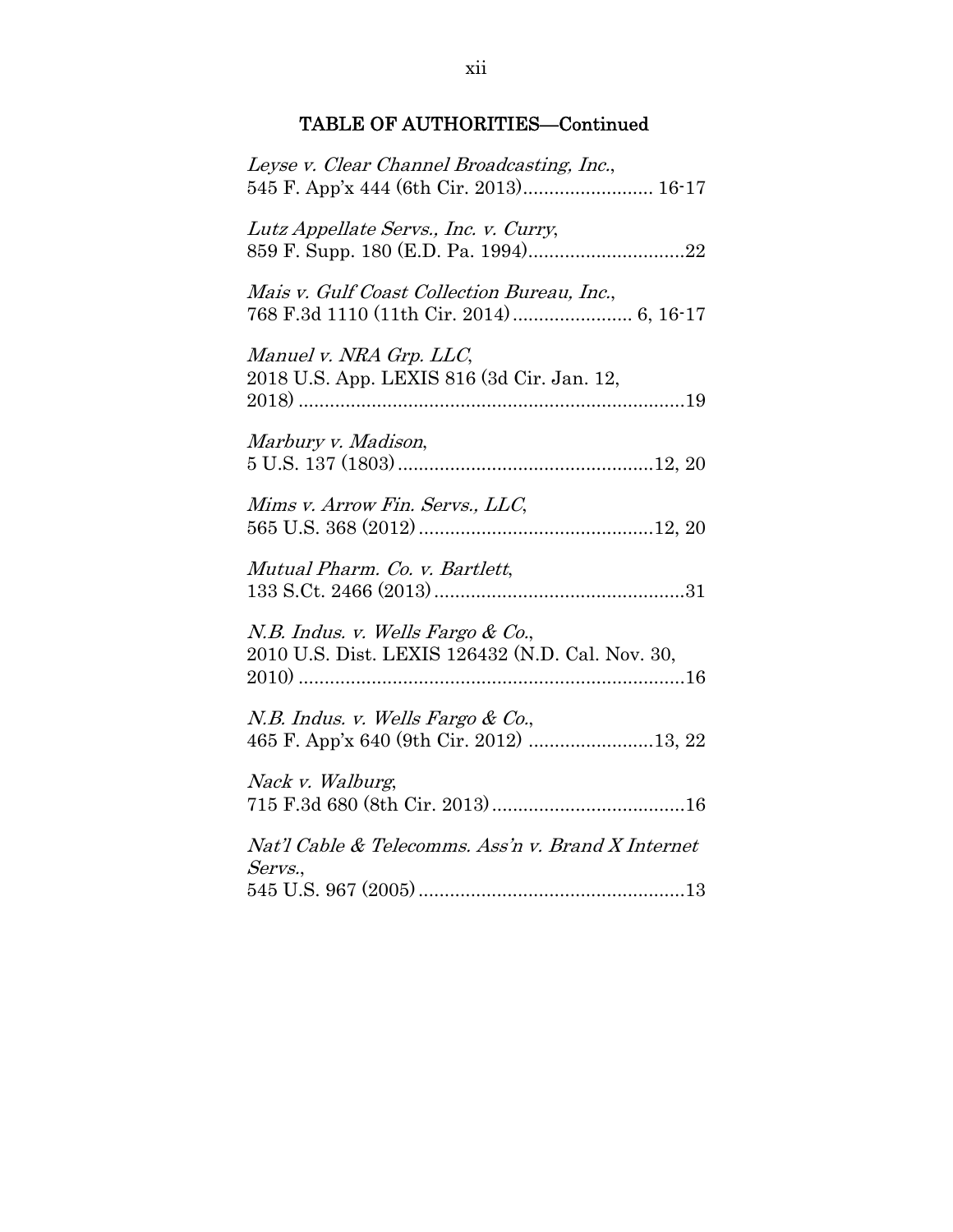| Leyse v. Clear Channel Broadcasting, Inc.,<br>545 F. App'x 444 (6th Cir. 2013) 16-17  |
|---------------------------------------------------------------------------------------|
| Lutz Appellate Servs., Inc. v. Curry,                                                 |
| Mais v. Gulf Coast Collection Bureau, Inc.,                                           |
| Manuel v. NRA Grp. LLC,<br>2018 U.S. App. LEXIS 816 (3d Cir. Jan. 12,                 |
| Marbury v. Madison,                                                                   |
| Mims v. Arrow Fin. Servs., LLC,                                                       |
| Mutual Pharm. Co. v. Bartlett,                                                        |
| N.B. Indus. v. Wells Fargo & Co.,<br>2010 U.S. Dist. LEXIS 126432 (N.D. Cal. Nov. 30, |
| N.B. Indus. v. Wells Fargo & Co.,<br>465 F. App'x 640 (9th Cir. 2012) 13, 22          |
| Nack v. Walburg,                                                                      |
| Nat'l Cable & Telecomms. Ass'n v. Brand X Internet                                    |
| Servs.,                                                                               |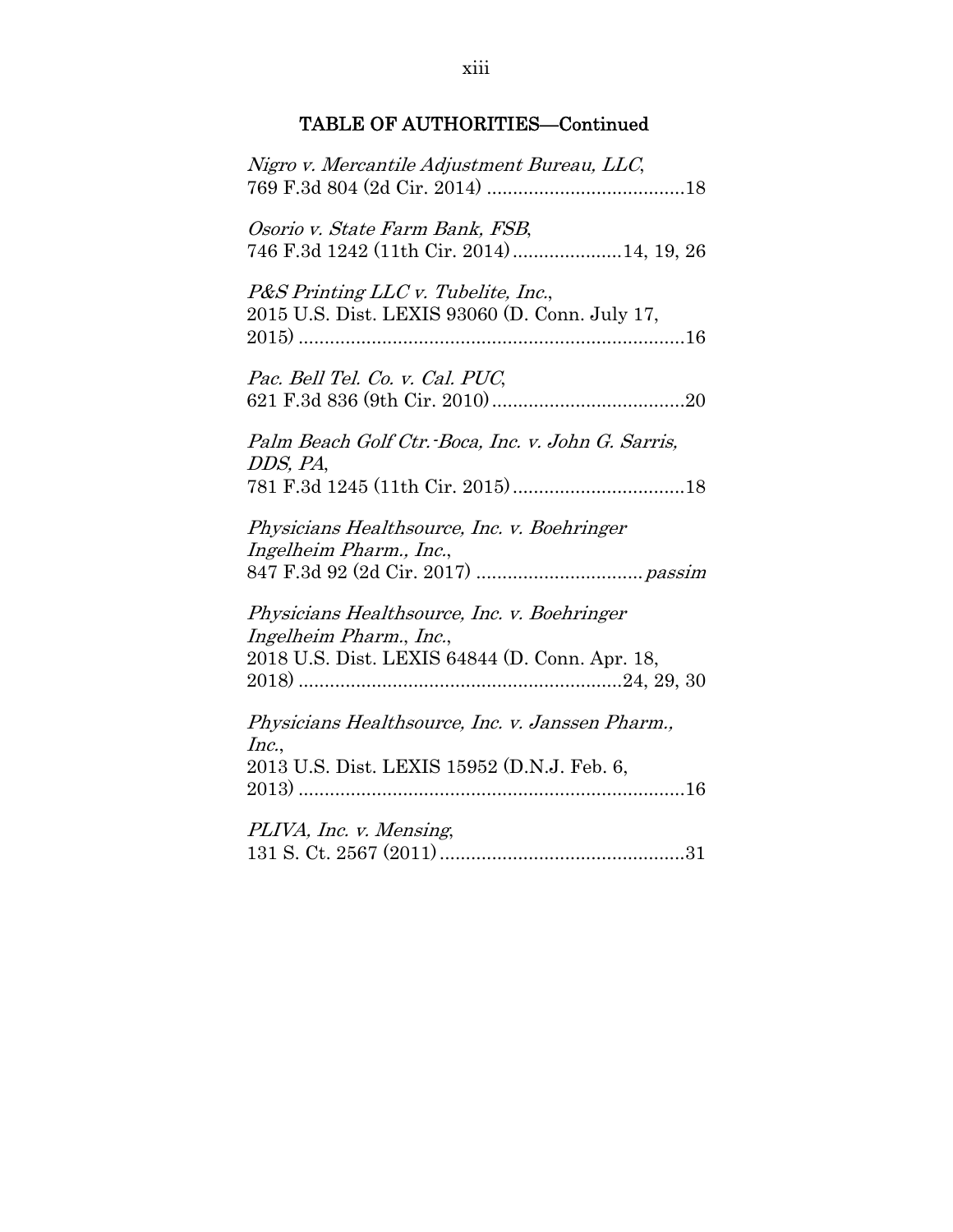| Nigro v. Mercantile Adjustment Bureau, LLC,                                                                              |
|--------------------------------------------------------------------------------------------------------------------------|
| Osorio v. State Farm Bank, FSB,<br>746 F.3d 1242 (11th Cir. 2014)14, 19, 26                                              |
| P&S Printing LLC v. Tubelite, Inc.,<br>2015 U.S. Dist. LEXIS 93060 (D. Conn. July 17,                                    |
| Pac. Bell Tel. Co. v. Cal. PUC,                                                                                          |
| Palm Beach Golf Ctr. Boca, Inc. v. John G. Sarris,<br>DDS, PA,                                                           |
| Physicians Healthsource, Inc. v. Boehringer<br>Ingelheim Pharm., Inc.,                                                   |
| Physicians Healthsource, Inc. v. Boehringer<br>Ingelheim Pharm., Inc.,<br>2018 U.S. Dist. LEXIS 64844 (D. Conn. Apr. 18, |
| Physicians Healthsource, Inc. v. Janssen Pharm.,<br>Inc.,                                                                |
| 2013 U.S. Dist. LEXIS 15952 (D.N.J. Feb. 6,                                                                              |
| PLIVA, Inc. v. Mensing,                                                                                                  |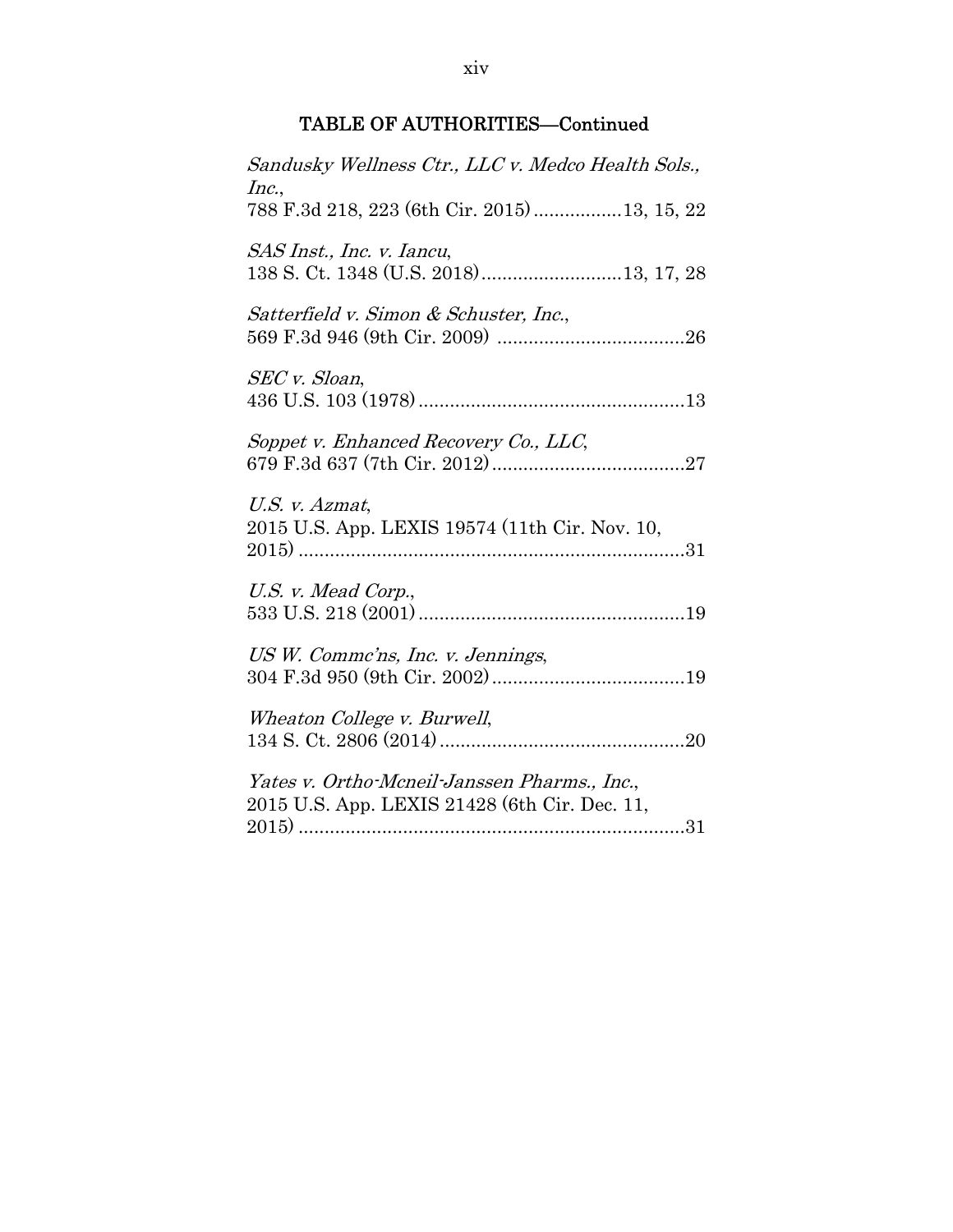| Sandusky Wellness Ctr., LLC v. Medco Health Sols.,<br>Inc.,                                   |
|-----------------------------------------------------------------------------------------------|
| 788 F.3d 218, 223 (6th Cir. 2015) 13, 15, 22                                                  |
| SAS Inst., Inc. v. Iancu,<br>138 S. Ct. 1348 (U.S. 2018)  13, 17, 28                          |
| Satterfield v. Simon & Schuster, Inc.,                                                        |
| SEC v. Sloan,                                                                                 |
| Soppet v. Enhanced Recovery Co., LLC,                                                         |
| U.S. v. Azmat,<br>2015 U.S. App. LEXIS 19574 (11th Cir. Nov. 10,                              |
| U.S. v. Mead Corp.,                                                                           |
| US W. Comme'ns, Inc. v. Jennings,                                                             |
| Wheaton College v. Burwell,                                                                   |
| Yates v. Ortho-Mcneil-Janssen Pharms., Inc.,<br>2015 U.S. App. LEXIS 21428 (6th Cir. Dec. 11, |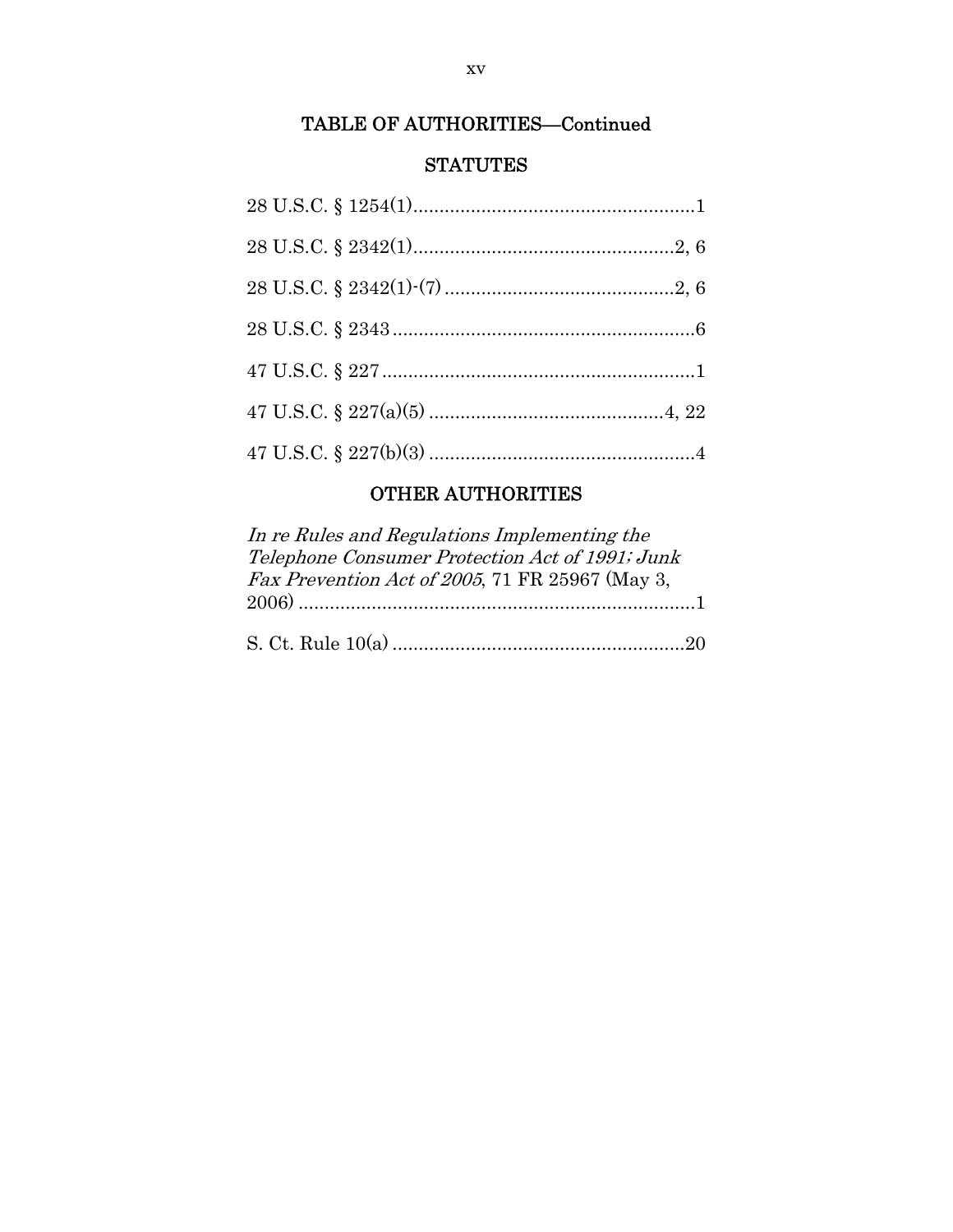## **STATUTES**

# OTHER AUTHORITIES

| In re Rules and Regulations Implementing the    |
|-------------------------------------------------|
| Telephone Consumer Protection Act of 1991; Junk |
| Fax Prevention Act of 2005, 71 FR 25967 (May 3, |
|                                                 |
|                                                 |
|                                                 |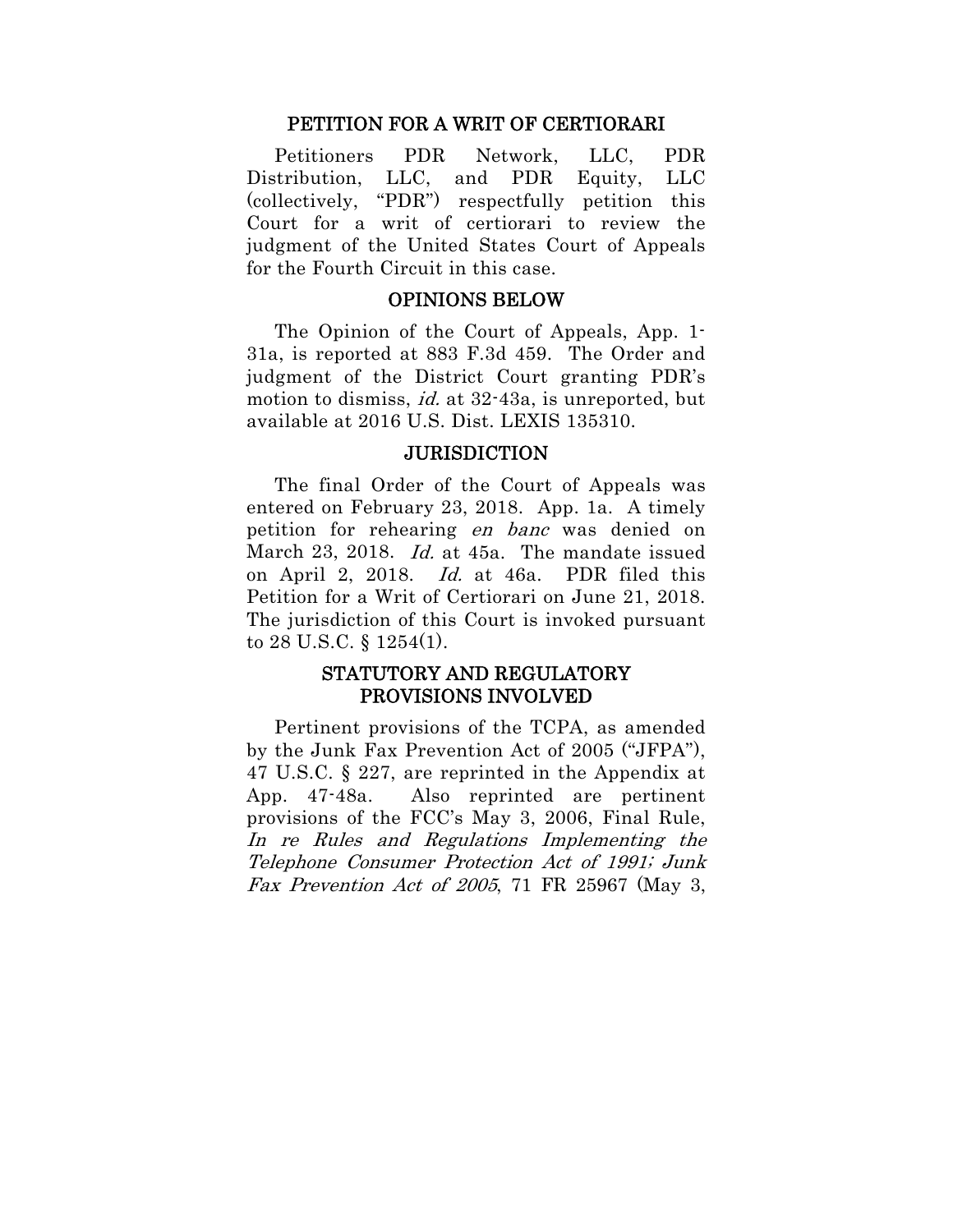#### PETITION FOR A WRIT OF CERTIORARI

Petitioners PDR Network, LLC, PDR Distribution, LLC, and PDR Equity, LLC (collectively, "PDR") respectfully petition this Court for a writ of certiorari to review the judgment of the United States Court of Appeals for the Fourth Circuit in this case.

#### OPINIONS BELOW

The Opinion of the Court of Appeals, App. 1- 31a, is reported at 883 F.3d 459. The Order and judgment of the District Court granting PDR's motion to dismiss, *id.* at 32-43a, is unreported, but available at 2016 U.S. Dist. LEXIS 135310.

#### **JURISDICTION**

The final Order of the Court of Appeals was entered on February 23, 2018. App. 1a. A timely petition for rehearing en banc was denied on March 23, 2018. Id. at 45a. The mandate issued on April 2, 2018. Id. at 46a. PDR filed this Petition for a Writ of Certiorari on June 21, 2018. The jurisdiction of this Court is invoked pursuant to 28 U.S.C. § 1254(1).

### STATUTORY AND REGULATORY PROVISIONS INVOLVED

Pertinent provisions of the TCPA, as amended by the Junk Fax Prevention Act of 2005 ("JFPA"), 47 U.S.C. § 227, are reprinted in the Appendix at App. 47-48a. Also reprinted are pertinent provisions of the FCC's May 3, 2006, Final Rule, In re Rules and Regulations Implementing the Telephone Consumer Protection Act of 1991; Junk Fax Prevention Act of 2005, 71 FR 25967 (May 3,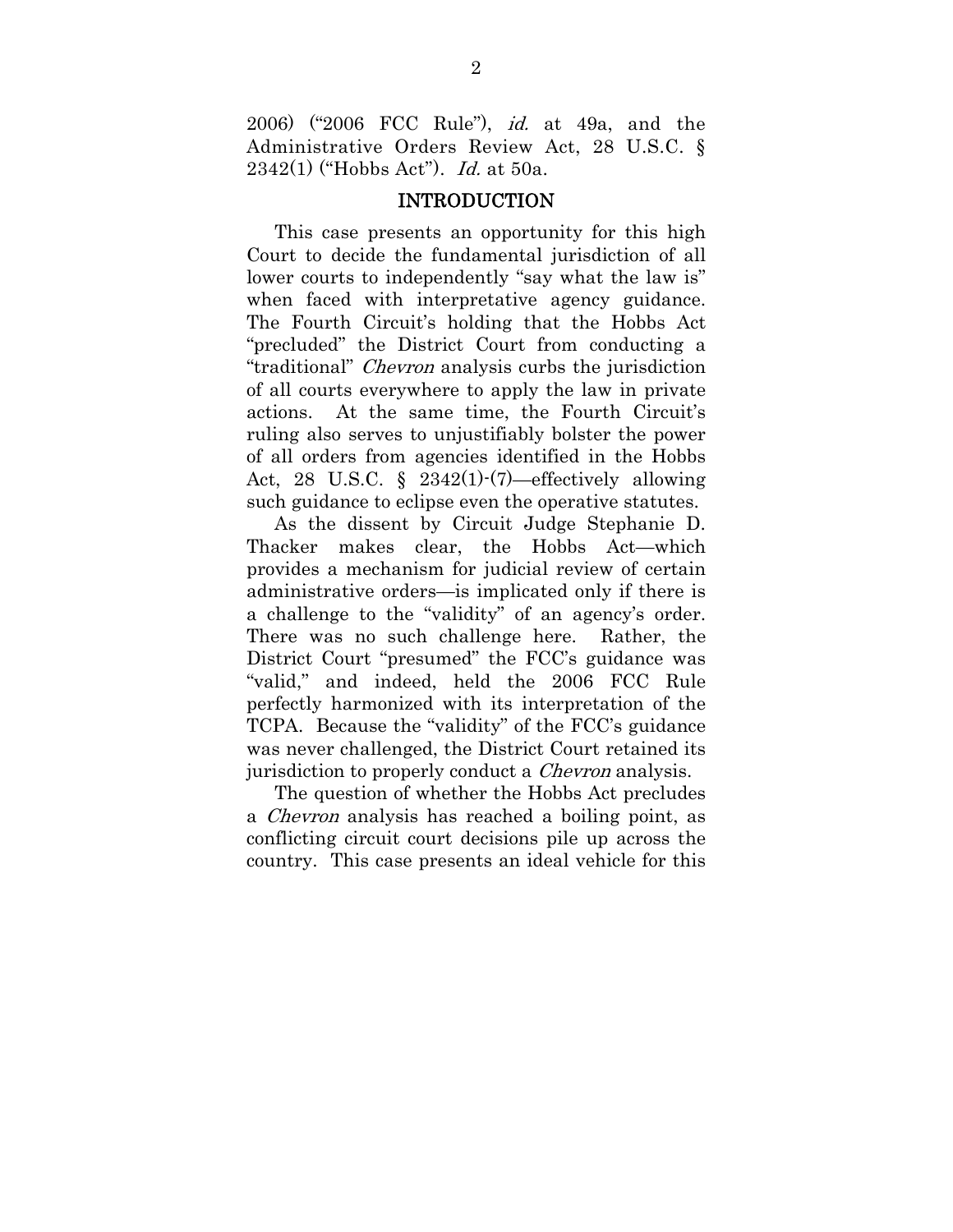2006) ("2006 FCC Rule"), id. at 49a, and the Administrative Orders Review Act, 28 U.S.C. §  $2342(1)$  ("Hobbs Act"). *Id.* at 50a.

#### INTRODUCTION

This case presents an opportunity for this high Court to decide the fundamental jurisdiction of all lower courts to independently "say what the law is" when faced with interpretative agency guidance. The Fourth Circuit's holding that the Hobbs Act "precluded" the District Court from conducting a "traditional" Chevron analysis curbs the jurisdiction of all courts everywhere to apply the law in private actions. At the same time, the Fourth Circuit's ruling also serves to unjustifiably bolster the power of all orders from agencies identified in the Hobbs Act, 28 U.S.C. § 2342(1)-(7)—effectively allowing such guidance to eclipse even the operative statutes.

As the dissent by Circuit Judge Stephanie D. Thacker makes clear, the Hobbs Act—which provides a mechanism for judicial review of certain administrative orders—is implicated only if there is a challenge to the "validity" of an agency's order. There was no such challenge here. Rather, the District Court "presumed" the FCC's guidance was "valid," and indeed, held the 2006 FCC Rule perfectly harmonized with its interpretation of the TCPA. Because the "validity" of the FCC's guidance was never challenged, the District Court retained its jurisdiction to properly conduct a *Chevron* analysis.

The question of whether the Hobbs Act precludes a Chevron analysis has reached a boiling point, as conflicting circuit court decisions pile up across the country. This case presents an ideal vehicle for this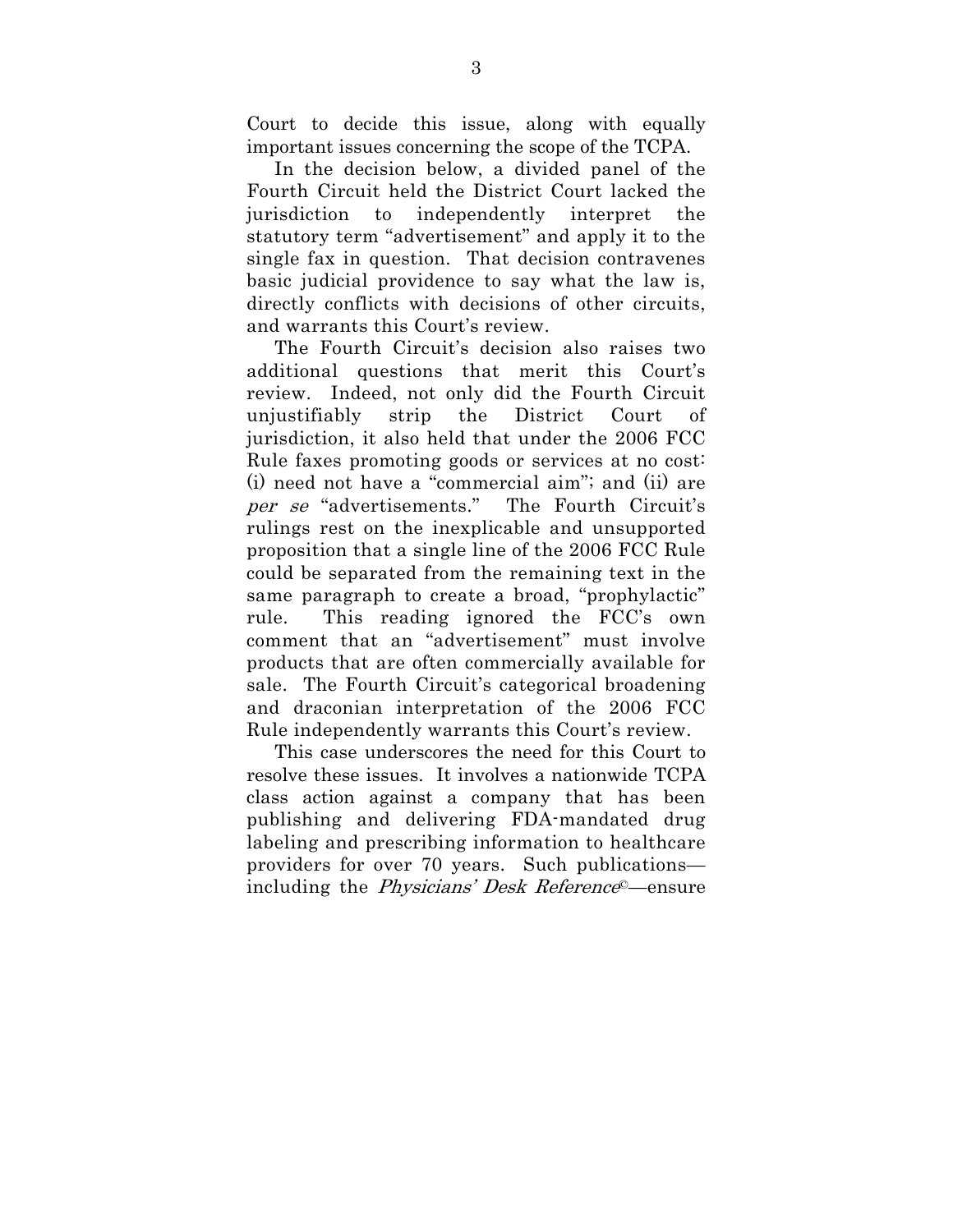Court to decide this issue, along with equally important issues concerning the scope of the TCPA.

In the decision below, a divided panel of the Fourth Circuit held the District Court lacked the jurisdiction to independently interpret the statutory term "advertisement" and apply it to the single fax in question. That decision contravenes basic judicial providence to say what the law is, directly conflicts with decisions of other circuits, and warrants this Court's review.

The Fourth Circuit's decision also raises two additional questions that merit this Court's review. Indeed, not only did the Fourth Circuit unjustifiably strip the District Court of jurisdiction, it also held that under the 2006 FCC Rule faxes promoting goods or services at no cost: (i) need not have a "commercial aim"; and (ii) are per se "advertisements." The Fourth Circuit's rulings rest on the inexplicable and unsupported proposition that a single line of the 2006 FCC Rule could be separated from the remaining text in the same paragraph to create a broad, "prophylactic" rule. This reading ignored the FCC's own comment that an "advertisement" must involve products that are often commercially available for sale. The Fourth Circuit's categorical broadening and draconian interpretation of the 2006 FCC Rule independently warrants this Court's review.

This case underscores the need for this Court to resolve these issues. It involves a nationwide TCPA class action against a company that has been publishing and delivering FDA-mandated drug labeling and prescribing information to healthcare providers for over 70 years. Such publications including the Physicians' Desk Reference©—ensure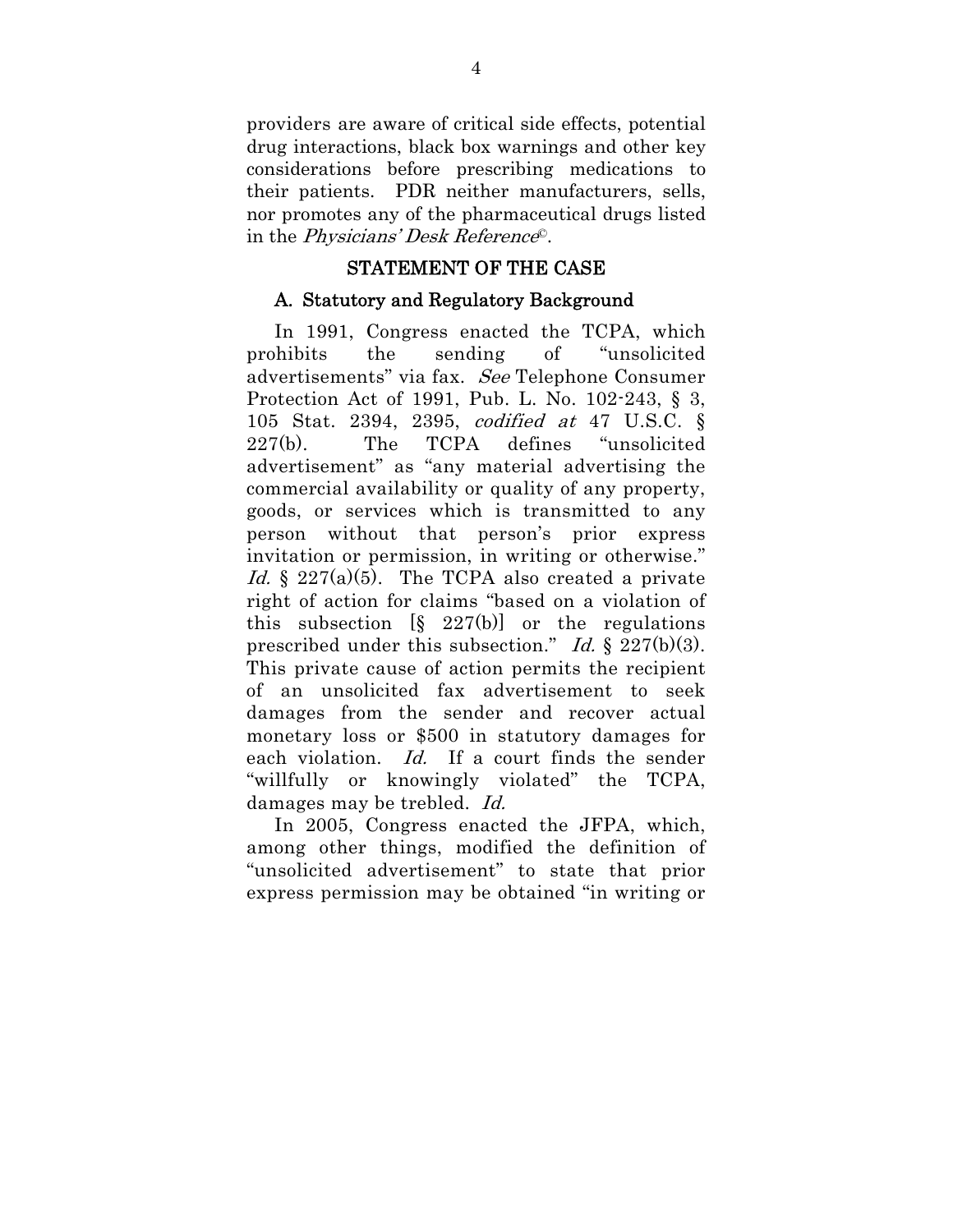providers are aware of critical side effects, potential drug interactions, black box warnings and other key considerations before prescribing medications to their patients. PDR neither manufacturers, sells, nor promotes any of the pharmaceutical drugs listed in the Physicians' Desk Reference©.

### STATEMENT OF THE CASE

#### A. Statutory and Regulatory Background

In 1991, Congress enacted the TCPA, which prohibits the sending of "unsolicited advertisements" via fax. See Telephone Consumer Protection Act of 1991, Pub. L. No. 102-243, § 3, 105 Stat. 2394, 2395, codified at 47 U.S.C. § 227(b). The TCPA defines "unsolicited advertisement" as "any material advertising the commercial availability or quality of any property, goods, or services which is transmitted to any person without that person's prior express invitation or permission, in writing or otherwise." Id.  $\frac{1}{2}$  227(a)(5). The TCPA also created a private right of action for claims "based on a violation of this subsection  $[\S 227(b)]$  or the regulations prescribed under this subsection." Id.  $\S 227(b)(3)$ . This private cause of action permits the recipient of an unsolicited fax advertisement to seek damages from the sender and recover actual monetary loss or \$500 in statutory damages for each violation. Id. If a court finds the sender "willfully or knowingly violated" the TCPA, damages may be trebled. Id.

In 2005, Congress enacted the JFPA, which, among other things, modified the definition of "unsolicited advertisement" to state that prior express permission may be obtained "in writing or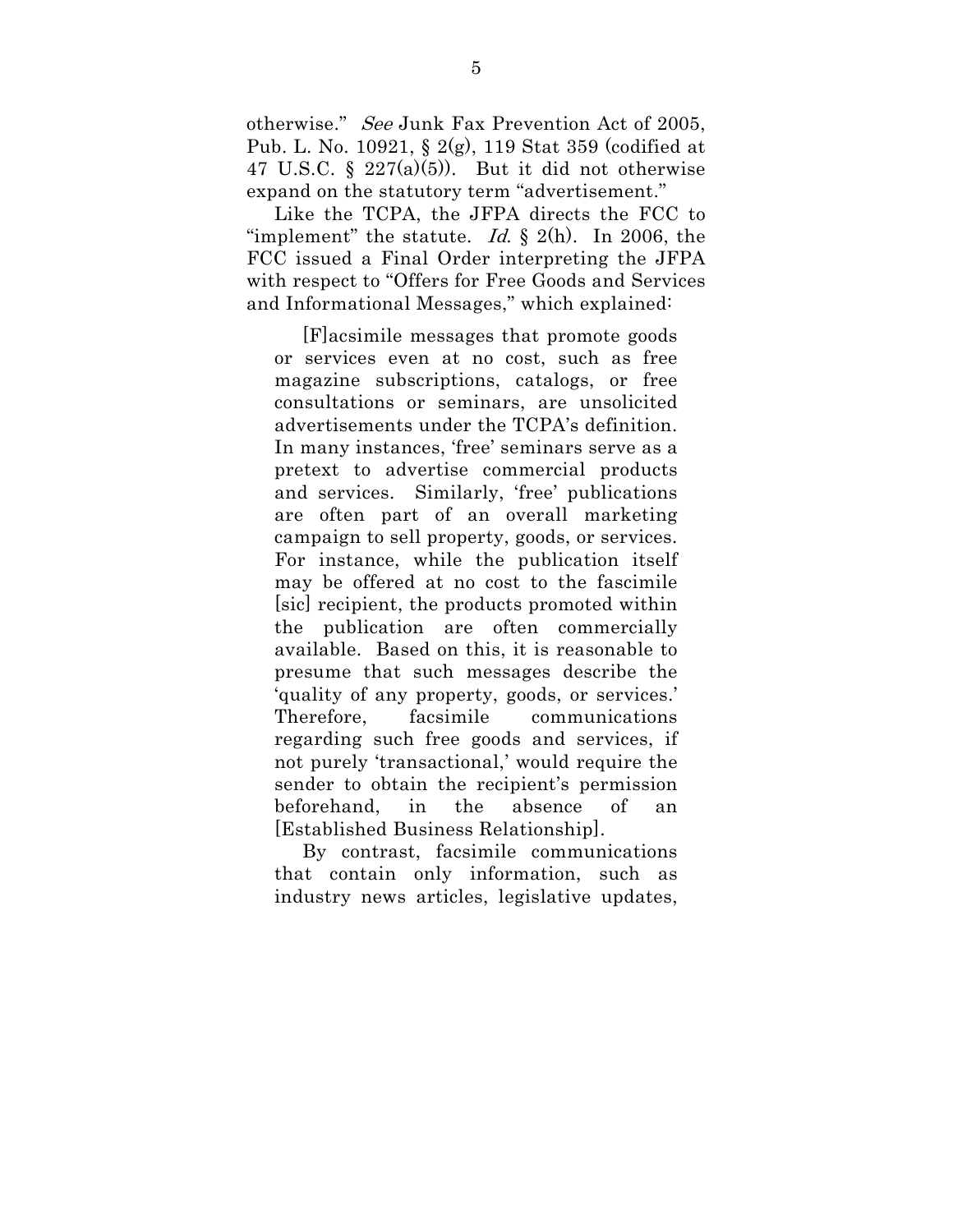otherwise." See Junk Fax Prevention Act of 2005, Pub. L. No. 10921, § 2(g), 119 Stat 359 (codified at 47 U.S.C.  $\S$  227(a)(5)). But it did not otherwise expand on the statutory term "advertisement."

Like the TCPA, the JFPA directs the FCC to "implement" the statute. Id.  $\S$  2(h). In 2006, the FCC issued a Final Order interpreting the JFPA with respect to "Offers for Free Goods and Services and Informational Messages," which explained:

[F]acsimile messages that promote goods or services even at no cost, such as free magazine subscriptions, catalogs, or free consultations or seminars, are unsolicited advertisements under the TCPA's definition. In many instances, 'free' seminars serve as a pretext to advertise commercial products and services. Similarly, 'free' publications are often part of an overall marketing campaign to sell property, goods, or services. For instance, while the publication itself may be offered at no cost to the fascimile [sic] recipient, the products promoted within the publication are often commercially available. Based on this, it is reasonable to presume that such messages describe the 'quality of any property, goods, or services.' Therefore, facsimile communications regarding such free goods and services, if not purely 'transactional,' would require the sender to obtain the recipient's permission beforehand, in the absence of an [Established Business Relationship].

By contrast, facsimile communications that contain only information, such as industry news articles, legislative updates,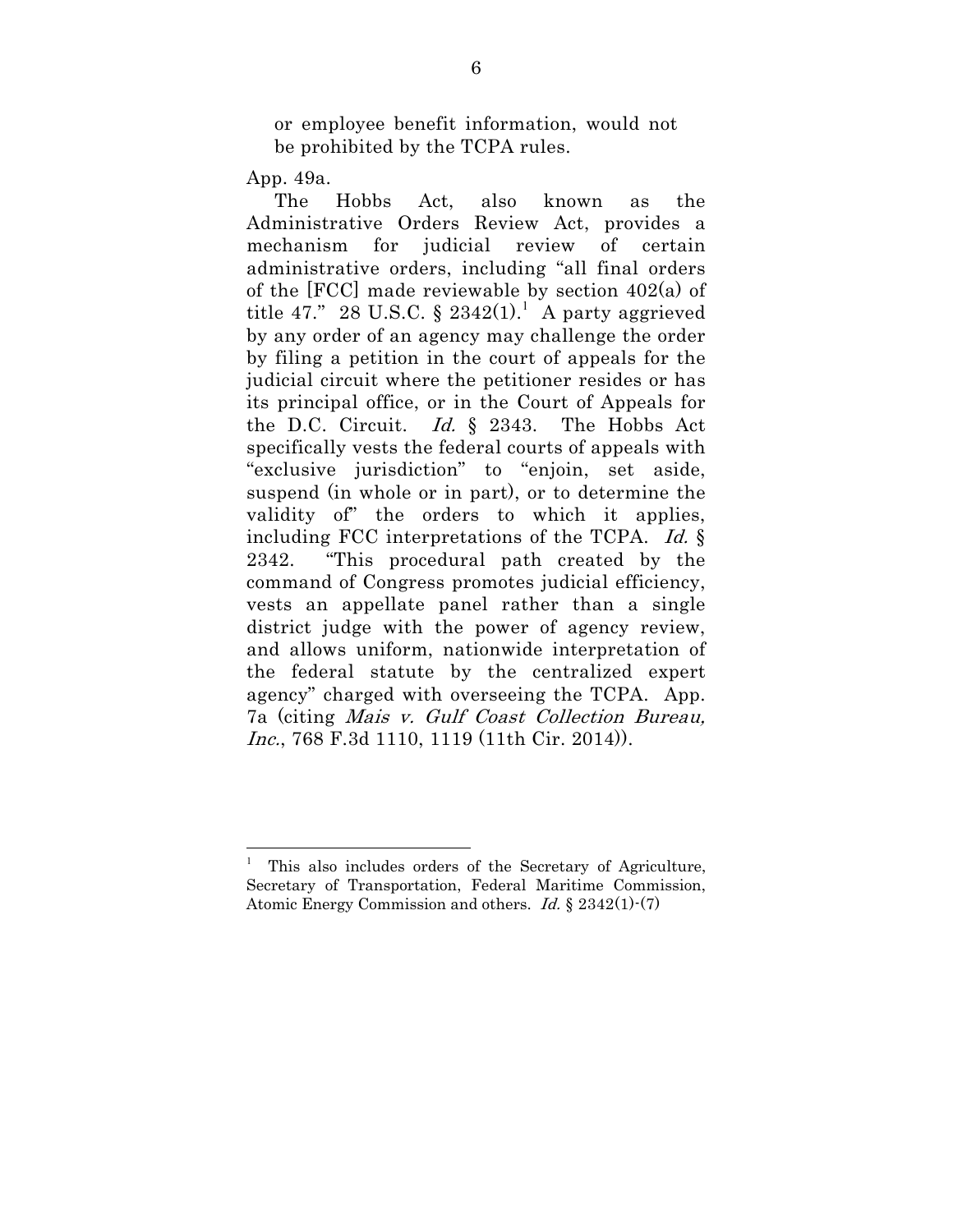or employee benefit information, would not be prohibited by the TCPA rules.

App. 49a.

 $\overline{a}$ 

The Hobbs Act, also known as the Administrative Orders Review Act, provides a mechanism for judicial review of certain administrative orders, including "all final orders of the [FCC] made reviewable by section 402(a) of title 47." 28 U.S.C. § 2342(1).<sup>1</sup> A party aggrieved by any order of an agency may challenge the order by filing a petition in the court of appeals for the judicial circuit where the petitioner resides or has its principal office, or in the Court of Appeals for the D.C. Circuit. Id. § 2343. The Hobbs Act specifically vests the federal courts of appeals with "exclusive jurisdiction" to "enjoin, set aside, suspend (in whole or in part), or to determine the validity of" the orders to which it applies, including FCC interpretations of the TCPA. Id. § 2342. "This procedural path created by the command of Congress promotes judicial efficiency, vests an appellate panel rather than a single district judge with the power of agency review, and allows uniform, nationwide interpretation of the federal statute by the centralized expert agency" charged with overseeing the TCPA. App. 7a (citing Mais v. Gulf Coast Collection Bureau, Inc., 768 F.3d 1110, 1119 (11th Cir. 2014).

<sup>1</sup> This also includes orders of the Secretary of Agriculture, Secretary of Transportation, Federal Maritime Commission, Atomic Energy Commission and others. Id. § 2342(1)-(7)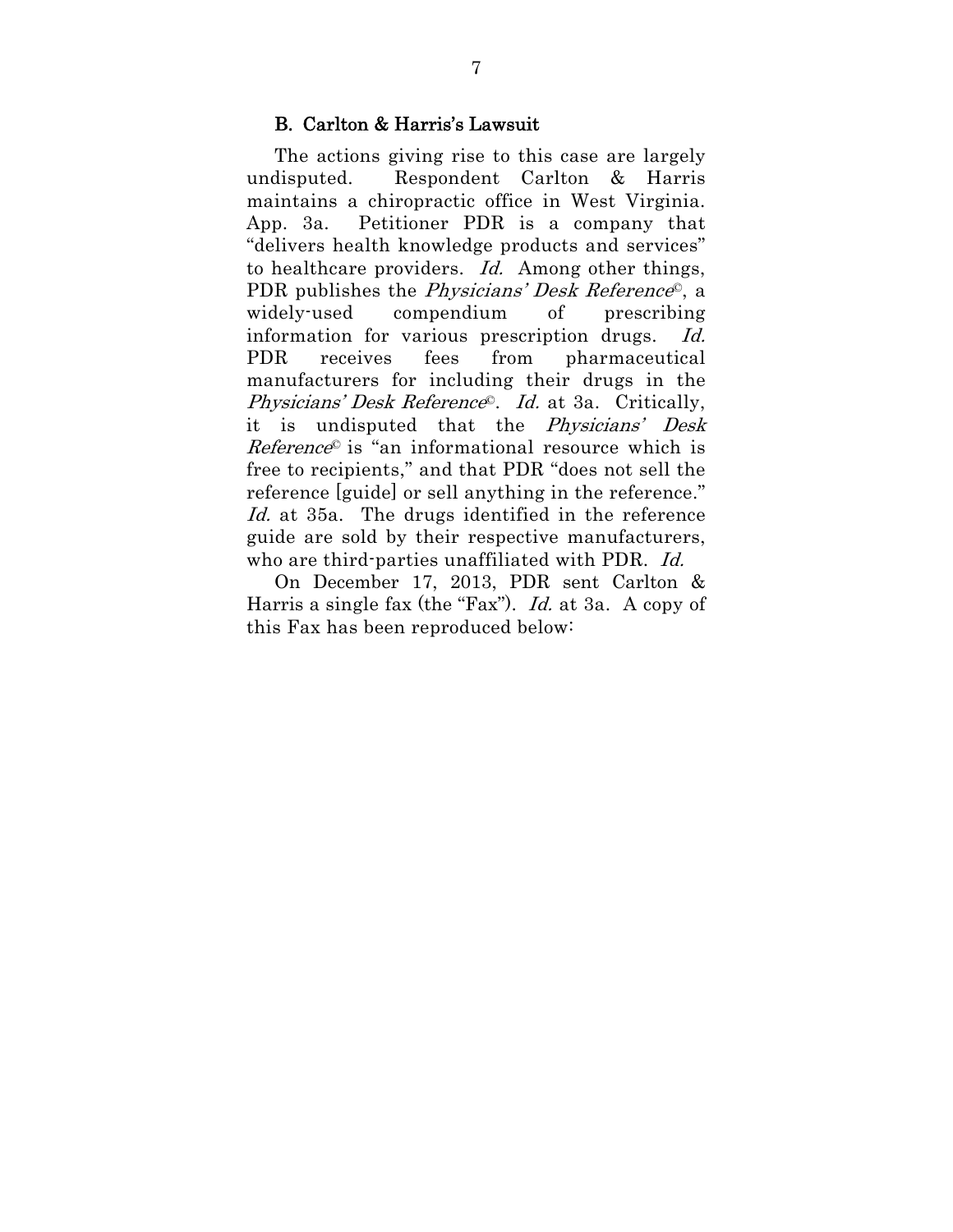#### B. Carlton & Harris's Lawsuit

The actions giving rise to this case are largely undisputed. Respondent Carlton & Harris maintains a chiropractic office in West Virginia. App. 3a. Petitioner PDR is a company that "delivers health knowledge products and services" to healthcare providers. Id. Among other things, PDR publishes the *Physicians' Desk Reference*<sup>©</sup>, a widely-used compendium of prescribing information for various prescription drugs. Id. PDR receives fees from pharmaceutical manufacturers for including their drugs in the Physicians' Desk Reference©. Id. at 3a. Critically, it is undisputed that the Physicians' Desk  $Reference<sup>°</sup>$  is "an informational resource which is free to recipients," and that PDR "does not sell the reference [guide] or sell anything in the reference." Id. at 35a. The drugs identified in the reference guide are sold by their respective manufacturers, who are third-parties unaffiliated with PDR. Id.

On December 17, 2013, PDR sent Carlton & Harris a single fax (the "Fax"). Id. at 3a. A copy of this Fax has been reproduced below: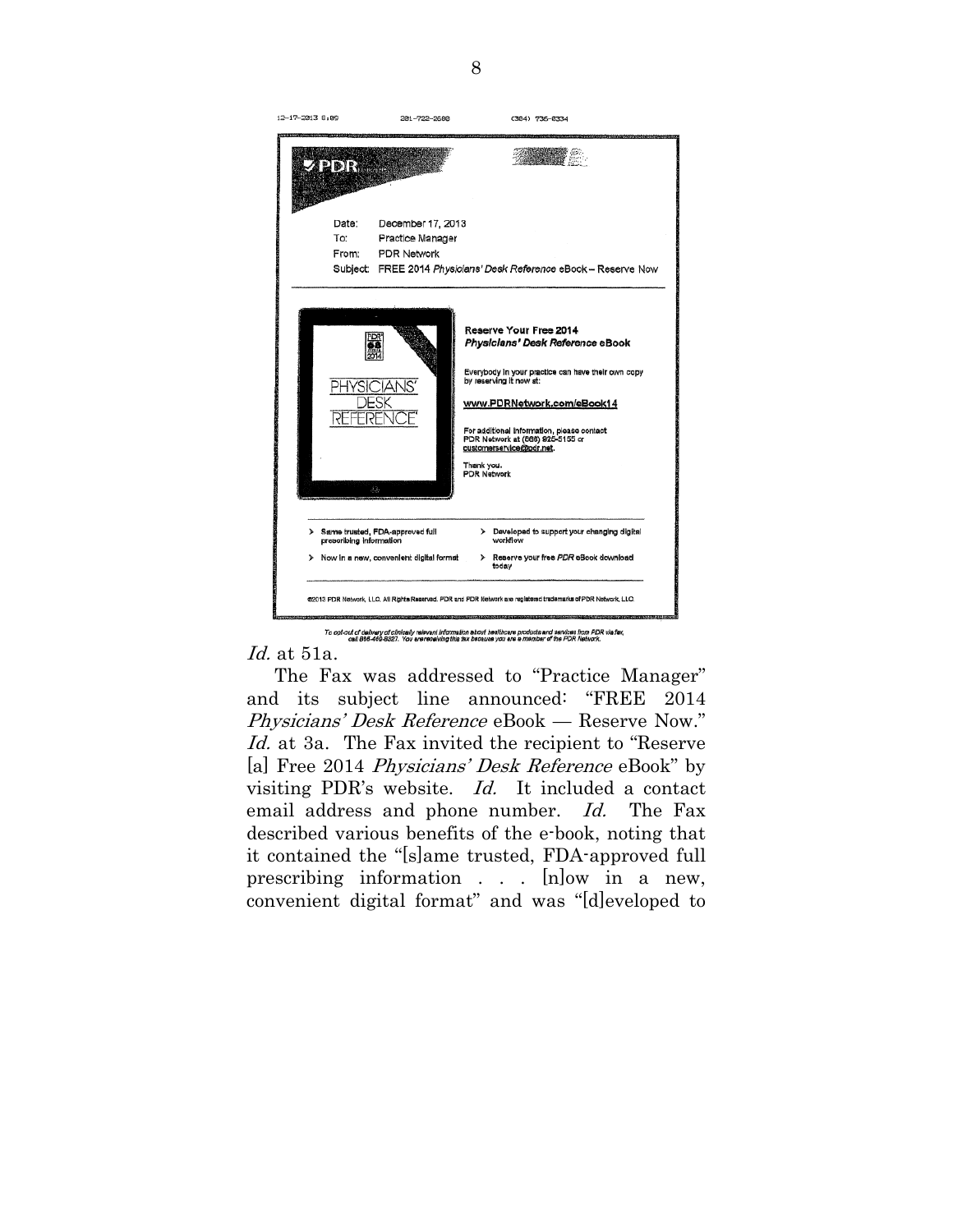

.<br>To opt-out of delivery of clinically relevant information about healthcare products and services from PDR via fax,<br>oall 866-469-8327. You are receiving this fax because you are a member of the PDR Network.

Id. at 51a.

The Fax was addressed to "Practice Manager" and its subject line announced: "FREE 2014 Physicians' Desk Reference eBook — Reserve Now." Id. at 3a. The Fax invited the recipient to "Reserve" [a] Free 2014 *Physicians' Desk Reference* eBook" by visiting PDR's website. Id. It included a contact email address and phone number. *Id.* The Fax described various benefits of the e-book, noting that it contained the "[s]ame trusted, FDA-approved full prescribing information . . . [n]ow in a new, convenient digital format" and was "[d]eveloped to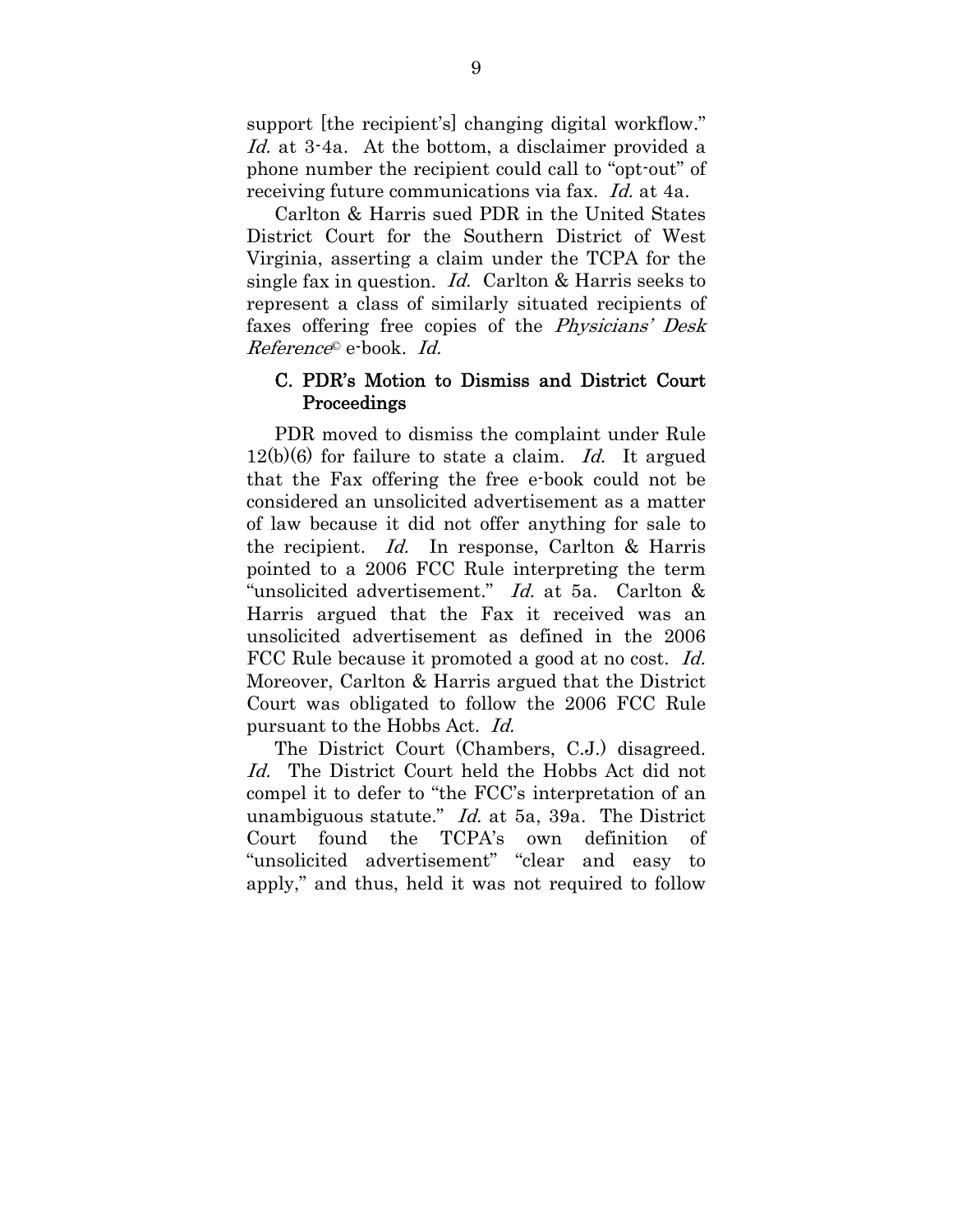support [the recipient's] changing digital workflow." Id. at 3.4a. At the bottom, a disclaimer provided a phone number the recipient could call to "opt-out" of receiving future communications via fax. Id. at 4a.

Carlton & Harris sued PDR in the United States District Court for the Southern District of West Virginia, asserting a claim under the TCPA for the single fax in question. Id. Carlton & Harris seeks to represent a class of similarly situated recipients of faxes offering free copies of the Physicians' Desk Reference© e-book. Id.

### C. PDR's Motion to Dismiss and District Court Proceedings

PDR moved to dismiss the complaint under Rule  $12(b)(6)$  for failure to state a claim. Id. It argued that the Fax offering the free e-book could not be considered an unsolicited advertisement as a matter of law because it did not offer anything for sale to the recipient. Id. In response, Carlton & Harris pointed to a 2006 FCC Rule interpreting the term "unsolicited advertisement." Id. at 5a. Carlton & Harris argued that the Fax it received was an unsolicited advertisement as defined in the 2006 FCC Rule because it promoted a good at no cost. Id. Moreover, Carlton & Harris argued that the District Court was obligated to follow the 2006 FCC Rule pursuant to the Hobbs Act. Id.

The District Court (Chambers, C.J.) disagreed. Id. The District Court held the Hobbs Act did not compel it to defer to "the FCC's interpretation of an unambiguous statute." Id. at 5a, 39a. The District Court found the TCPA's own definition of "unsolicited advertisement" "clear and easy to apply," and thus, held it was not required to follow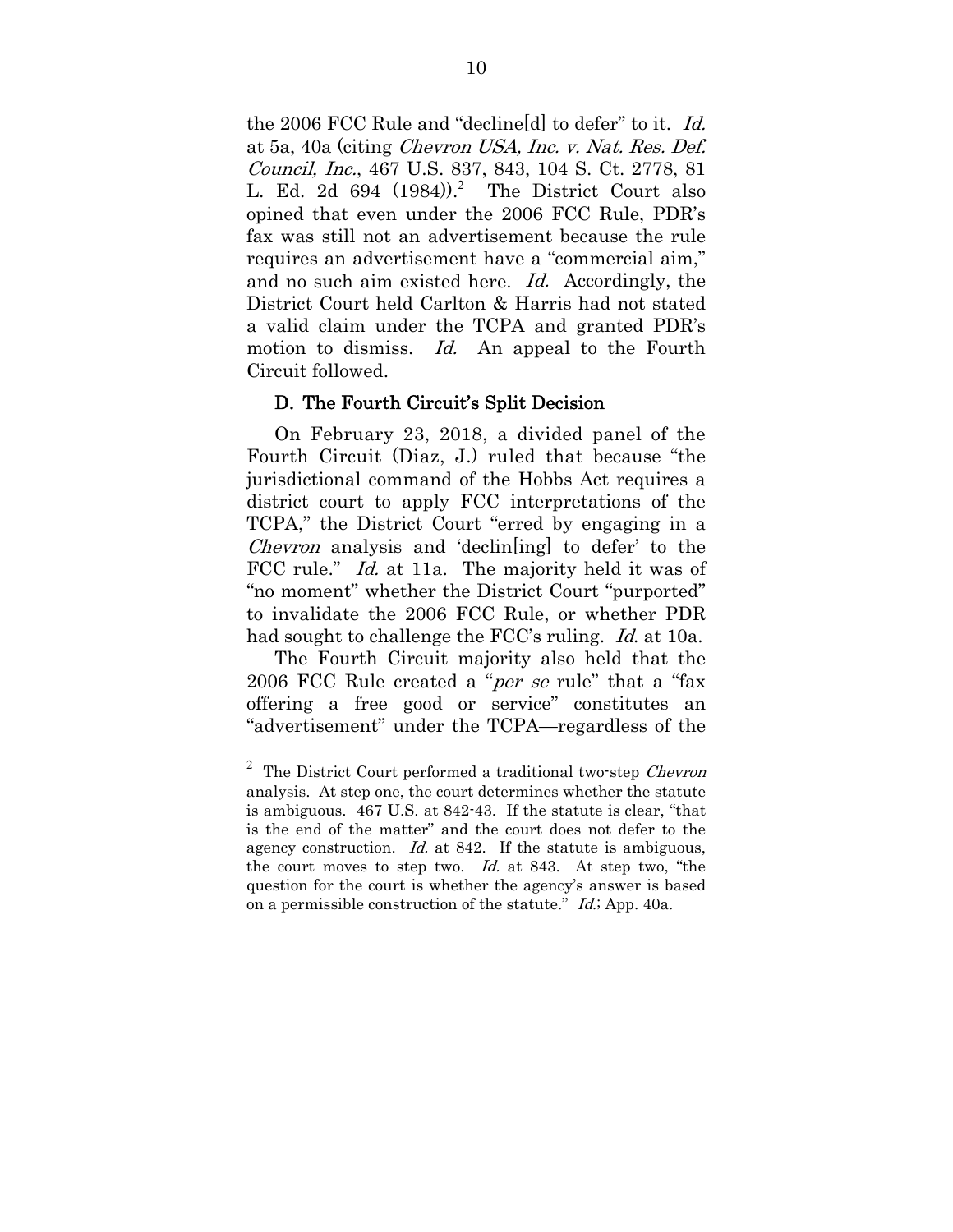the 2006 FCC Rule and "decline[d] to defer" to it. Id. at 5a, 40a (citing Chevron USA, Inc. v. Nat. Res. Def. Council, Inc., 467 U.S. 837, 843, 104 S. Ct. 2778, 81 L. Ed. 2d  $694$   $(1984)$ .<sup>2</sup> The District Court also opined that even under the 2006 FCC Rule, PDR's fax was still not an advertisement because the rule requires an advertisement have a "commercial aim," and no such aim existed here. Id. Accordingly, the District Court held Carlton & Harris had not stated a valid claim under the TCPA and granted PDR's motion to dismiss. Id. An appeal to the Fourth Circuit followed.

#### D. The Fourth Circuit's Split Decision

On February 23, 2018, a divided panel of the Fourth Circuit (Diaz, J.) ruled that because "the jurisdictional command of the Hobbs Act requires a district court to apply FCC interpretations of the TCPA," the District Court "erred by engaging in a *Chevron* analysis and 'declin[ing] to defer' to the FCC rule." *Id.* at 11a. The majority held it was of "no moment" whether the District Court "purported" to invalidate the 2006 FCC Rule, or whether PDR had sought to challenge the FCC's ruling. Id. at 10a.

The Fourth Circuit majority also held that the 2006 FCC Rule created a "*per se* rule" that a "fax offering a free good or service" constitutes an "advertisement" under the TCPA—regardless of the

<sup>2</sup> The District Court performed a traditional two-step Chevron analysis. At step one, the court determines whether the statute is ambiguous. 467 U.S. at 842-43. If the statute is clear, "that is the end of the matter" and the court does not defer to the agency construction. *Id.* at 842. If the statute is ambiguous, the court moves to step two. Id. at 843. At step two, "the question for the court is whether the agency's answer is based on a permissible construction of the statute." *Id.*; App. 40a.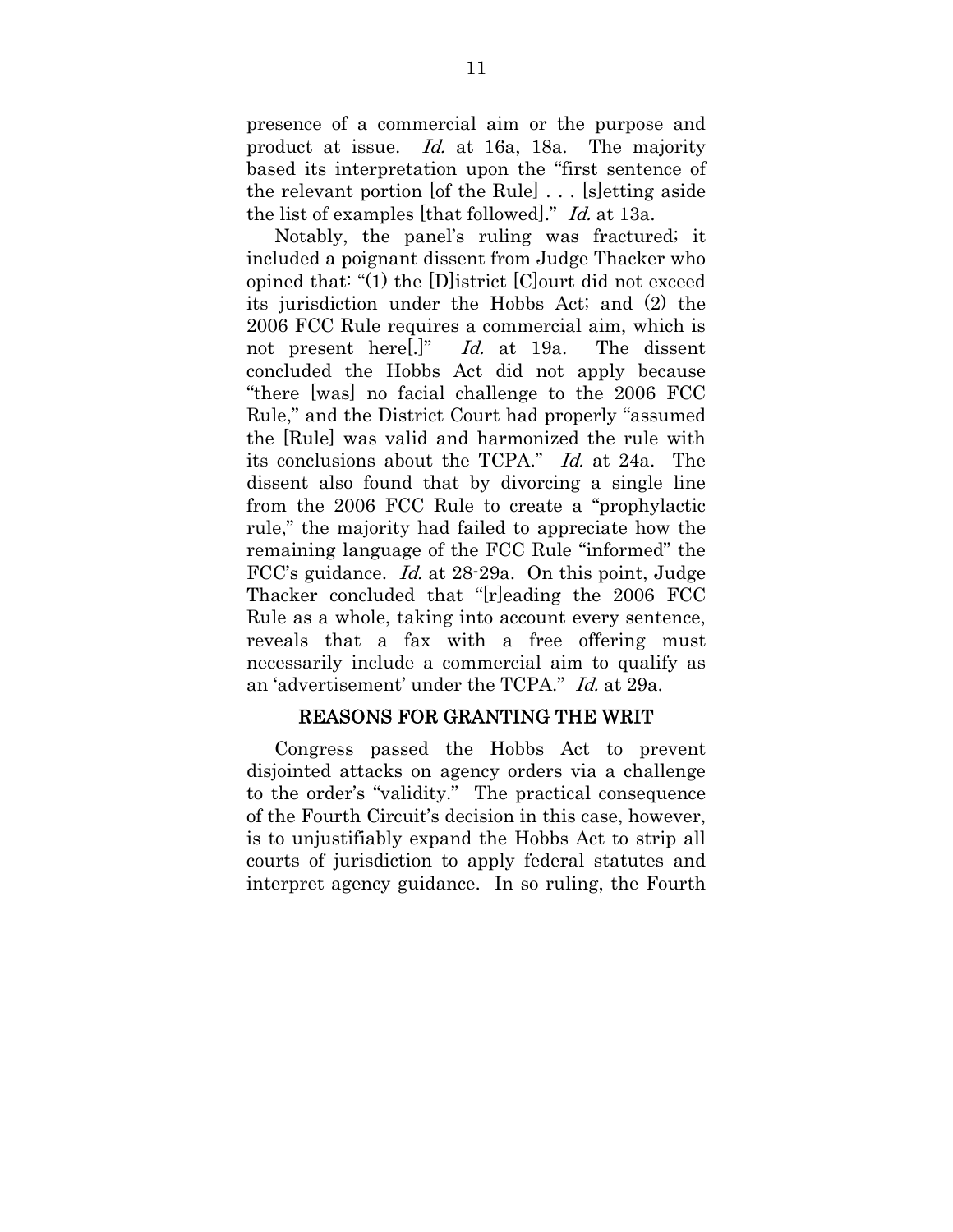presence of a commercial aim or the purpose and product at issue. Id. at 16a, 18a. The majority based its interpretation upon the "first sentence of the relevant portion [of the Rule] . . . [s]etting aside the list of examples [that followed]." Id. at 13a.

Notably, the panel's ruling was fractured; it included a poignant dissent from Judge Thacker who opined that: "(1) the [D]istrict [C]ourt did not exceed its jurisdiction under the Hobbs Act; and (2) the 2006 FCC Rule requires a commercial aim, which is not present here..." Id. at 19a. The dissent concluded the Hobbs Act did not apply because "there [was] no facial challenge to the 2006 FCC Rule," and the District Court had properly "assumed the [Rule] was valid and harmonized the rule with its conclusions about the TCPA." Id. at 24a. The dissent also found that by divorcing a single line from the 2006 FCC Rule to create a "prophylactic rule," the majority had failed to appreciate how the remaining language of the FCC Rule "informed" the FCC's guidance. Id. at 28-29a. On this point, Judge Thacker concluded that "[r]eading the 2006 FCC Rule as a whole, taking into account every sentence, reveals that a fax with a free offering must necessarily include a commercial aim to qualify as an 'advertisement' under the TCPA." Id. at 29a.

#### REASONS FOR GRANTING THE WRIT

Congress passed the Hobbs Act to prevent disjointed attacks on agency orders via a challenge to the order's "validity." The practical consequence of the Fourth Circuit's decision in this case, however, is to unjustifiably expand the Hobbs Act to strip all courts of jurisdiction to apply federal statutes and interpret agency guidance. In so ruling, the Fourth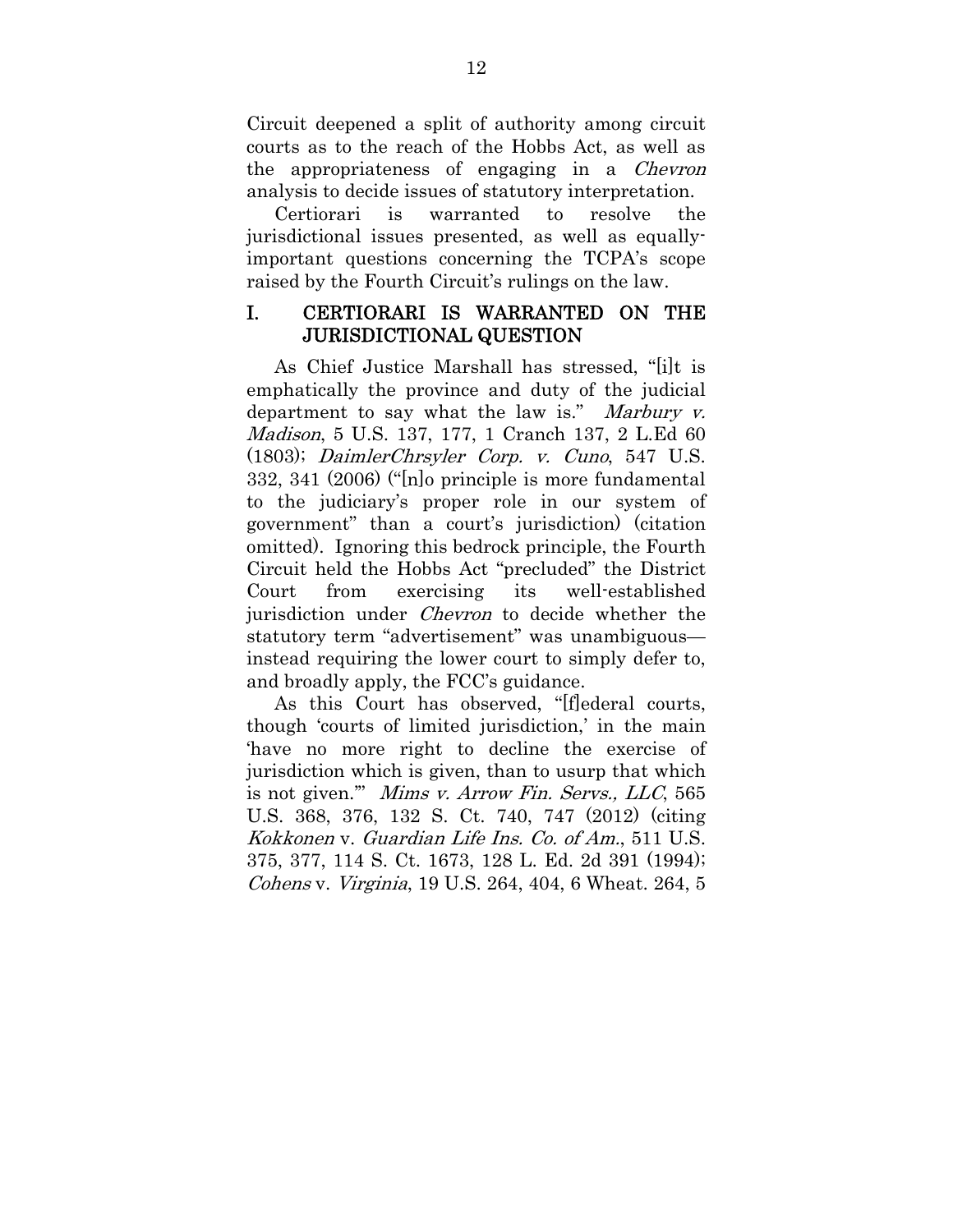Circuit deepened a split of authority among circuit courts as to the reach of the Hobbs Act, as well as the appropriateness of engaging in a *Chevron* analysis to decide issues of statutory interpretation.

Certiorari is warranted to resolve the jurisdictional issues presented, as well as equallyimportant questions concerning the TCPA's scope raised by the Fourth Circuit's rulings on the law.

## I. CERTIORARI IS WARRANTED ON THE JURISDICTIONAL QUESTION

As Chief Justice Marshall has stressed, "[i]t is emphatically the province and duty of the judicial department to say what the law is." Marbury v. Madison, 5 U.S. 137, 177, 1 Cranch 137, 2 L.Ed 60 (1803); DaimlerChrsyler Corp. v. Cuno, 547 U.S. 332, 341 (2006) ("[n]o principle is more fundamental to the judiciary's proper role in our system of government" than a court's jurisdiction) (citation omitted). Ignoring this bedrock principle, the Fourth Circuit held the Hobbs Act "precluded" the District Court from exercising its well-established jurisdiction under Chevron to decide whether the statutory term "advertisement" was unambiguous instead requiring the lower court to simply defer to, and broadly apply, the FCC's guidance.

As this Court has observed, "[f]ederal courts, though 'courts of limited jurisdiction,' in the main 'have no more right to decline the exercise of jurisdiction which is given, than to usurp that which is not given." Mims v. Arrow Fin. Servs., LLC, 565 U.S. 368, 376, 132 S. Ct. 740, 747 (2012) (citing Kokkonen v. Guardian Life Ins. Co. of Am., 511 U.S. 375, 377, 114 S. Ct. 1673, 128 L. Ed. 2d 391 (1994); Cohens v. Virginia, 19 U.S. 264, 404, 6 Wheat. 264, 5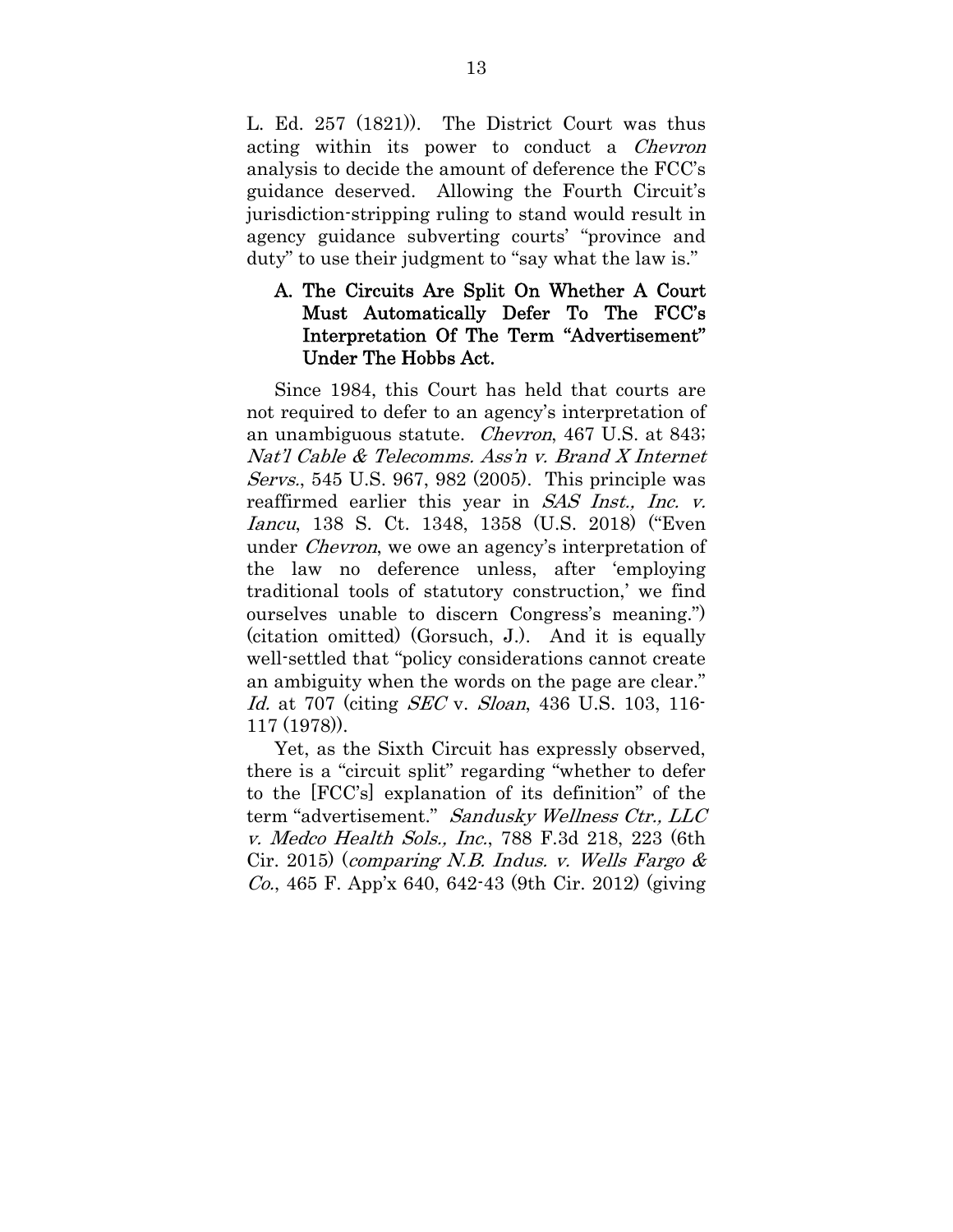L. Ed. 257 (1821)). The District Court was thus acting within its power to conduct a Chevron analysis to decide the amount of deference the FCC's guidance deserved. Allowing the Fourth Circuit's jurisdiction-stripping ruling to stand would result in agency guidance subverting courts' "province and duty" to use their judgment to "say what the law is."

## A. The Circuits Are Split On Whether A Court Must Automatically Defer To The FCC's Interpretation Of The Term "Advertisement" Under The Hobbs Act.

Since 1984, this Court has held that courts are not required to defer to an agency's interpretation of an unambiguous statute. Chevron, 467 U.S. at 843; Nat'l Cable & Telecomms. Ass'n v. Brand X Internet Servs., 545 U.S. 967, 982 (2005). This principle was reaffirmed earlier this year in SAS Inst., Inc. v. Iancu, 138 S. Ct. 1348, 1358 (U.S. 2018) ("Even under Chevron, we owe an agency's interpretation of the law no deference unless, after 'employing traditional tools of statutory construction,' we find ourselves unable to discern Congress's meaning.") (citation omitted) (Gorsuch, J.). And it is equally well-settled that "policy considerations cannot create an ambiguity when the words on the page are clear." Id. at 707 (citing *SEC* v. *Sloan*, 436 U.S. 103, 116-117 (1978)).

Yet, as the Sixth Circuit has expressly observed, there is a "circuit split" regarding "whether to defer to the [FCC's] explanation of its definition" of the term "advertisement." Sandusky Wellness Ctr., LLC v. Medco Health Sols., Inc., 788 F.3d 218, 223 (6th Cir. 2015) (comparing N.B. Indus. v. Wells Fargo  $\&$ Co., 465 F. App'x 640, 642-43 (9th Cir. 2012) (giving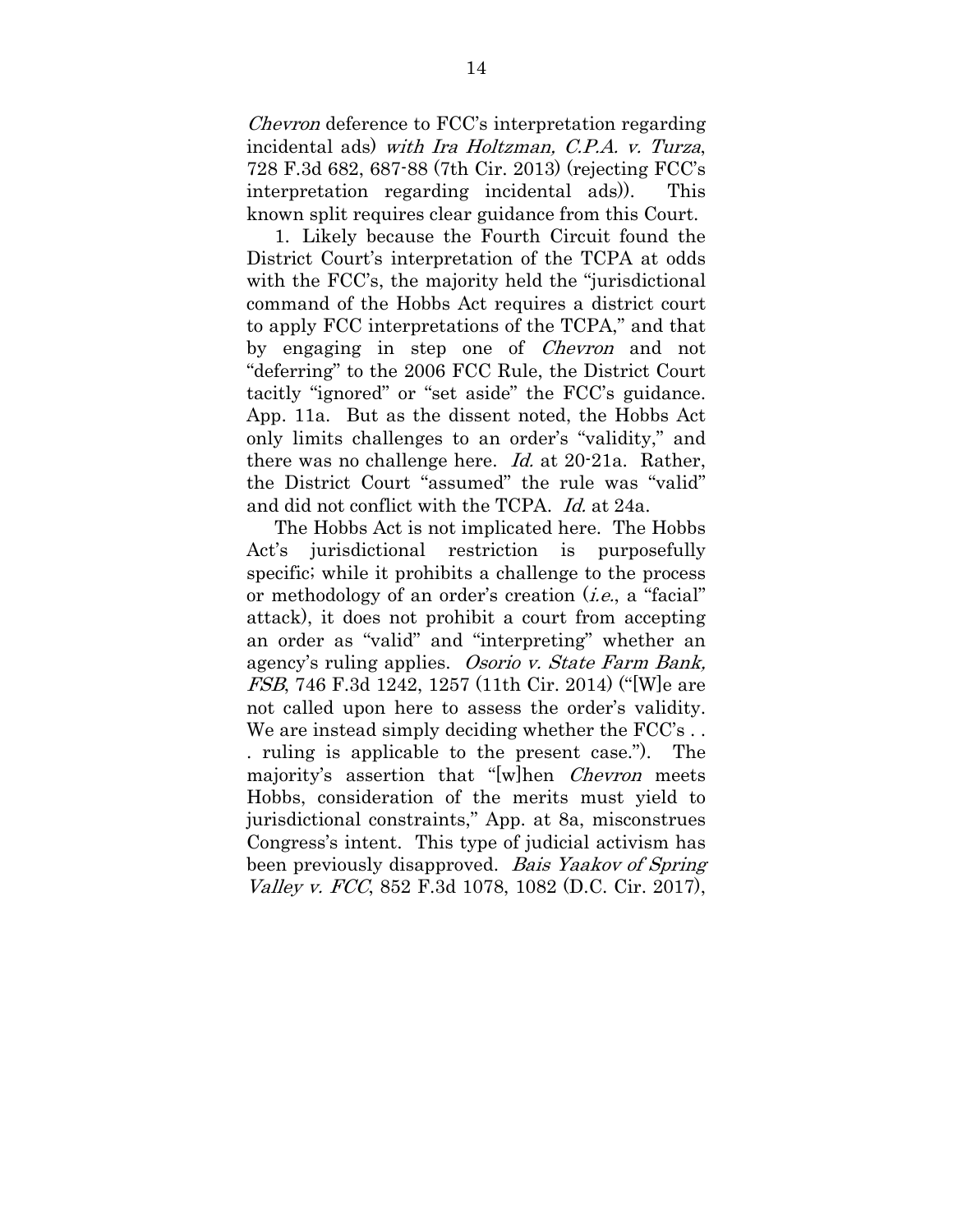Chevron deference to FCC's interpretation regarding incidental ads) with Ira Holtzman, C.P.A. v. Turza, 728 F.3d 682, 687-88 (7th Cir. 2013) (rejecting FCC's interpretation regarding incidental ads)). This known split requires clear guidance from this Court.

1. Likely because the Fourth Circuit found the District Court's interpretation of the TCPA at odds with the FCC's, the majority held the "jurisdictional command of the Hobbs Act requires a district court to apply FCC interpretations of the TCPA," and that by engaging in step one of Chevron and not "deferring" to the 2006 FCC Rule, the District Court tacitly "ignored" or "set aside" the FCC's guidance. App. 11a. But as the dissent noted, the Hobbs Act only limits challenges to an order's "validity," and there was no challenge here. Id. at 20-21a. Rather, the District Court "assumed" the rule was "valid" and did not conflict with the TCPA. Id. at 24a.

The Hobbs Act is not implicated here. The Hobbs Act's jurisdictional restriction is purposefully specific; while it prohibits a challenge to the process or methodology of an order's creation (i.e., a "facial" attack), it does not prohibit a court from accepting an order as "valid" and "interpreting" whether an agency's ruling applies. Osorio v. State Farm Bank, FSB, 746 F.3d 1242, 1257 (11th Cir. 2014) ("[W]e are not called upon here to assess the order's validity. We are instead simply deciding whether the FCC's... . ruling is applicable to the present case."). The majority's assertion that "[w]hen *Chevron* meets Hobbs, consideration of the merits must yield to jurisdictional constraints," App. at 8a, misconstrues Congress's intent. This type of judicial activism has been previously disapproved. Bais Yaakov of Spring Valley v. FCC, 852 F.3d 1078, 1082 (D.C. Cir. 2017),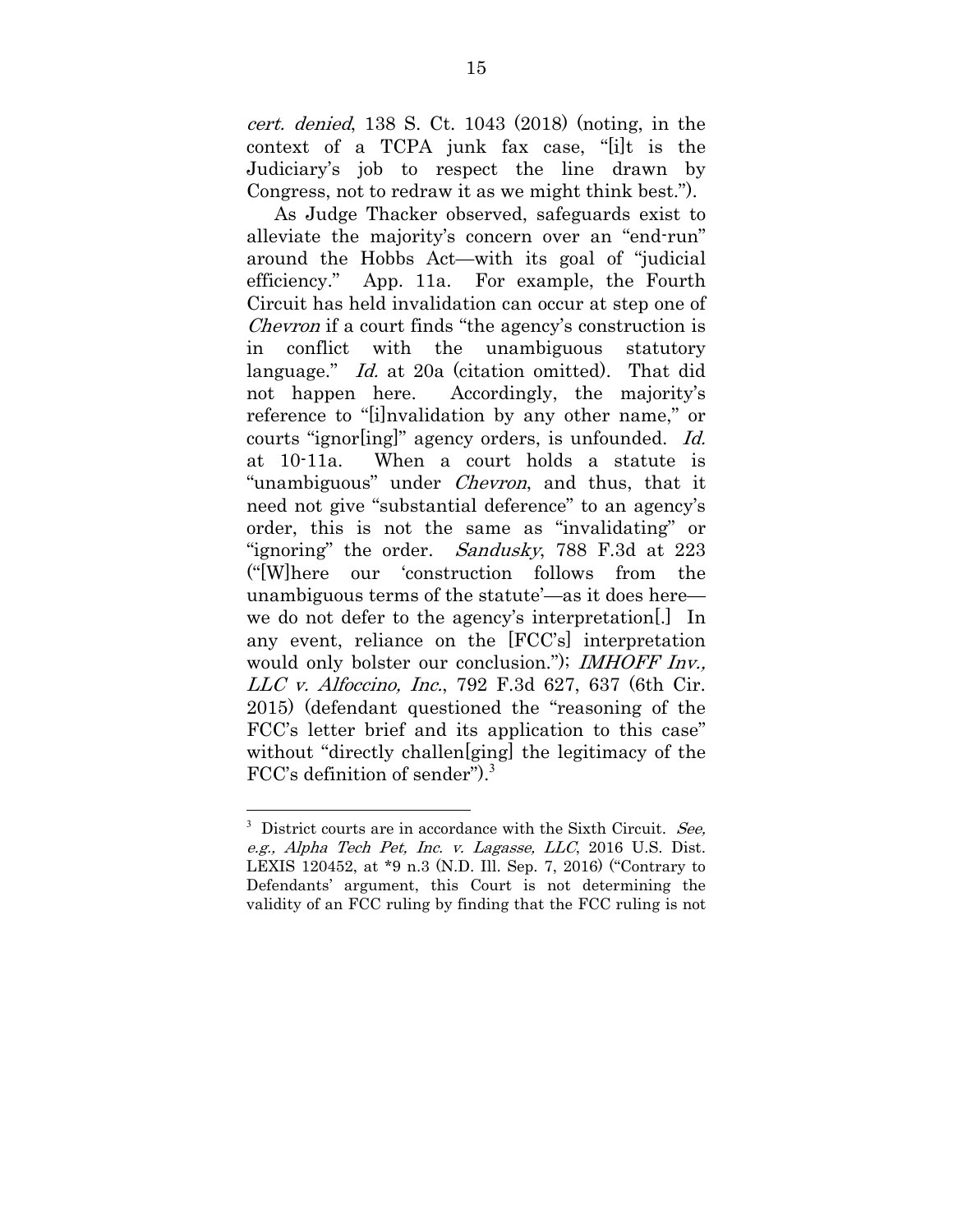cert. denied, 138 S. Ct. 1043 (2018) (noting, in the context of a TCPA junk fax case, "[i]t is the Judiciary's job to respect the line drawn by Congress, not to redraw it as we might think best.").

As Judge Thacker observed, safeguards exist to alleviate the majority's concern over an "end-run" around the Hobbs Act—with its goal of "judicial efficiency." App. 11a. For example, the Fourth Circuit has held invalidation can occur at step one of Chevron if a court finds "the agency's construction is in conflict with the unambiguous statutory language." Id. at 20a (citation omitted). That did not happen here. Accordingly, the majority's reference to "[i]nvalidation by any other name," or courts "ignor[ing]" agency orders, is unfounded. Id. at 10-11a. When a court holds a statute is "unambiguous" under *Chevron*, and thus, that it need not give "substantial deference" to an agency's order, this is not the same as "invalidating" or "ignoring" the order. Sandusky, 788 F.3d at 223 ("[W]here our 'construction follows from the unambiguous terms of the statute'—as it does here we do not defer to the agency's interpretation[.] In any event, reliance on the [FCC's] interpretation would only bolster our conclusion."); IMHOFF Inv., LLC v. Alfoccino, Inc., 792 F.3d 627, 637 (6th Cir. 2015) (defendant questioned the "reasoning of the FCC's letter brief and its application to this case" without "directly challen[ging] the legitimacy of the FCC's definition of sender").<sup>3</sup>

 $3$  District courts are in accordance with the Sixth Circuit. See, e.g., Alpha Tech Pet, Inc. v. Lagasse, LLC, 2016 U.S. Dist. LEXIS 120452, at \*9 n.3 (N.D. Ill. Sep. 7, 2016) ("Contrary to Defendants' argument, this Court is not determining the validity of an FCC ruling by finding that the FCC ruling is not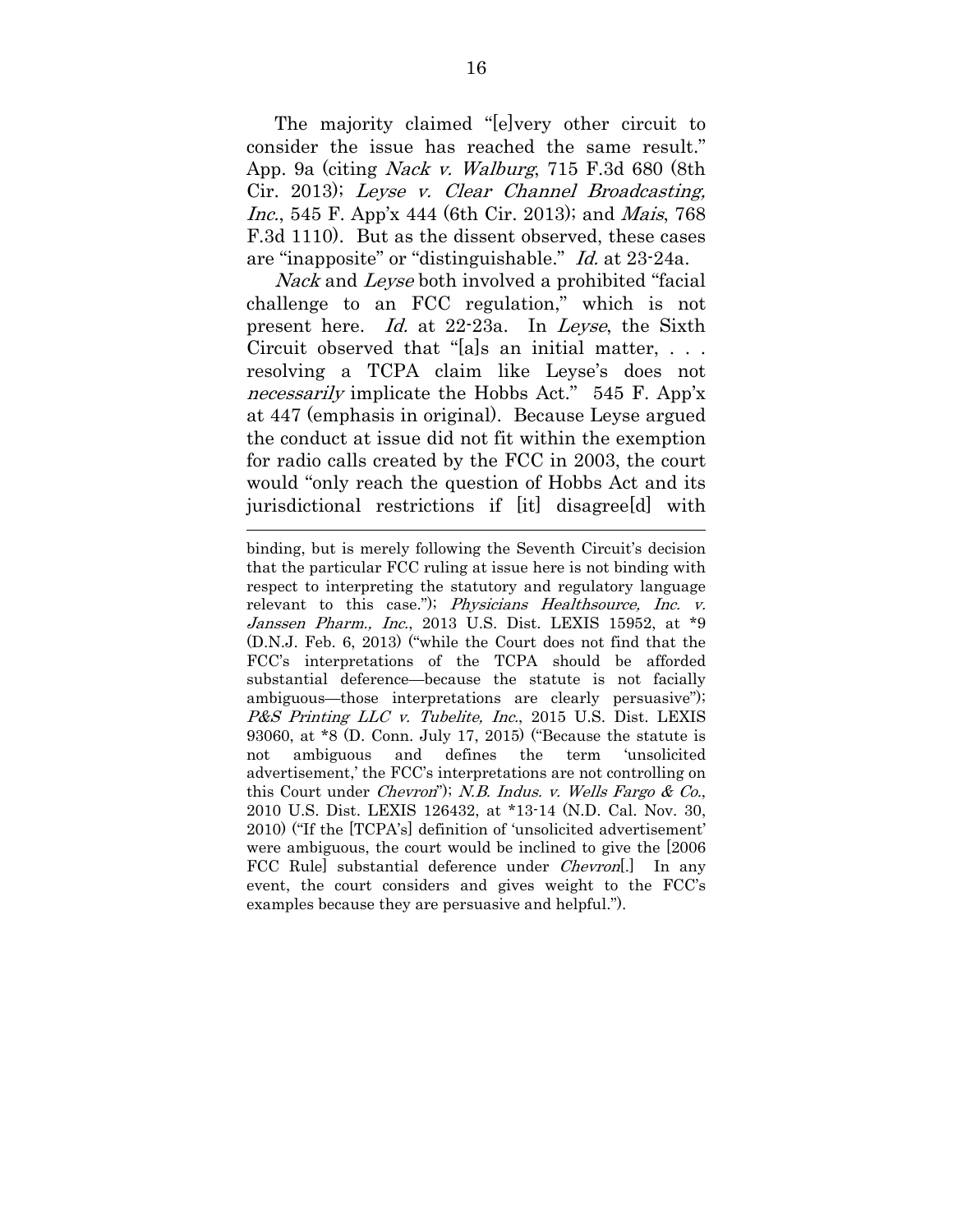The majority claimed "[e]very other circuit to consider the issue has reached the same result." App. 9a (citing Nack v. Walburg, 715 F.3d 680 (8th Cir. 2013); Leyse v. Clear Channel Broadcasting, Inc., 545 F. App'x 444 (6th Cir. 2013); and Mais, 768 F.3d 1110). But as the dissent observed, these cases are "inapposite" or "distinguishable." Id. at 23-24a.

Nack and Leyse both involved a prohibited "facial challenge to an FCC regulation," which is not present here. Id. at 22-23a. In Leyse, the Sixth Circuit observed that "[a]s an initial matter, . . . resolving a TCPA claim like Leyse's does not necessarily implicate the Hobbs Act." 545 F. App'x at 447 (emphasis in original). Because Leyse argued the conduct at issue did not fit within the exemption for radio calls created by the FCC in 2003, the court would "only reach the question of Hobbs Act and its jurisdictional restrictions if [it] disagree[d] with

 $\overline{a}$ 

binding, but is merely following the Seventh Circuit's decision that the particular FCC ruling at issue here is not binding with respect to interpreting the statutory and regulatory language relevant to this case."); *Physicians Healthsource*, *Inc. v.* Janssen Pharm., Inc., 2013 U.S. Dist. LEXIS 15952, at \*9 (D.N.J. Feb. 6, 2013) ("while the Court does not find that the FCC's interpretations of the TCPA should be afforded substantial deference—because the statute is not facially ambiguous—those interpretations are clearly persuasive"); P&S Printing LLC v. Tubelite, Inc., 2015 U.S. Dist. LEXIS 93060, at \*8 (D. Conn. July 17, 2015) ("Because the statute is not ambiguous and defines the term 'unsolicited advertisement,' the FCC's interpretations are not controlling on this Court under Chevron"); N.B. Indus. v. Wells Fargo & Co., 2010 U.S. Dist. LEXIS 126432, at \*13-14 (N.D. Cal. Nov. 30, 2010) ("If the [TCPA's] definition of 'unsolicited advertisement' were ambiguous, the court would be inclined to give the [2006 FCC Rule substantial deference under *Chevron*. In any event, the court considers and gives weight to the FCC's examples because they are persuasive and helpful.").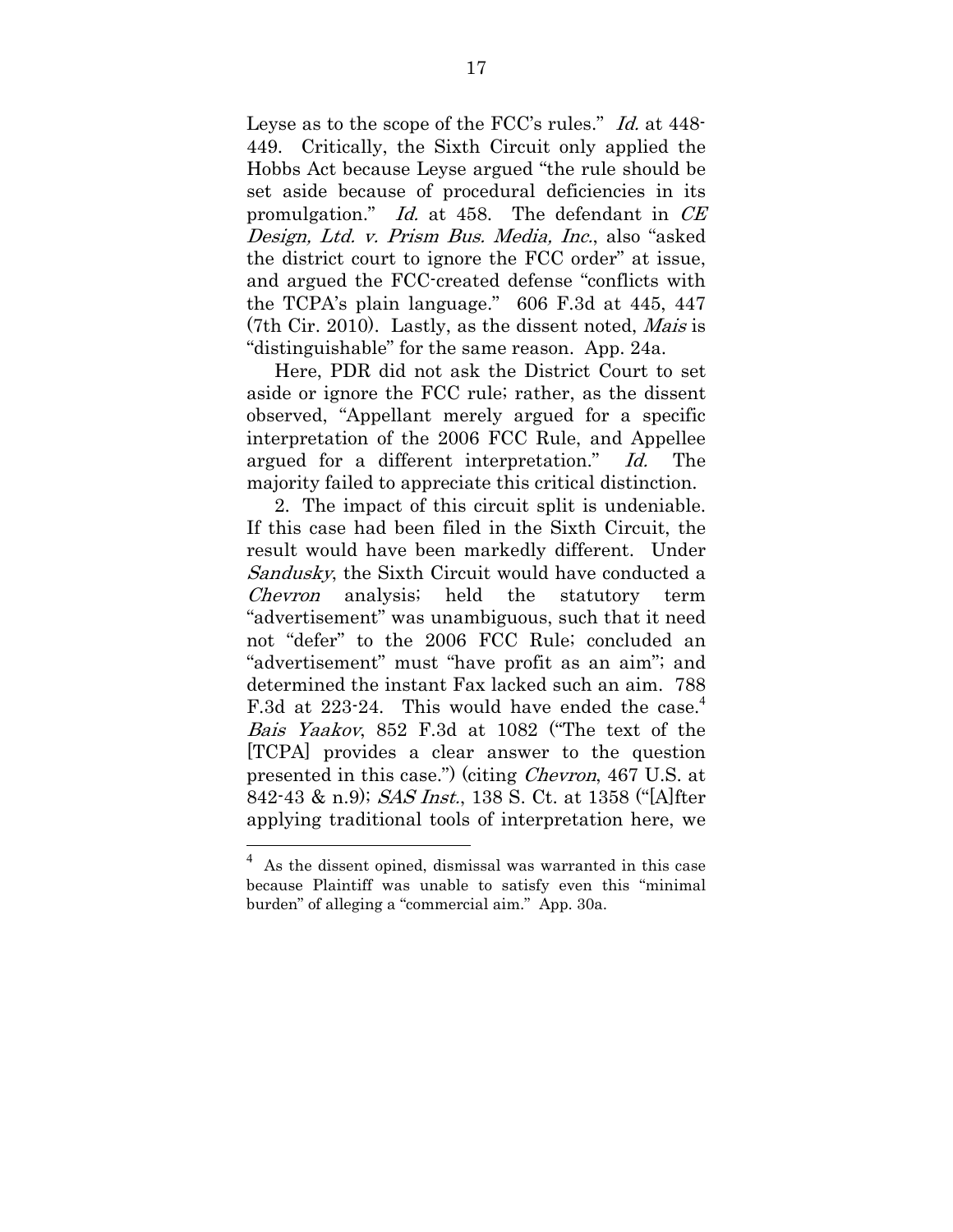Leyse as to the scope of the FCC's rules." Id. at 448- 449. Critically, the Sixth Circuit only applied the Hobbs Act because Leyse argued "the rule should be set aside because of procedural deficiencies in its promulgation." Id. at 458. The defendant in CE Design, Ltd. v. Prism Bus. Media, Inc., also "asked the district court to ignore the FCC order" at issue, and argued the FCC-created defense "conflicts with the TCPA's plain language." 606 F.3d at 445, 447 (7th Cir. 2010). Lastly, as the dissent noted, Mais is "distinguishable" for the same reason. App. 24a.

Here, PDR did not ask the District Court to set aside or ignore the FCC rule; rather, as the dissent observed, "Appellant merely argued for a specific interpretation of the 2006 FCC Rule, and Appellee argued for a different interpretation." Id. The majority failed to appreciate this critical distinction.

2. The impact of this circuit split is undeniable. If this case had been filed in the Sixth Circuit, the result would have been markedly different. Under Sandusky, the Sixth Circuit would have conducted a Chevron analysis; held the statutory term "advertisement" was unambiguous, such that it need not "defer" to the 2006 FCC Rule; concluded an "advertisement" must "have profit as an aim"; and determined the instant Fax lacked such an aim. 788 F.3d at 223-24. This would have ended the case.<sup>4</sup> Bais Yaakov, 852 F.3d at 1082 ("The text of the [TCPA] provides a clear answer to the question presented in this case.") (citing Chevron, 467 U.S. at 842-43 & n.9); SAS Inst., 138 S. Ct. at 1358 ("[A]fter applying traditional tools of interpretation here, we

<sup>4</sup> As the dissent opined, dismissal was warranted in this case because Plaintiff was unable to satisfy even this "minimal burden" of alleging a "commercial aim." App. 30a.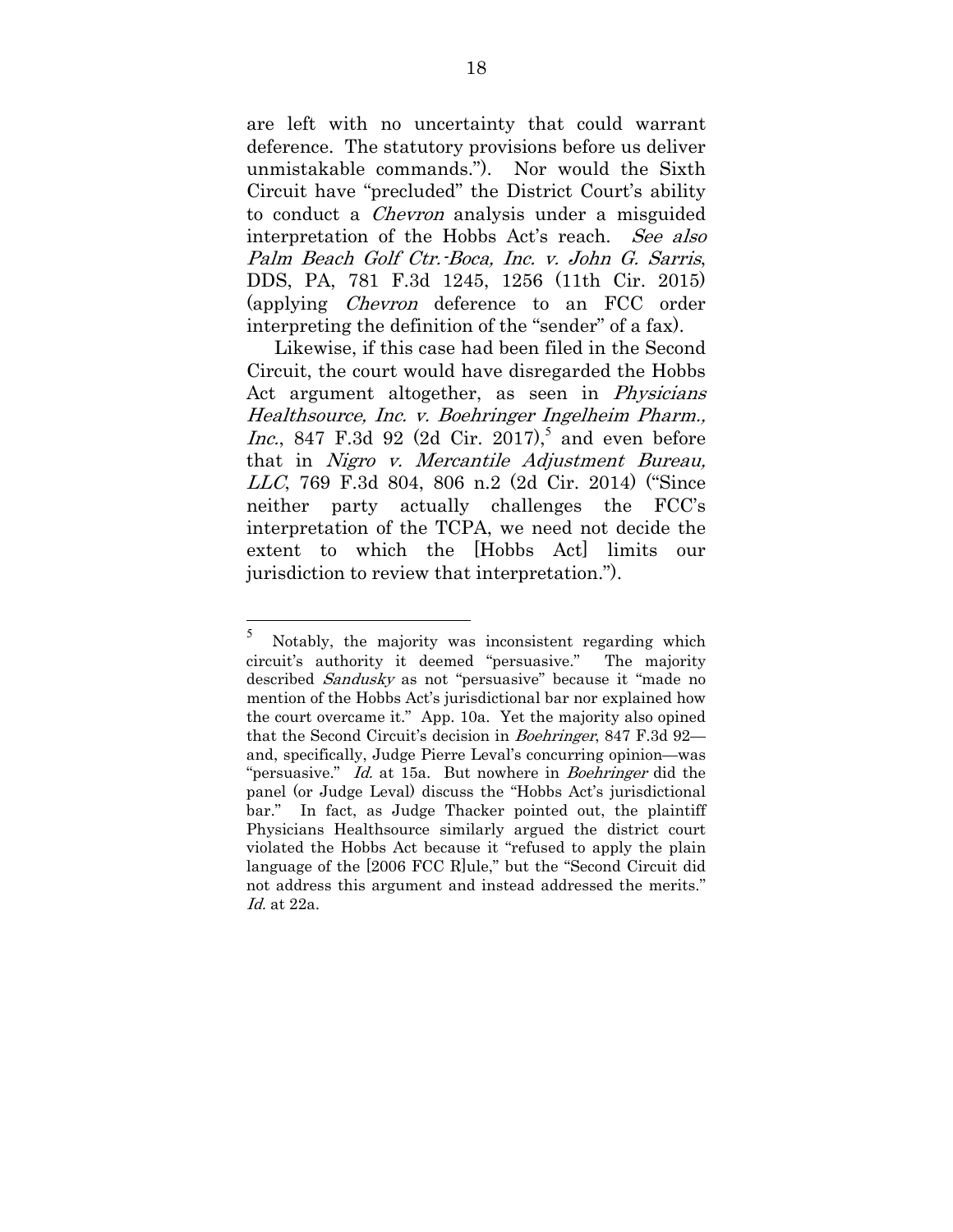are left with no uncertainty that could warrant deference. The statutory provisions before us deliver unmistakable commands."). Nor would the Sixth Circuit have "precluded" the District Court's ability to conduct a Chevron analysis under a misguided interpretation of the Hobbs Act's reach. See also Palm Beach Golf Ctr.-Boca, Inc. v. John G. Sarris, DDS, PA, 781 F.3d 1245, 1256 (11th Cir. 2015) (applying Chevron deference to an FCC order interpreting the definition of the "sender" of a fax).

Likewise, if this case had been filed in the Second Circuit, the court would have disregarded the Hobbs Act argument altogether, as seen in *Physicians* Healthsource, Inc. v. Boehringer Ingelheim Pharm., *Inc.*, 847 F.3d 92 (2d Cir. 2017),<sup>5</sup> and even before that in Nigro v. Mercantile Adjustment Bureau, LLC, 769 F.3d 804, 806 n.2 (2d Cir. 2014) ("Since neither party actually challenges the FCC's interpretation of the TCPA, we need not decide the extent to which the [Hobbs Act] limits our jurisdiction to review that interpretation.").

<sup>5</sup> Notably, the majority was inconsistent regarding which circuit's authority it deemed "persuasive." The majority described Sandusky as not "persuasive" because it "made no mention of the Hobbs Act's jurisdictional bar nor explained how the court overcame it." App. 10a. Yet the majority also opined that the Second Circuit's decision in Boehringer, 847 F.3d 92and, specifically, Judge Pierre Leval's concurring opinion—was "persuasive." Id. at 15a. But nowhere in Boehringer did the panel (or Judge Leval) discuss the "Hobbs Act's jurisdictional bar." In fact, as Judge Thacker pointed out, the plaintiff Physicians Healthsource similarly argued the district court violated the Hobbs Act because it "refused to apply the plain language of the [2006 FCC R]ule," but the "Second Circuit did not address this argument and instead addressed the merits." Id. at 22a.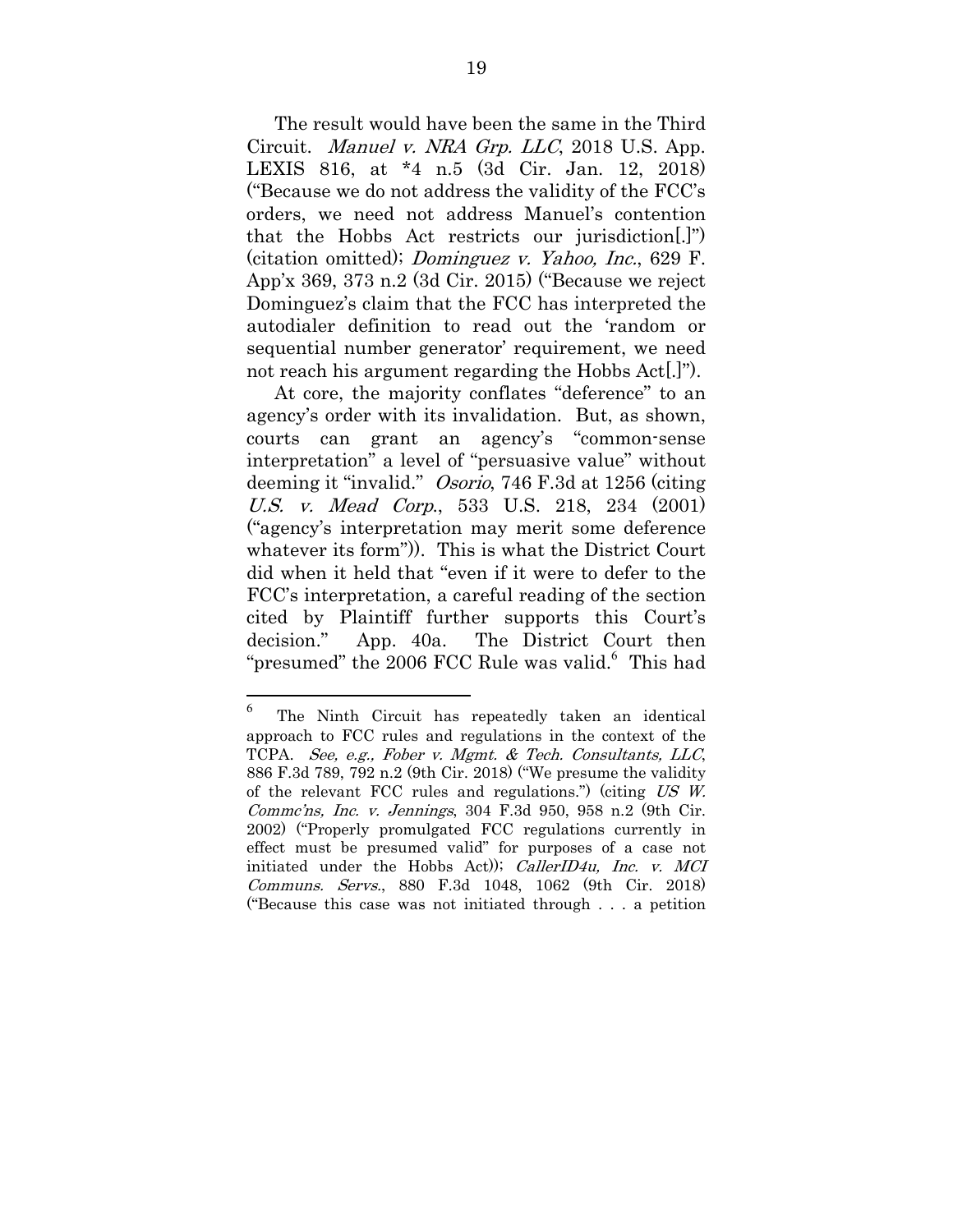The result would have been the same in the Third Circuit. Manuel v. NRA Grp. LLC, 2018 U.S. App. LEXIS 816, at \*4 n.5 (3d Cir. Jan. 12, 2018) ("Because we do not address the validity of the FCC's orders, we need not address Manuel's contention that the Hobbs Act restricts our jurisdiction[.]") (citation omitted); Dominguez v. Yahoo, Inc., 629 F. App'x 369, 373 n.2 (3d Cir. 2015) ("Because we reject Dominguez's claim that the FCC has interpreted the autodialer definition to read out the 'random or sequential number generator' requirement, we need not reach his argument regarding the Hobbs Act[.]").

At core, the majority conflates "deference" to an agency's order with its invalidation. But, as shown, courts can grant an agency's "common-sense interpretation" a level of "persuasive value" without deeming it "invalid." Osorio, 746 F.3d at 1256 (citing U.S. v. Mead Corp., 533 U.S. 218, 234 (2001) ("agency's interpretation may merit some deference whatever its form")). This is what the District Court did when it held that "even if it were to defer to the FCC's interpretation, a careful reading of the section cited by Plaintiff further supports this Court's decision." App. 40a. The District Court then "presumed" the 2006 FCC Rule was valid.<sup>6</sup> This had

 $\frac{1}{6}$  The Ninth Circuit has repeatedly taken an identical approach to FCC rules and regulations in the context of the TCPA. See, e.g., Fober v. Mgmt. & Tech. Consultants, LLC, 886 F.3d 789, 792 n.2 (9th Cir. 2018) ("We presume the validity of the relevant FCC rules and regulations.") (citing US W. Commc'ns, Inc. v. Jennings, 304 F.3d 950, 958 n.2 (9th Cir. 2002) ("Properly promulgated FCC regulations currently in effect must be presumed valid" for purposes of a case not initiated under the Hobbs Act)); *CallerID4u*, *Inc. v. MCI* Communs. Servs., 880 F.3d 1048, 1062 (9th Cir. 2018) ("Because this case was not initiated through . . . a petition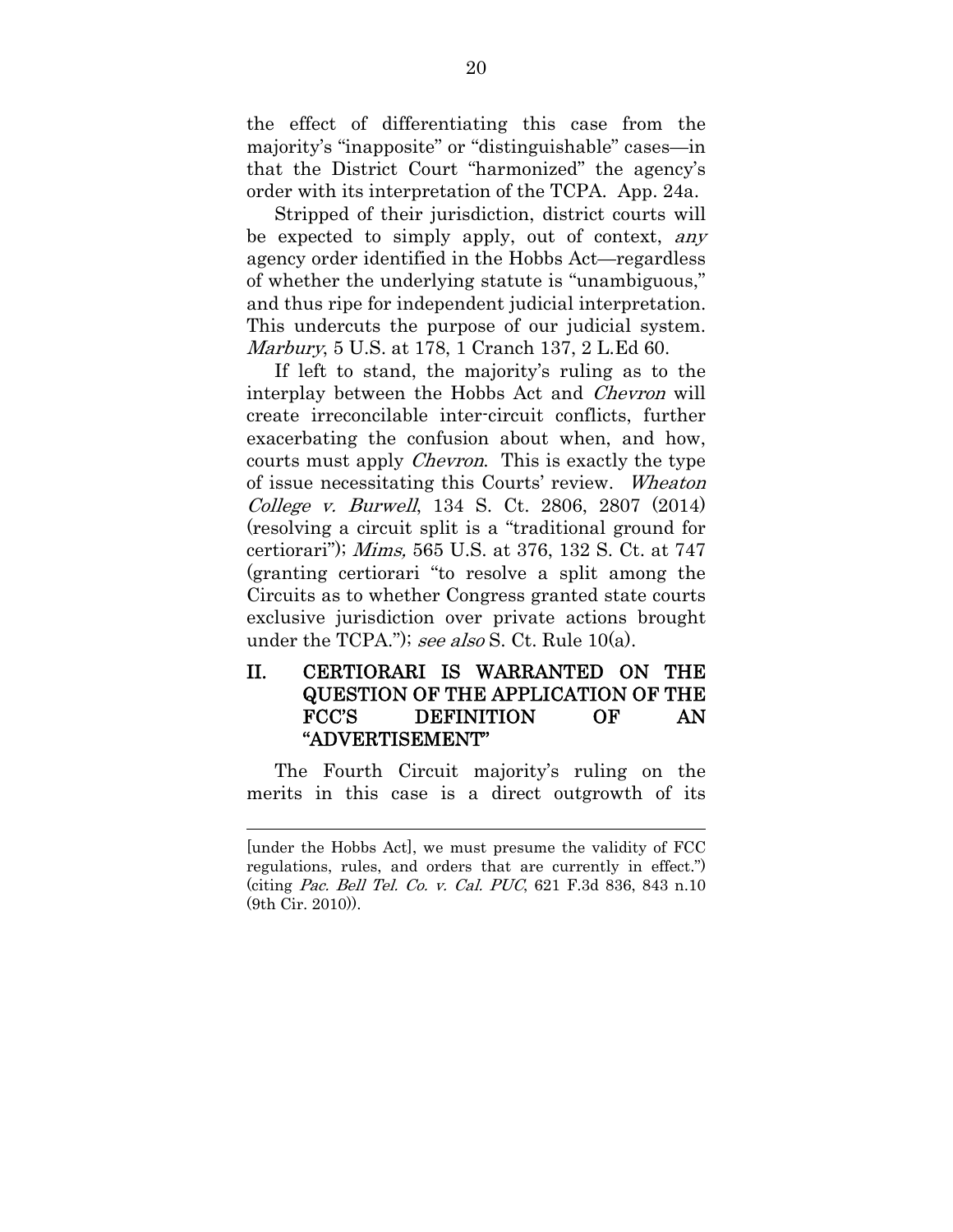the effect of differentiating this case from the majority's "inapposite" or "distinguishable" cases—in that the District Court "harmonized" the agency's order with its interpretation of the TCPA. App. 24a.

Stripped of their jurisdiction, district courts will be expected to simply apply, out of context, any agency order identified in the Hobbs Act—regardless of whether the underlying statute is "unambiguous," and thus ripe for independent judicial interpretation. This undercuts the purpose of our judicial system. Marbury, 5 U.S. at 178, 1 Cranch 137, 2 L.Ed 60.

If left to stand, the majority's ruling as to the interplay between the Hobbs Act and Chevron will create irreconcilable inter-circuit conflicts, further exacerbating the confusion about when, and how, courts must apply Chevron. This is exactly the type of issue necessitating this Courts' review. Wheaton College v. Burwell, 134 S. Ct. 2806, 2807 (2014) (resolving a circuit split is a "traditional ground for certiorari"); Mims, 565 U.S. at 376, 132 S. Ct. at 747 (granting certiorari "to resolve a split among the Circuits as to whether Congress granted state courts exclusive jurisdiction over private actions brought under the TCPA."); see also S. Ct. Rule 10(a).

## II. CERTIORARI IS WARRANTED ON THE QUESTION OF THE APPLICATION OF THE FCC'S DEFINITION OF AN "ADVERTISEMENT"

The Fourth Circuit majority's ruling on the merits in this case is a direct outgrowth of its

<sup>[</sup>under the Hobbs Act], we must presume the validity of FCC regulations, rules, and orders that are currently in effect.") (citing Pac. Bell Tel. Co. v. Cal. PUC, 621 F.3d 836, 843 n.10 (9th Cir. 2010)).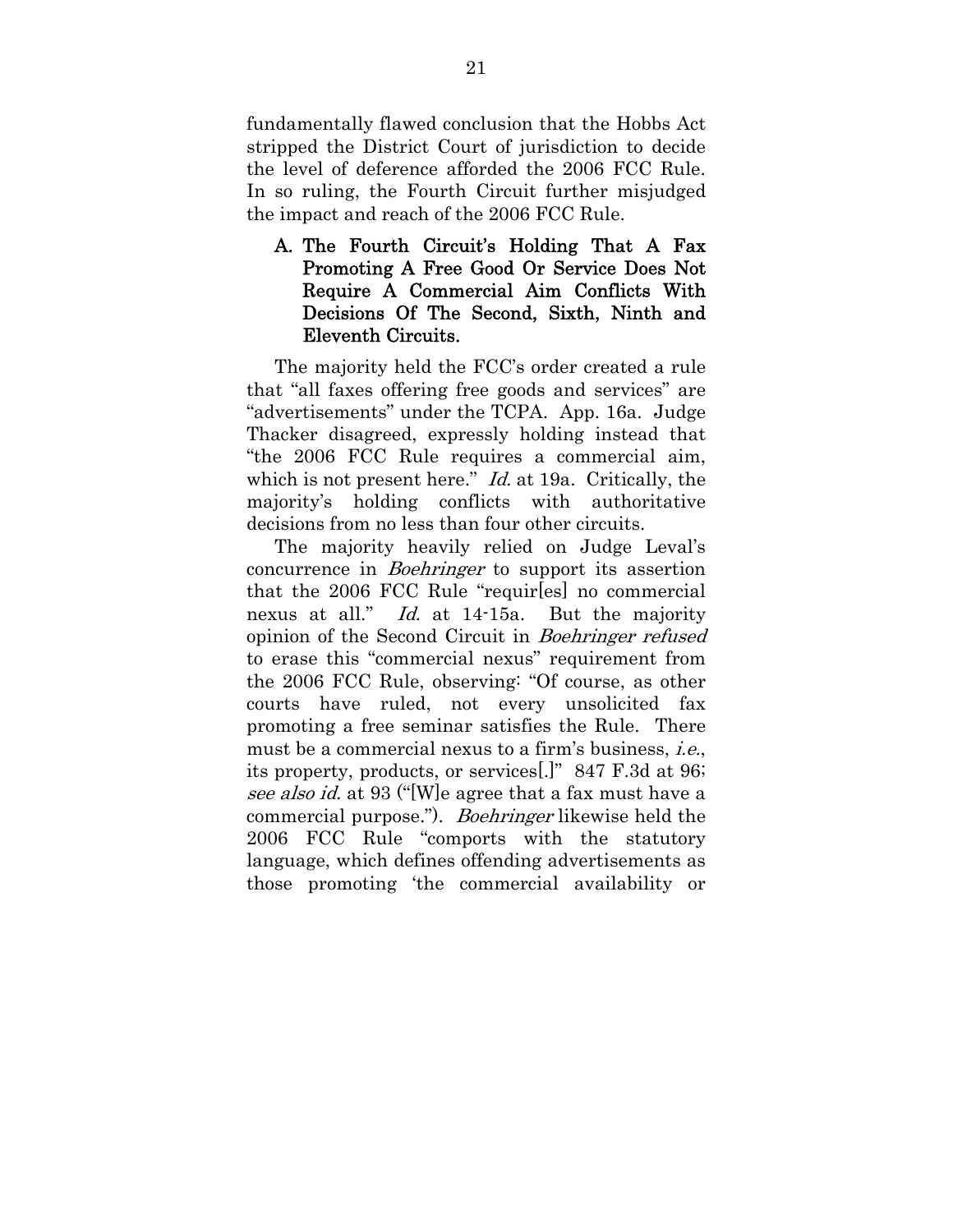fundamentally flawed conclusion that the Hobbs Act stripped the District Court of jurisdiction to decide the level of deference afforded the 2006 FCC Rule. In so ruling, the Fourth Circuit further misjudged the impact and reach of the 2006 FCC Rule.

## A. The Fourth Circuit's Holding That A Fax Promoting A Free Good Or Service Does Not Require A Commercial Aim Conflicts With Decisions Of The Second, Sixth, Ninth and Eleventh Circuits.

The majority held the FCC's order created a rule that "all faxes offering free goods and services" are "advertisements" under the TCPA. App. 16a. Judge Thacker disagreed, expressly holding instead that "the 2006 FCC Rule requires a commercial aim, which is not present here." *Id.* at 19a. Critically, the majority's holding conflicts with authoritative decisions from no less than four other circuits.

The majority heavily relied on Judge Leval's concurrence in Boehringer to support its assertion that the 2006 FCC Rule "requir[es] no commercial nexus at all." Id. at 14-15a. But the majority opinion of the Second Circuit in Boehringer refused to erase this "commercial nexus" requirement from the 2006 FCC Rule, observing: "Of course, as other courts have ruled, not every unsolicited fax promoting a free seminar satisfies the Rule. There must be a commercial nexus to a firm's business, i.e., its property, products, or services[.]" 847 F.3d at 96; see also id. at 93 ("[W]e agree that a fax must have a commercial purpose."). Boehringer likewise held the 2006 FCC Rule "comports with the statutory language, which defines offending advertisements as those promoting 'the commercial availability or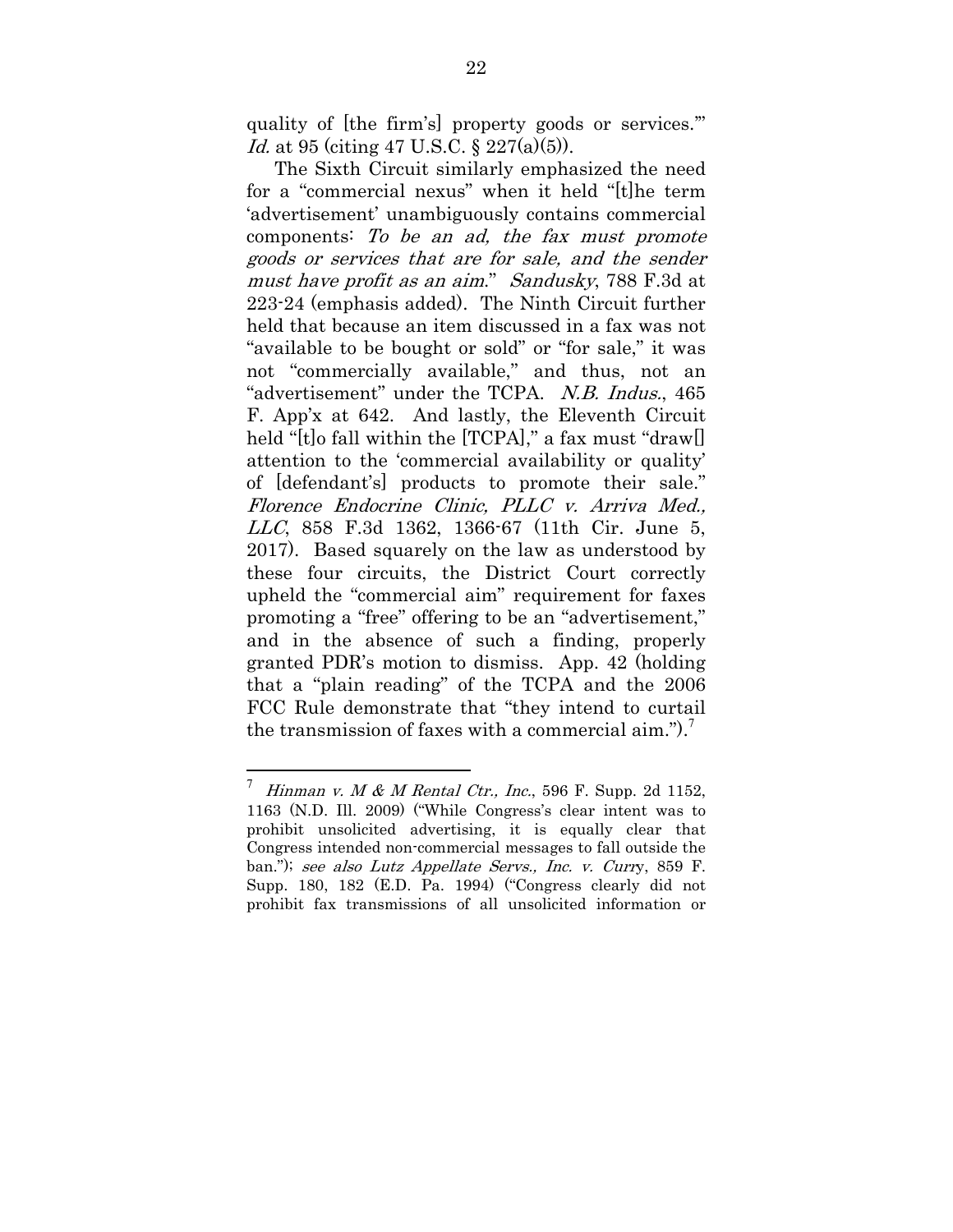quality of [the firm's] property goods or services.'" Id. at 95 (citing 47 U.S.C. § 227(a)(5)).

The Sixth Circuit similarly emphasized the need for a "commercial nexus" when it held "[t]he term 'advertisement' unambiguously contains commercial components: To be an ad, the fax must promote goods or services that are for sale, and the sender must have profit as an aim." Sandusky, 788 F.3d at 223-24 (emphasis added). The Ninth Circuit further held that because an item discussed in a fax was not "available to be bought or sold" or "for sale," it was not "commercially available," and thus, not an "advertisement" under the TCPA. N.B. Indus., 465 F. App'x at 642. And lastly, the Eleventh Circuit held "[t]o fall within the [TCPA]," a fax must "draw[] attention to the 'commercial availability or quality' of [defendant's] products to promote their sale." Florence Endocrine Clinic, PLLC v. Arriva Med., LLC, 858 F.3d 1362, 1366-67 (11th Cir. June 5, 2017). Based squarely on the law as understood by these four circuits, the District Court correctly upheld the "commercial aim" requirement for faxes promoting a "free" offering to be an "advertisement," and in the absence of such a finding, properly granted PDR's motion to dismiss. App. 42 (holding that a "plain reading" of the TCPA and the 2006 FCC Rule demonstrate that "they intend to curtail the transmission of faxes with a commercial aim.").<sup>7</sup>

<sup>7</sup> Hinman v.  $M \& M$  Rental Ctr., Inc., 596 F. Supp. 2d 1152, 1163 (N.D. Ill. 2009) ("While Congress's clear intent was to prohibit unsolicited advertising, it is equally clear that Congress intended non-commercial messages to fall outside the ban."); see also Lutz Appellate Servs., Inc. v. Curry, 859 F. Supp. 180, 182 (E.D. Pa. 1994) ("Congress clearly did not prohibit fax transmissions of all unsolicited information or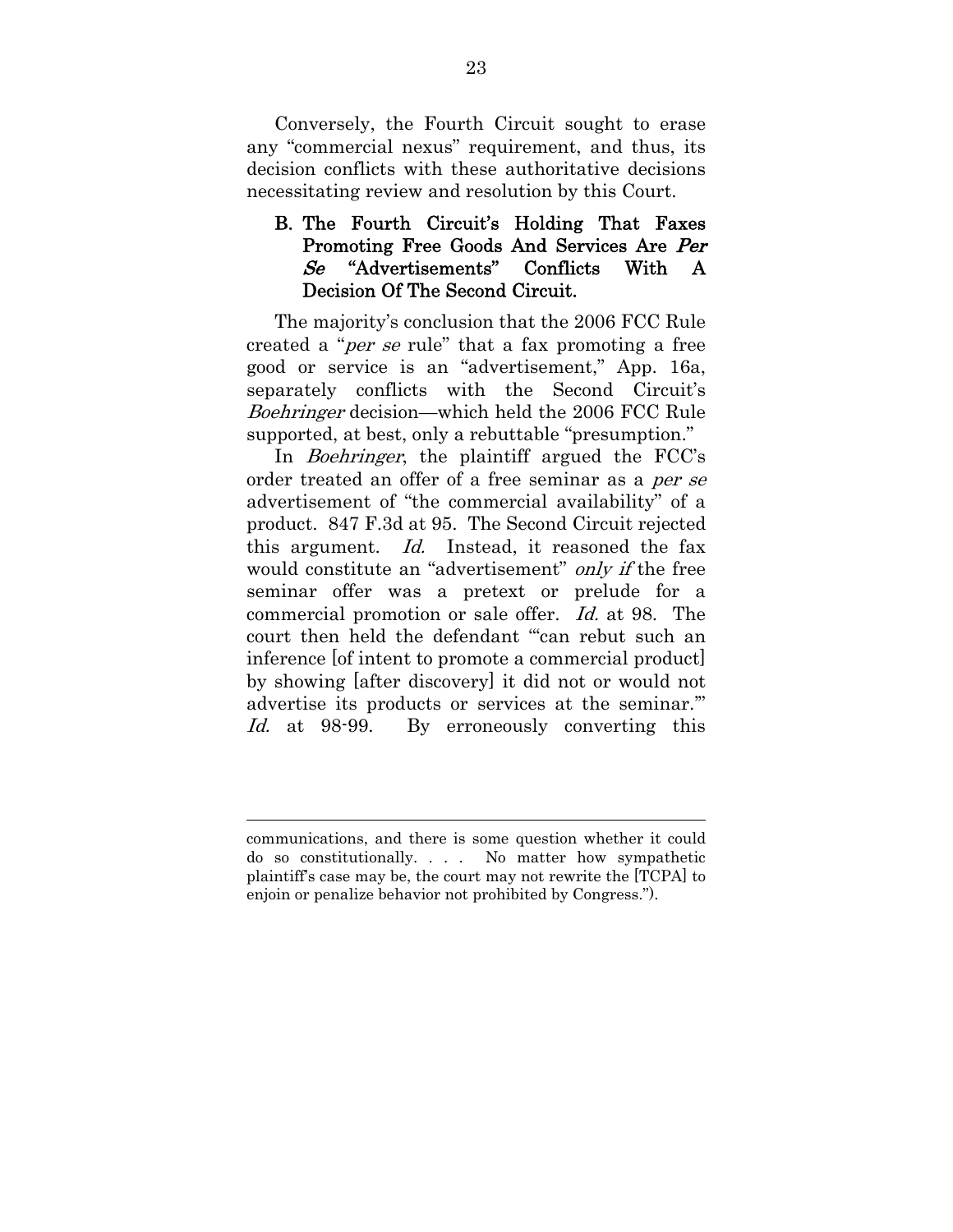Conversely, the Fourth Circuit sought to erase any "commercial nexus" requirement, and thus, its decision conflicts with these authoritative decisions necessitating review and resolution by this Court.

## B. The Fourth Circuit's Holding That Faxes Promoting Free Goods And Services Are Per Se "Advertisements" Conflicts With A Decision Of The Second Circuit.

The majority's conclusion that the 2006 FCC Rule created a "per se rule" that a fax promoting a free good or service is an "advertisement," App. 16a, separately conflicts with the Second Circuit's Boehringer decision—which held the 2006 FCC Rule supported, at best, only a rebuttable "presumption."

In *Boehringer*, the plaintiff argued the FCC's order treated an offer of a free seminar as a per se advertisement of "the commercial availability" of a product. 847 F.3d at 95. The Second Circuit rejected this argument. Id. Instead, it reasoned the fax would constitute an "advertisement" *only if* the free seminar offer was a pretext or prelude for a commercial promotion or sale offer. Id. at 98. The court then held the defendant "'can rebut such an inference [of intent to promote a commercial product] by showing [after discovery] it did not or would not advertise its products or services at the seminar.'" Id. at 98-99. By erroneously converting this

communications, and there is some question whether it could do so constitutionally. . . . No matter how sympathetic plaintiff's case may be, the court may not rewrite the [TCPA] to enjoin or penalize behavior not prohibited by Congress.").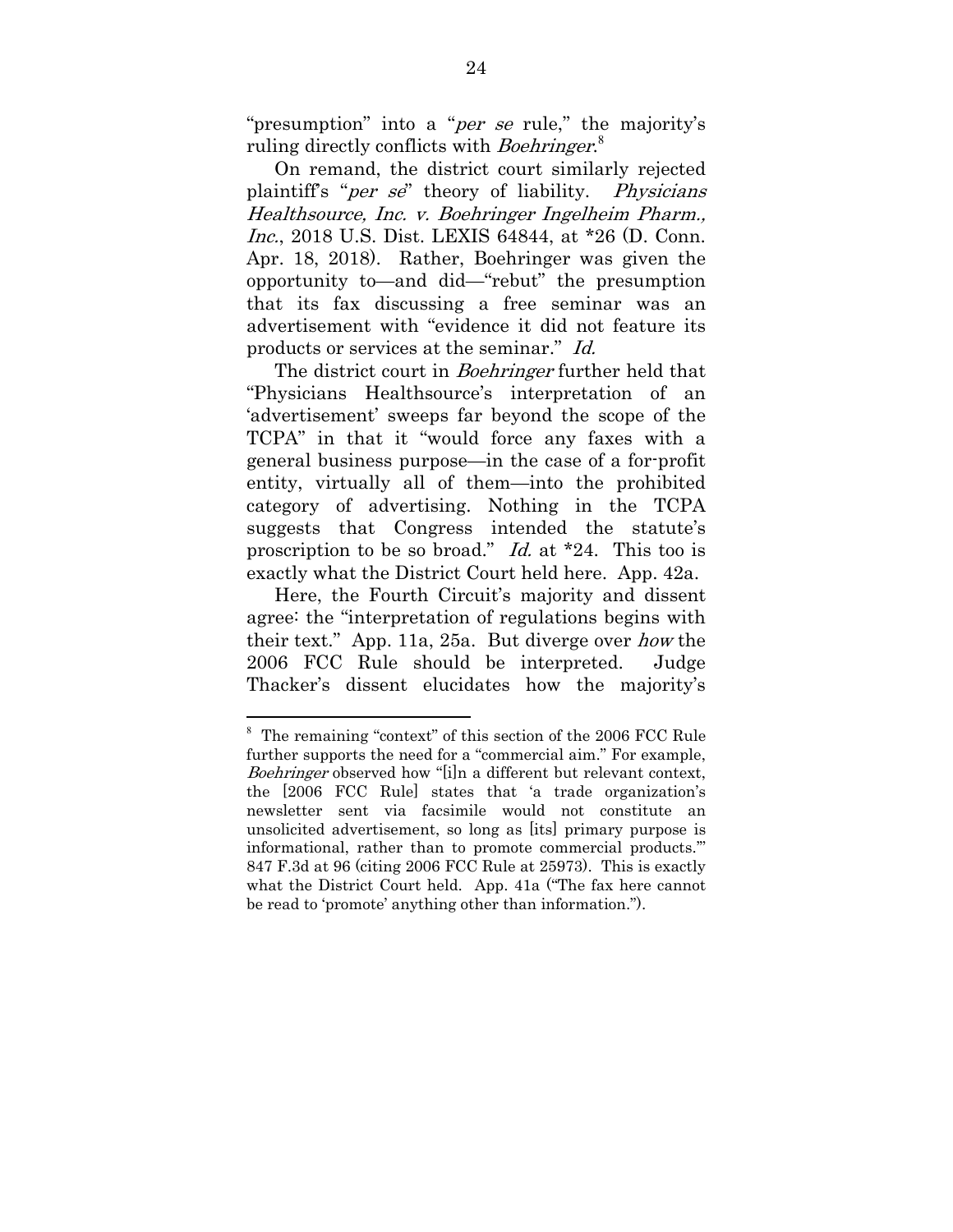"presumption" into a "*per se* rule," the majority's ruling directly conflicts with Boehringer.<sup>8</sup>

On remand, the district court similarly rejected plaintiff's "per se" theory of liability. Physicians Healthsource, Inc. v. Boehringer Ingelheim Pharm., Inc., 2018 U.S. Dist. LEXIS 64844, at \*26 (D. Conn. Apr. 18, 2018). Rather, Boehringer was given the opportunity to—and did—"rebut" the presumption that its fax discussing a free seminar was an advertisement with "evidence it did not feature its products or services at the seminar." Id.

The district court in *Boehringer* further held that "Physicians Healthsource's interpretation of an 'advertisement' sweeps far beyond the scope of the TCPA" in that it "would force any faxes with a general business purpose—in the case of a for-profit entity, virtually all of them—into the prohibited category of advertising. Nothing in the TCPA suggests that Congress intended the statute's proscription to be so broad." Id. at \*24. This too is exactly what the District Court held here. App. 42a.

Here, the Fourth Circuit's majority and dissent agree: the "interpretation of regulations begins with their text." App. 11a, 25a. But diverge over how the 2006 FCC Rule should be interpreted. Judge Thacker's dissent elucidates how the majority's

<sup>&</sup>lt;sup>8</sup> The remaining "context" of this section of the 2006 FCC Rule further supports the need for a "commercial aim." For example, Boehringer observed how "[i]n a different but relevant context, the [2006 FCC Rule] states that 'a trade organization's newsletter sent via facsimile would not constitute an unsolicited advertisement, so long as [its] primary purpose is informational, rather than to promote commercial products.'" 847 F.3d at 96 (citing 2006 FCC Rule at 25973). This is exactly what the District Court held. App. 41a ("The fax here cannot be read to 'promote' anything other than information.").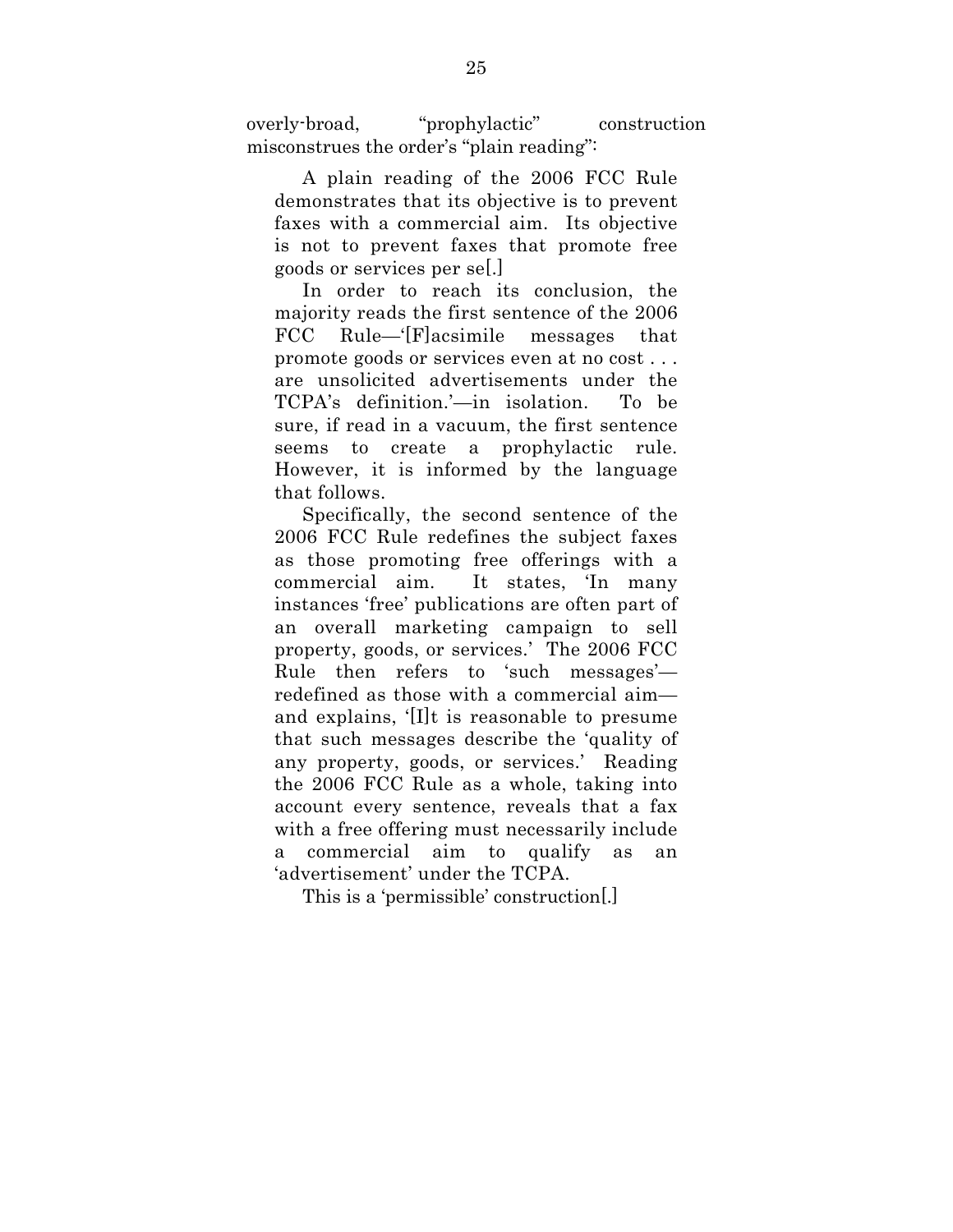overly-broad, "prophylactic" construction misconstrues the order's "plain reading":

A plain reading of the 2006 FCC Rule demonstrates that its objective is to prevent faxes with a commercial aim. Its objective is not to prevent faxes that promote free goods or services per se[.]

In order to reach its conclusion, the majority reads the first sentence of the 2006 FCC Rule—'[F]acsimile messages that promote goods or services even at no cost . . . are unsolicited advertisements under the TCPA's definition.'—in isolation. To be sure, if read in a vacuum, the first sentence seems to create a prophylactic rule. However, it is informed by the language that follows.

Specifically, the second sentence of the 2006 FCC Rule redefines the subject faxes as those promoting free offerings with a commercial aim. It states, 'In many instances 'free' publications are often part of an overall marketing campaign to sell property, goods, or services.' The 2006 FCC Rule then refers to 'such messages' redefined as those with a commercial aim and explains, '[I]t is reasonable to presume that such messages describe the 'quality of any property, goods, or services.' Reading the 2006 FCC Rule as a whole, taking into account every sentence, reveals that a fax with a free offering must necessarily include a commercial aim to qualify as an 'advertisement' under the TCPA.

This is a 'permissible' construction[.]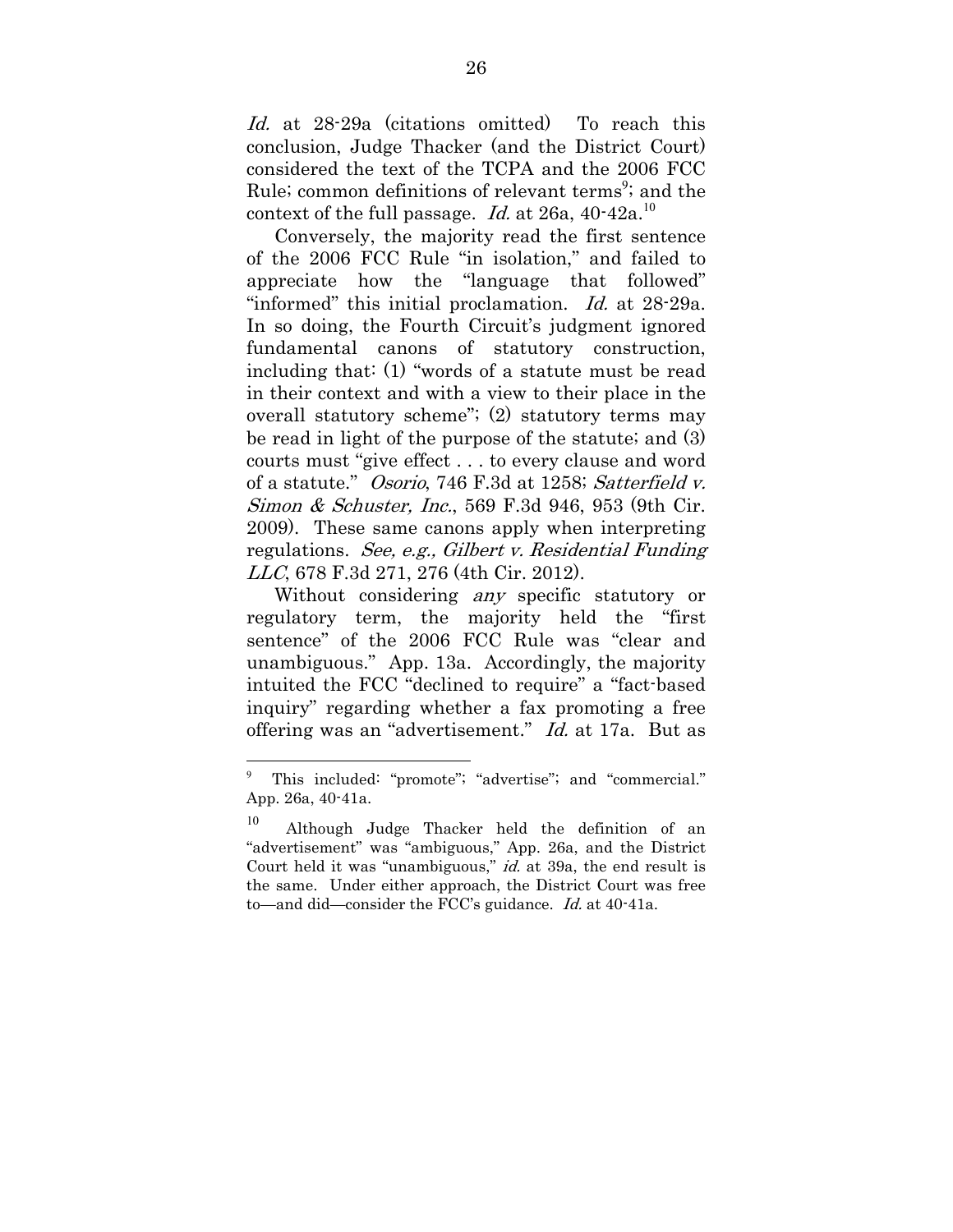Id. at 28-29a (citations omitted) To reach this conclusion, Judge Thacker (and the District Court) considered the text of the TCPA and the 2006 FCC Rule; common definitions of relevant terms<sup>9</sup>; and the context of the full passage. Id. at 26a,  $40-42a$ <sup>10</sup>

Conversely, the majority read the first sentence of the 2006 FCC Rule "in isolation," and failed to appreciate how the "language that followed" "informed" this initial proclamation. Id. at 28-29a. In so doing, the Fourth Circuit's judgment ignored fundamental canons of statutory construction, including that: (1) "words of a statute must be read in their context and with a view to their place in the overall statutory scheme"; (2) statutory terms may be read in light of the purpose of the statute; and (3) courts must "give effect . . . to every clause and word of a statute." Osorio, 746 F.3d at 1258; Satterfield v. Simon & Schuster, Inc., 569 F.3d 946, 953 (9th Cir. 2009). These same canons apply when interpreting regulations. See, e.g., Gilbert v. Residential Funding LLC, 678 F.3d 271, 276 (4th Cir. 2012).

Without considering *any* specific statutory or regulatory term, the majority held the "first sentence" of the 2006 FCC Rule was "clear and unambiguous." App. 13a. Accordingly, the majority intuited the FCC "declined to require" a "fact-based inquiry" regarding whether a fax promoting a free offering was an "advertisement." Id. at 17a. But as

<sup>9</sup> This included: "promote"; "advertise"; and "commercial." App. 26a, 40-41a.

<sup>10</sup> Although Judge Thacker held the definition of an "advertisement" was "ambiguous," App. 26a, and the District Court held it was "unambiguous," *id.* at 39a, the end result is the same. Under either approach, the District Court was free to—and did—consider the FCC's guidance. *Id.* at 40-41a.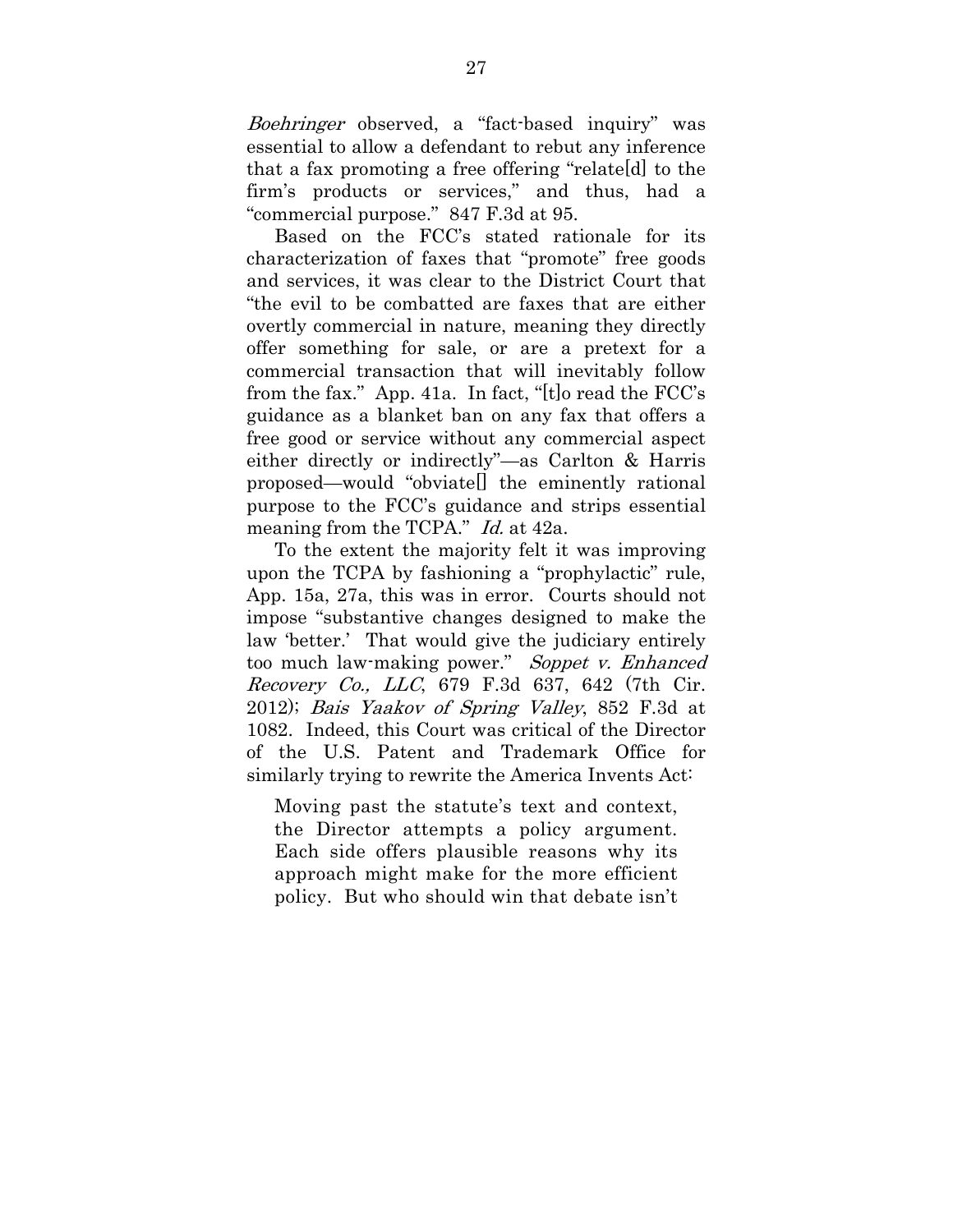Boehringer observed, a "fact-based inquiry" was essential to allow a defendant to rebut any inference that a fax promoting a free offering "relate[d] to the firm's products or services," and thus, had a "commercial purpose." 847 F.3d at 95.

Based on the FCC's stated rationale for its characterization of faxes that "promote" free goods and services, it was clear to the District Court that "the evil to be combatted are faxes that are either overtly commercial in nature, meaning they directly offer something for sale, or are a pretext for a commercial transaction that will inevitably follow from the fax." App. 41a. In fact, "[t]o read the FCC's guidance as a blanket ban on any fax that offers a free good or service without any commercial aspect either directly or indirectly"—as Carlton & Harris proposed—would "obviate[] the eminently rational purpose to the FCC's guidance and strips essential meaning from the TCPA." *Id.* at 42a.

To the extent the majority felt it was improving upon the TCPA by fashioning a "prophylactic" rule, App. 15a, 27a, this was in error. Courts should not impose "substantive changes designed to make the law 'better.' That would give the judiciary entirely too much law-making power." Soppet v. Enhanced Recovery Co., LLC, 679 F.3d 637, 642 (7th Cir. 2012); Bais Yaakov of Spring Valley, 852 F.3d at 1082. Indeed, this Court was critical of the Director of the U.S. Patent and Trademark Office for similarly trying to rewrite the America Invents Act:

Moving past the statute's text and context, the Director attempts a policy argument. Each side offers plausible reasons why its approach might make for the more efficient policy. But who should win that debate isn't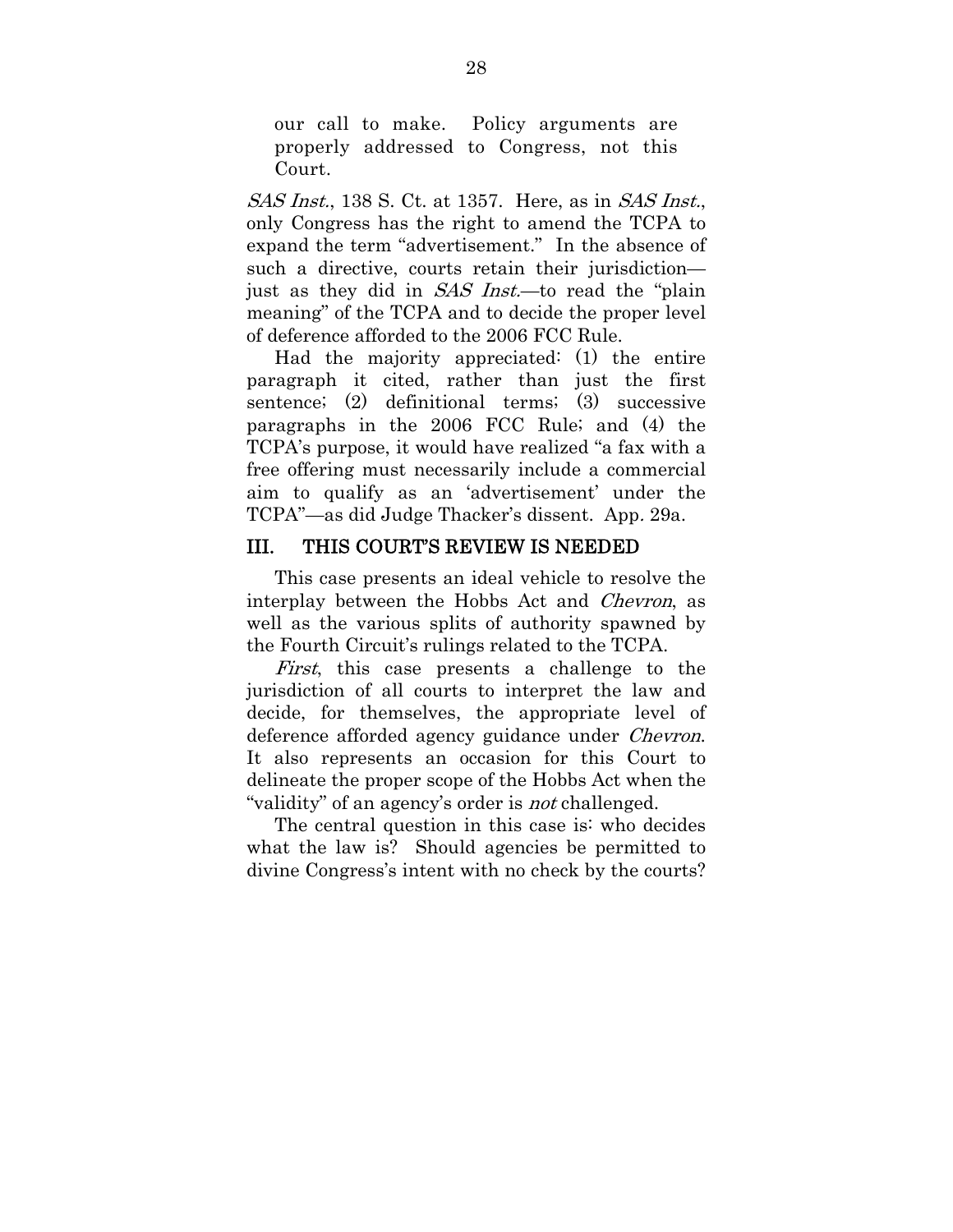our call to make. Policy arguments are properly addressed to Congress, not this Court.

SAS Inst., 138 S. Ct. at 1357. Here, as in SAS Inst., only Congress has the right to amend the TCPA to expand the term "advertisement." In the absence of such a directive, courts retain their jurisdiction just as they did in SAS Inst.—to read the "plain meaning" of the TCPA and to decide the proper level of deference afforded to the 2006 FCC Rule.

Had the majority appreciated: (1) the entire paragraph it cited, rather than just the first sentence; (2) definitional terms; (3) successive paragraphs in the 2006 FCC Rule; and (4) the TCPA's purpose, it would have realized "a fax with a free offering must necessarily include a commercial aim to qualify as an 'advertisement' under the TCPA"—as did Judge Thacker's dissent. App. 29a.

#### III. THIS COURT'S REVIEW IS NEEDED

This case presents an ideal vehicle to resolve the interplay between the Hobbs Act and Chevron, as well as the various splits of authority spawned by the Fourth Circuit's rulings related to the TCPA.

First, this case presents a challenge to the jurisdiction of all courts to interpret the law and decide, for themselves, the appropriate level of deference afforded agency guidance under *Chevron*. It also represents an occasion for this Court to delineate the proper scope of the Hobbs Act when the "validity" of an agency's order is *not* challenged.

The central question in this case is: who decides what the law is? Should agencies be permitted to divine Congress's intent with no check by the courts?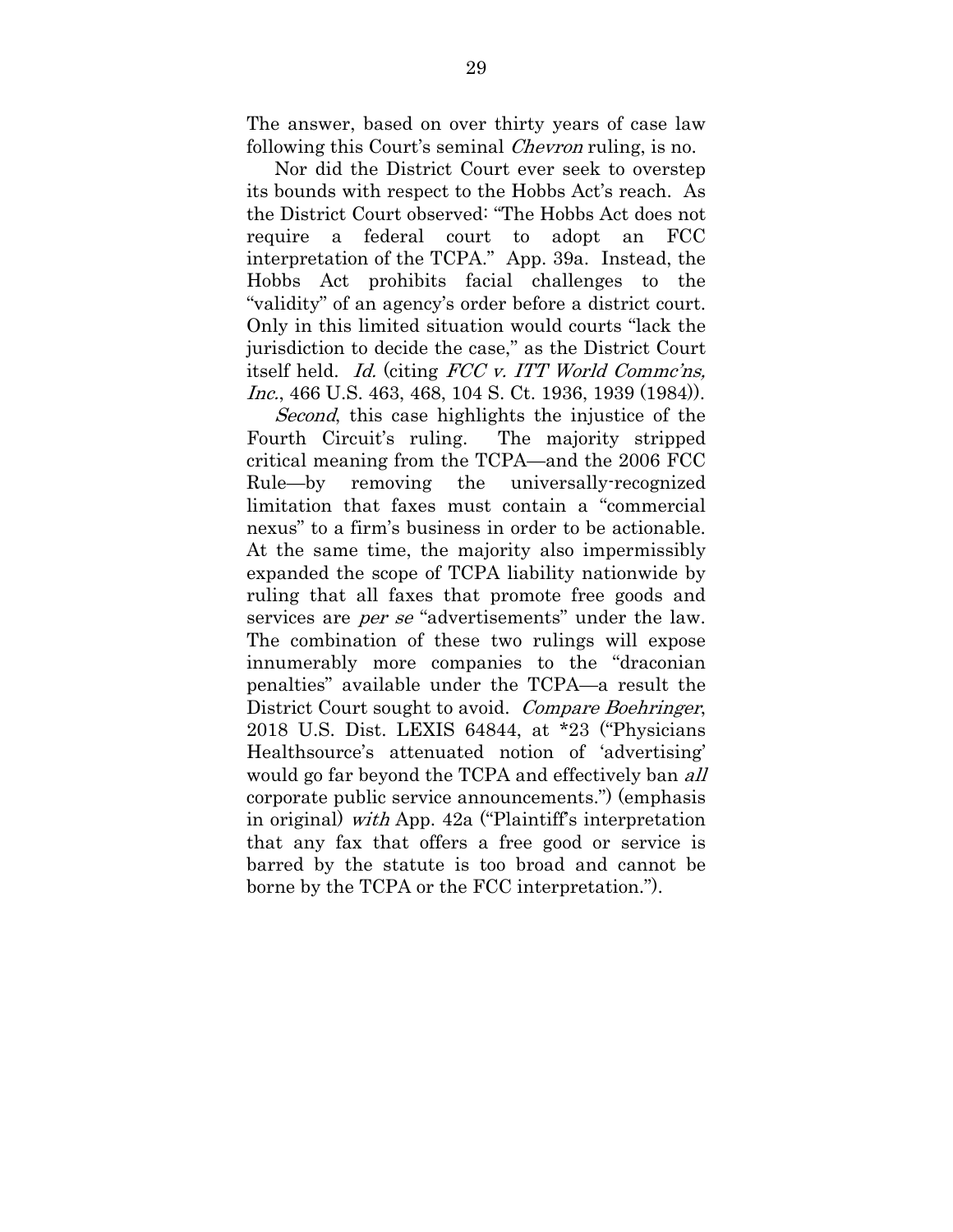The answer, based on over thirty years of case law following this Court's seminal *Chevron* ruling, is no.

Nor did the District Court ever seek to overstep its bounds with respect to the Hobbs Act's reach. As the District Court observed: "The Hobbs Act does not require a federal court to adopt an FCC interpretation of the TCPA." App. 39a. Instead, the Hobbs Act prohibits facial challenges to the "validity" of an agency's order before a district court. Only in this limited situation would courts "lack the jurisdiction to decide the case," as the District Court itself held. Id. (citing FCC v. ITT World Commc'ns, Inc., 466 U.S. 463, 468, 104 S. Ct. 1936, 1939 (1984)).

Second, this case highlights the injustice of the Fourth Circuit's ruling. The majority stripped critical meaning from the TCPA—and the 2006 FCC Rule—by removing the universally-recognized limitation that faxes must contain a "commercial nexus" to a firm's business in order to be actionable. At the same time, the majority also impermissibly expanded the scope of TCPA liability nationwide by ruling that all faxes that promote free goods and services are *per se* "advertisements" under the law. The combination of these two rulings will expose innumerably more companies to the "draconian penalties" available under the TCPA—a result the District Court sought to avoid. Compare Boehringer, 2018 U.S. Dist. LEXIS 64844, at \*23 ("Physicians Healthsource's attenuated notion of 'advertising' would go far beyond the TCPA and effectively ban *all* corporate public service announcements.") (emphasis in original) with App. 42a ("Plaintiff's interpretation that any fax that offers a free good or service is barred by the statute is too broad and cannot be borne by the TCPA or the FCC interpretation.").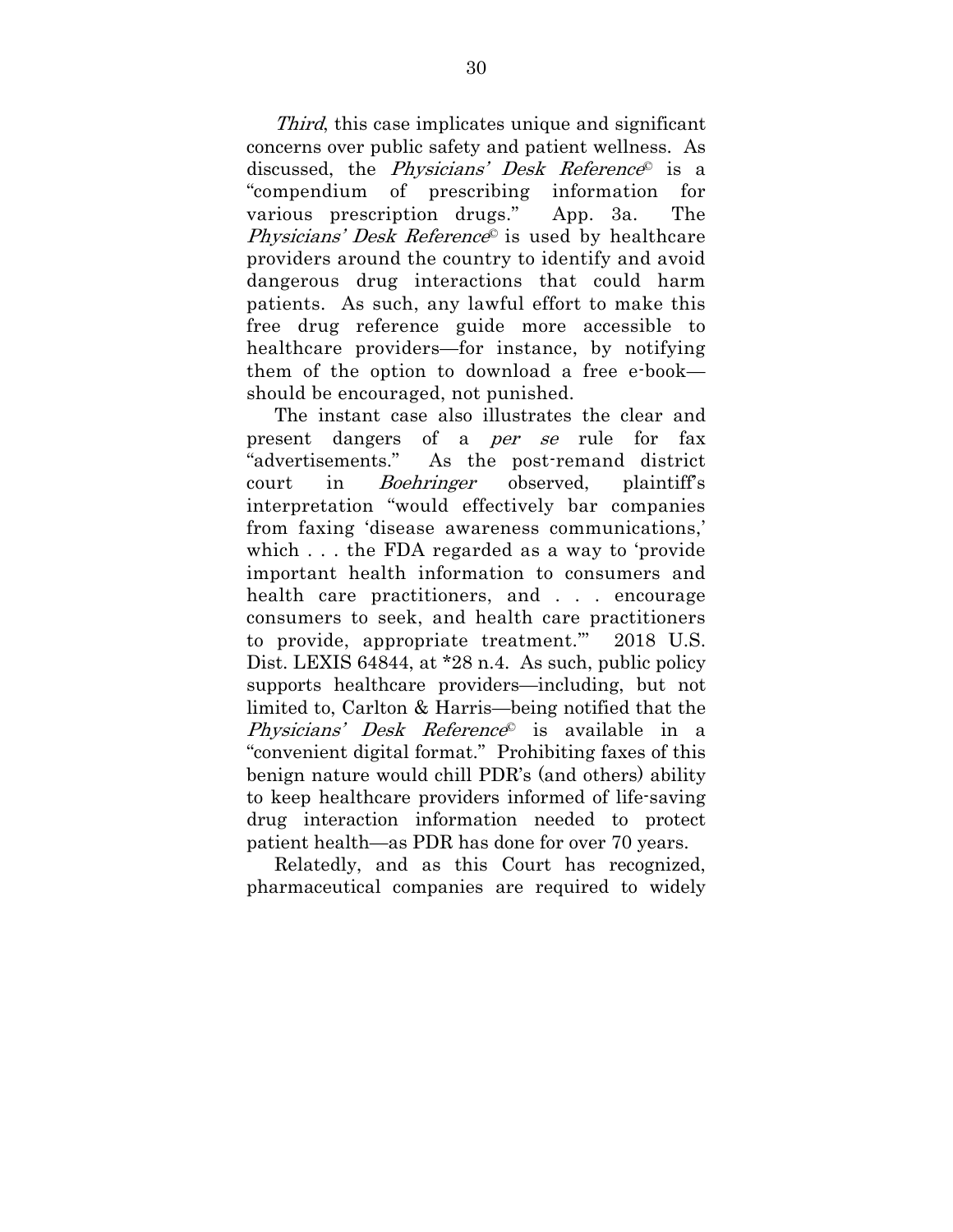Third, this case implicates unique and significant concerns over public safety and patient wellness. As discussed, the *Physicians' Desk Reference* is a "compendium of prescribing information for various prescription drugs." App. 3a. The *Physicians' Desk Reference*<sup>©</sup> is used by healthcare providers around the country to identify and avoid dangerous drug interactions that could harm patients. As such, any lawful effort to make this free drug reference guide more accessible to healthcare providers—for instance, by notifying them of the option to download a free e-book should be encouraged, not punished.

The instant case also illustrates the clear and present dangers of a per se rule for fax "advertisements." As the post-remand district court in Boehringer observed, plaintiff's interpretation "would effectively bar companies from faxing 'disease awareness communications,' which . . . the FDA regarded as a way to 'provide important health information to consumers and health care practitioners, and . . . encourage consumers to seek, and health care practitioners to provide, appropriate treatment.'" 2018 U.S. Dist. LEXIS 64844, at \*28 n.4. As such, public policy supports healthcare providers—including, but not limited to, Carlton & Harris—being notified that the Physicians' Desk Reference<sup>®</sup> is available in a "convenient digital format." Prohibiting faxes of this benign nature would chill PDR's (and others) ability to keep healthcare providers informed of life-saving drug interaction information needed to protect patient health—as PDR has done for over 70 years.

Relatedly, and as this Court has recognized, pharmaceutical companies are required to widely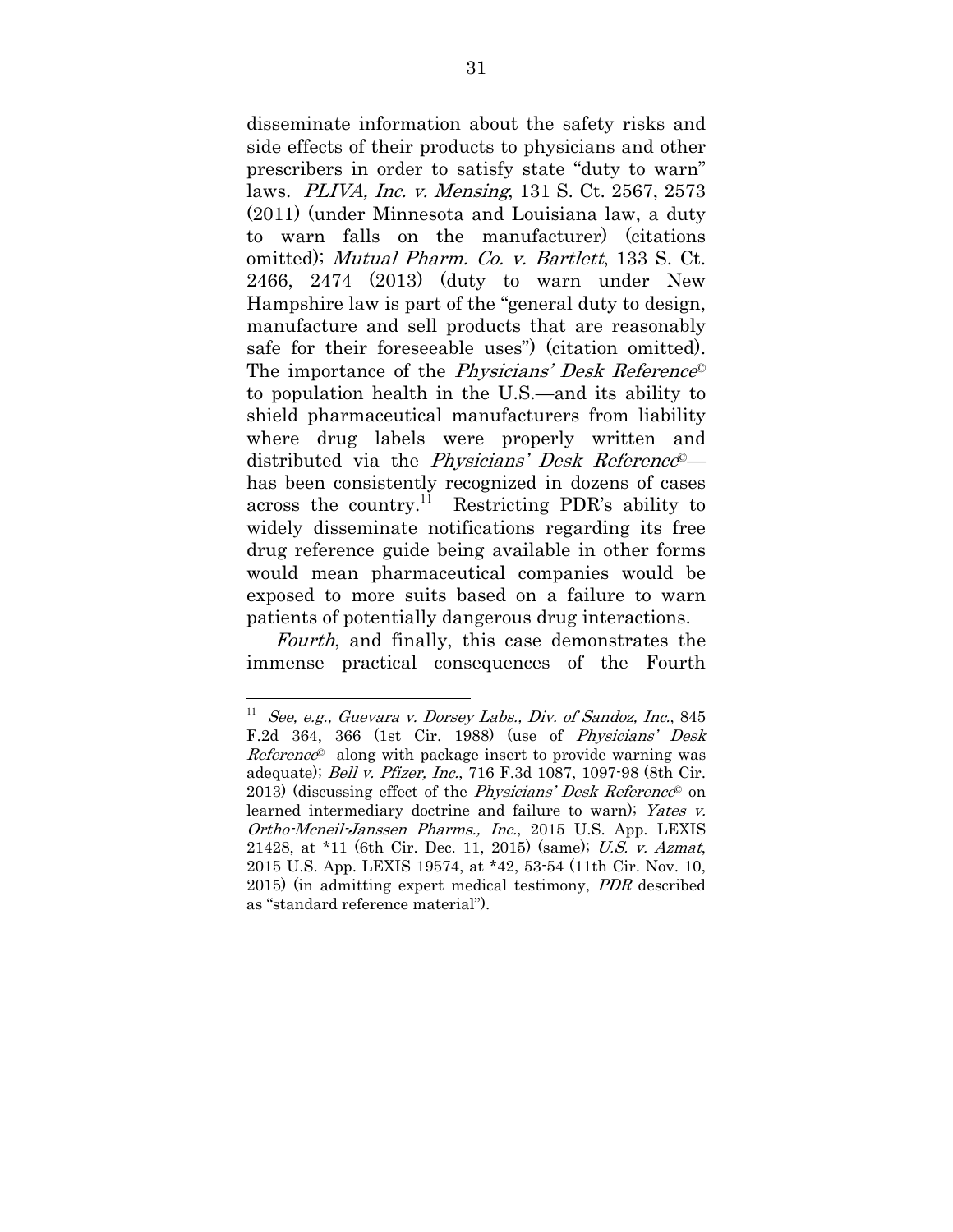disseminate information about the safety risks and side effects of their products to physicians and other prescribers in order to satisfy state "duty to warn" laws. PLIVA, Inc. v. Mensing, 131 S. Ct. 2567, 2573 (2011) (under Minnesota and Louisiana law, a duty to warn falls on the manufacturer) (citations omitted); Mutual Pharm. Co. v. Bartlett, 133 S. Ct. 2466, 2474 (2013) (duty to warn under New Hampshire law is part of the "general duty to design, manufacture and sell products that are reasonably safe for their foreseeable uses") (citation omitted). The importance of the *Physicians' Desk Reference*<sup>©</sup> to population health in the U.S.—and its ability to shield pharmaceutical manufacturers from liability where drug labels were properly written and distributed via the *Physicians' Desk Reference*<sup>©</sup> has been consistently recognized in dozens of cases across the country.<sup>11</sup> Restricting PDR's ability to widely disseminate notifications regarding its free drug reference guide being available in other forms would mean pharmaceutical companies would be exposed to more suits based on a failure to warn patients of potentially dangerous drug interactions.

Fourth, and finally, this case demonstrates the immense practical consequences of the Fourth

See, e.g., Guevara v. Dorsey Labs., Div. of Sandoz, Inc., 845 F.2d 364, 366 (1st Cir. 1988) (use of Physicians' Desk  $Reference<sup>°</sup>$  along with package insert to provide warning was adequate); Bell v. Pfizer, Inc., 716 F.3d 1087, 1097-98 (8th Cir. 2013) (discussing effect of the *Physicians' Desk Reference*<sup> $\circ$ </sup> on learned intermediary doctrine and failure to warn); Yates v. Ortho-Mcneil-Janssen Pharms., Inc., 2015 U.S. App. LEXIS 21428, at \*11 (6th Cir. Dec. 11, 2015) (same); U.S. v. Azmat, 2015 U.S. App. LEXIS 19574, at \*42, 53-54 (11th Cir. Nov. 10, 2015) (in admitting expert medical testimony, PDR described as "standard reference material").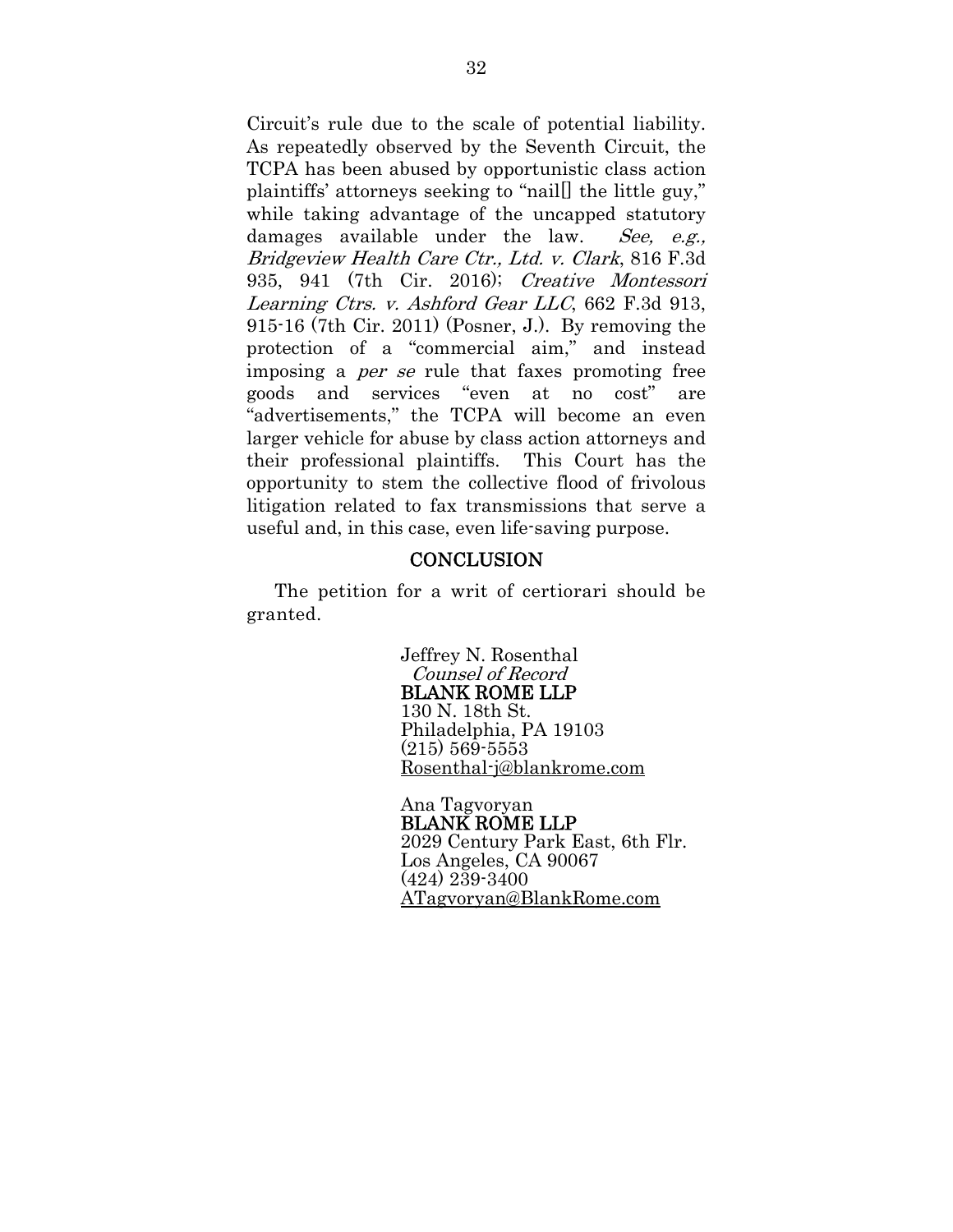Circuit's rule due to the scale of potential liability. As repeatedly observed by the Seventh Circuit, the TCPA has been abused by opportunistic class action plaintiffs' attorneys seeking to "nail[] the little guy," while taking advantage of the uncapped statutory damages available under the law. See, e.g., Bridgeview Health Care Ctr., Ltd. v. Clark, 816 F.3d 935, 941 (7th Cir. 2016); Creative Montessori Learning Ctrs. v. Ashford Gear LLC, 662 F.3d 913, 915-16 (7th Cir. 2011) (Posner, J.). By removing the protection of a "commercial aim," and instead imposing a per se rule that faxes promoting free goods and services "even at no cost" are "advertisements," the TCPA will become an even larger vehicle for abuse by class action attorneys and their professional plaintiffs. This Court has the opportunity to stem the collective flood of frivolous litigation related to fax transmissions that serve a useful and, in this case, even life-saving purpose.

#### **CONCLUSION**

The petition for a writ of certiorari should be granted.

> Jeffrey N. Rosenthal Counsel of Record BLANK ROME LLP 130 N. 18th St. Philadelphia, PA 19103 (215) 569-5553 Rosenthal-j@blankrome.com

Ana Tagvoryan BLANK ROME LLP 2029 Century Park East, 6th Flr. Los Angeles, CA 90067 (424) 239-3400 ATagvoryan@BlankRome.com